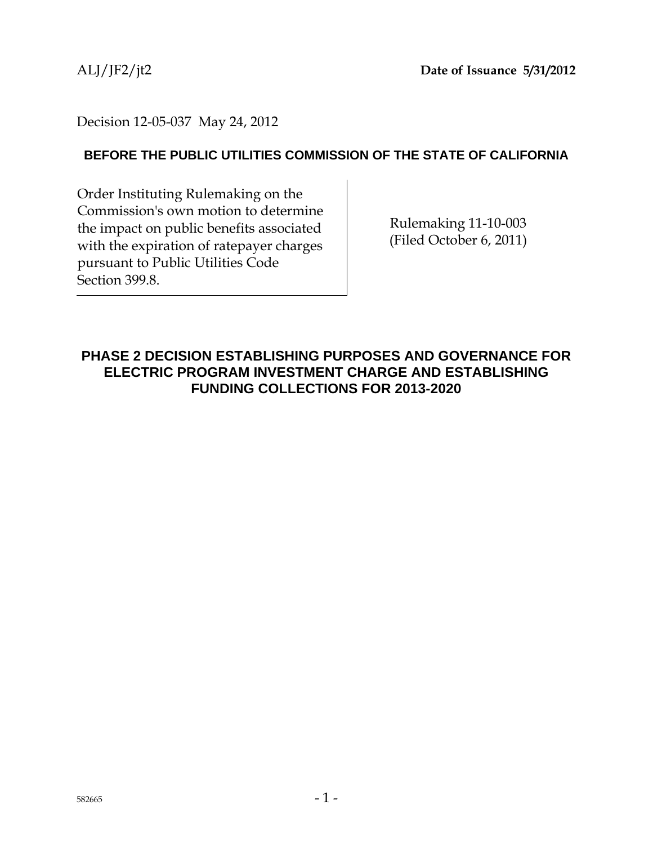## Decision 12-05-037 May 24, 2012

## **BEFORE THE PUBLIC UTILITIES COMMISSION OF THE STATE OF CALIFORNIA**

Order Instituting Rulemaking on the Commission's own motion to determine the impact on public benefits associated with the expiration of ratepayer charges pursuant to Public Utilities Code Section 399.8.

Rulemaking 11-10-003 (Filed October 6, 2011)

## **PHASE 2 DECISION ESTABLISHING PURPOSES AND GOVERNANCE FOR ELECTRIC PROGRAM INVESTMENT CHARGE AND ESTABLISHING FUNDING COLLECTIONS FOR 2013-2020**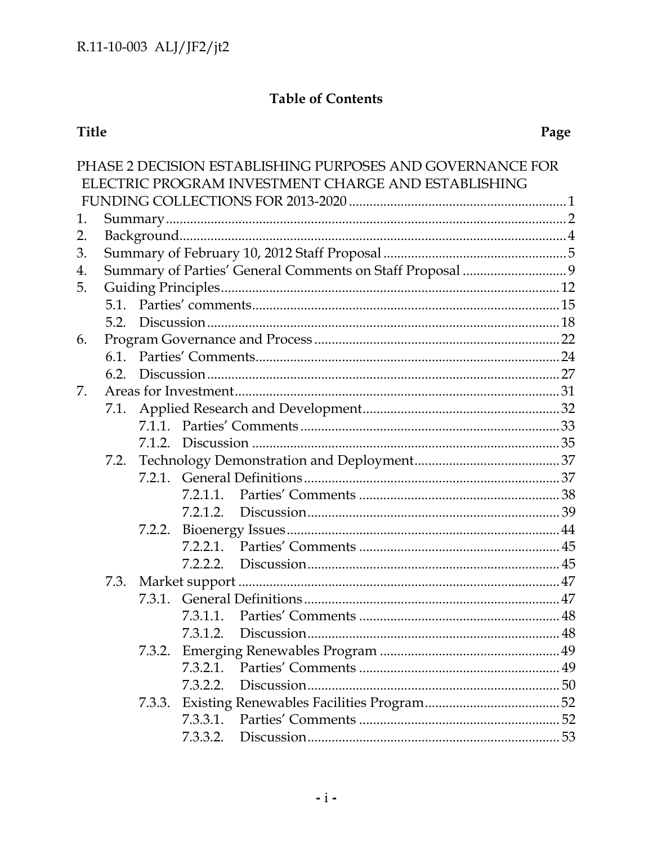## **Table of Contents**

# Title

| 1.       |        |          |  |                                                                                                                  |  |  |  |  |  |
|----------|--------|----------|--|------------------------------------------------------------------------------------------------------------------|--|--|--|--|--|
|          |        |          |  |                                                                                                                  |  |  |  |  |  |
|          |        |          |  |                                                                                                                  |  |  |  |  |  |
|          |        |          |  |                                                                                                                  |  |  |  |  |  |
| 4.<br>5. |        |          |  |                                                                                                                  |  |  |  |  |  |
|          |        |          |  |                                                                                                                  |  |  |  |  |  |
|          |        |          |  |                                                                                                                  |  |  |  |  |  |
|          |        |          |  |                                                                                                                  |  |  |  |  |  |
|          |        |          |  |                                                                                                                  |  |  |  |  |  |
|          |        |          |  |                                                                                                                  |  |  |  |  |  |
| 7.       |        |          |  |                                                                                                                  |  |  |  |  |  |
|          |        |          |  |                                                                                                                  |  |  |  |  |  |
|          |        |          |  |                                                                                                                  |  |  |  |  |  |
|          |        |          |  |                                                                                                                  |  |  |  |  |  |
|          |        |          |  |                                                                                                                  |  |  |  |  |  |
|          |        |          |  |                                                                                                                  |  |  |  |  |  |
|          |        |          |  |                                                                                                                  |  |  |  |  |  |
|          |        |          |  |                                                                                                                  |  |  |  |  |  |
|          | 7.2.2. |          |  |                                                                                                                  |  |  |  |  |  |
|          |        |          |  |                                                                                                                  |  |  |  |  |  |
|          |        |          |  |                                                                                                                  |  |  |  |  |  |
| 7.3.     |        |          |  |                                                                                                                  |  |  |  |  |  |
|          |        |          |  |                                                                                                                  |  |  |  |  |  |
|          |        |          |  |                                                                                                                  |  |  |  |  |  |
|          |        |          |  |                                                                                                                  |  |  |  |  |  |
|          | 7.3.2. |          |  |                                                                                                                  |  |  |  |  |  |
|          |        |          |  |                                                                                                                  |  |  |  |  |  |
|          |        | 7.3.2.2. |  |                                                                                                                  |  |  |  |  |  |
|          | 7.3.3. |          |  |                                                                                                                  |  |  |  |  |  |
|          |        |          |  |                                                                                                                  |  |  |  |  |  |
|          |        |          |  |                                                                                                                  |  |  |  |  |  |
|          |        |          |  | PHASE 2 DECISION ESTABLISHING PURPOSES AND GOVERNANCE FOR<br>ELECTRIC PROGRAM INVESTMENT CHARGE AND ESTABLISHING |  |  |  |  |  |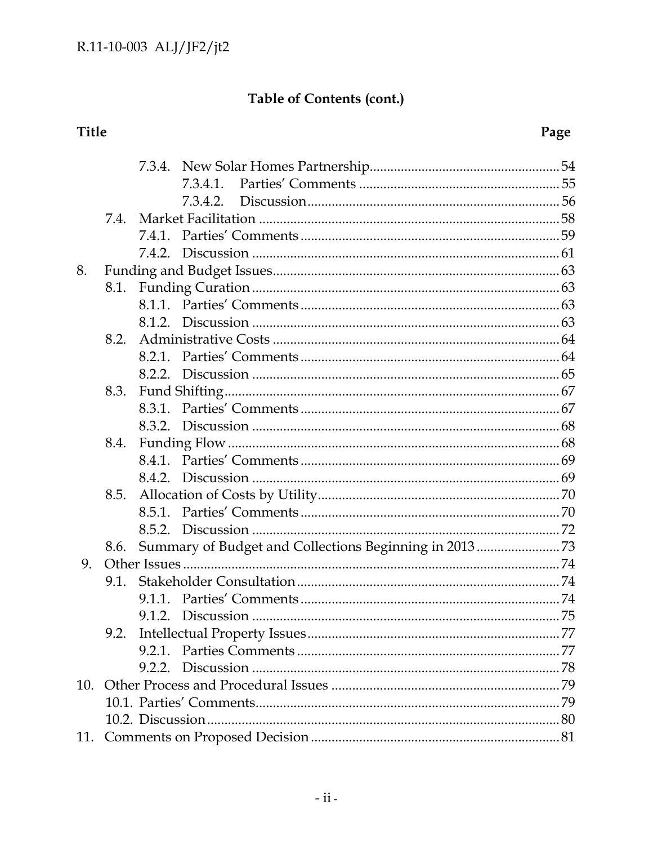# Table of Contents (cont.)

# Title

# Page

|     |      |        | 7.3.4.1. |  |  |  |  |
|-----|------|--------|----------|--|--|--|--|
|     |      |        | 7.3.4.2. |  |  |  |  |
|     |      |        |          |  |  |  |  |
|     |      |        |          |  |  |  |  |
|     |      |        |          |  |  |  |  |
| 8.  |      |        |          |  |  |  |  |
|     |      |        |          |  |  |  |  |
|     |      |        |          |  |  |  |  |
|     |      |        |          |  |  |  |  |
|     | 8.2. |        |          |  |  |  |  |
|     |      | 8.2.1. |          |  |  |  |  |
|     |      |        |          |  |  |  |  |
|     | 8.3. |        |          |  |  |  |  |
|     |      |        |          |  |  |  |  |
|     |      |        |          |  |  |  |  |
|     | 8.4. |        |          |  |  |  |  |
|     |      |        |          |  |  |  |  |
|     |      |        |          |  |  |  |  |
|     |      |        |          |  |  |  |  |
|     |      |        |          |  |  |  |  |
|     |      |        |          |  |  |  |  |
|     | 8.6. |        |          |  |  |  |  |
| 9.  |      |        |          |  |  |  |  |
|     |      |        |          |  |  |  |  |
|     |      |        |          |  |  |  |  |
|     |      |        |          |  |  |  |  |
|     | 9.2. |        |          |  |  |  |  |
|     |      | 9.2.1. |          |  |  |  |  |
|     |      |        |          |  |  |  |  |
| 10. |      |        |          |  |  |  |  |
|     |      |        |          |  |  |  |  |
|     |      |        |          |  |  |  |  |
| 11. |      |        |          |  |  |  |  |
|     |      |        |          |  |  |  |  |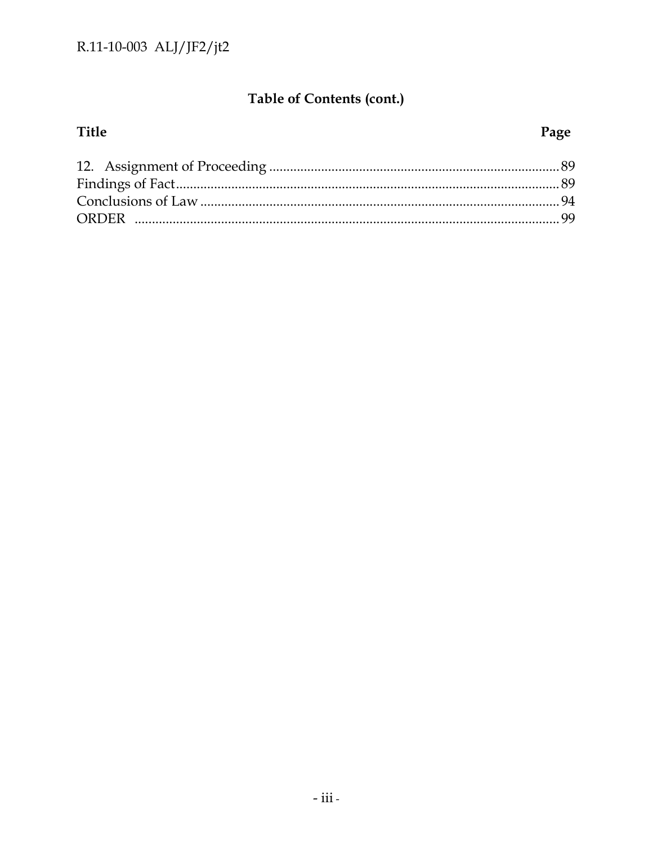## Table of Contents (cont.)

## Title Page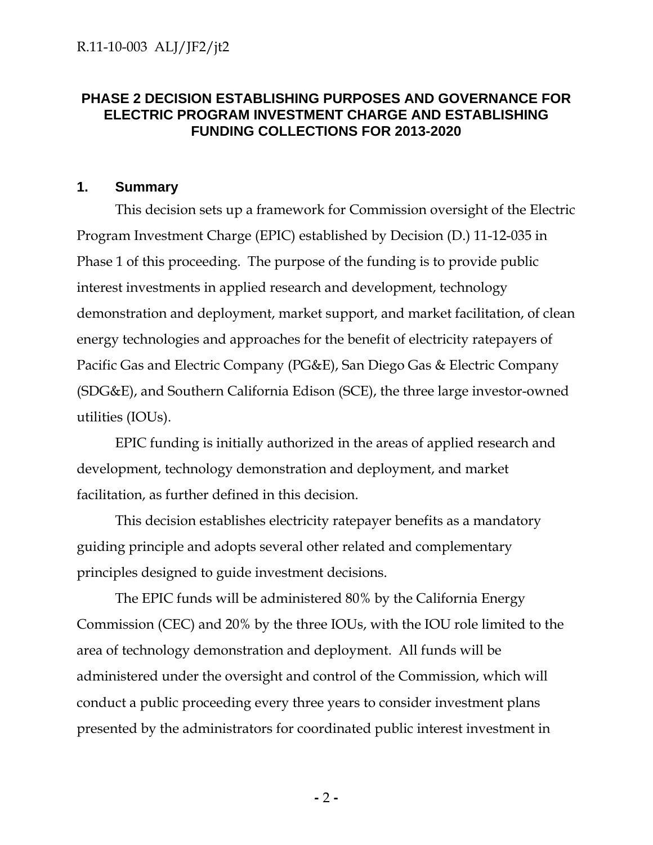## **PHASE 2 DECISION ESTABLISHING PURPOSES AND GOVERNANCE FOR ELECTRIC PROGRAM INVESTMENT CHARGE AND ESTABLISHING FUNDING COLLECTIONS FOR 2013-2020**

#### **1. Summary**

This decision sets up a framework for Commission oversight of the Electric Program Investment Charge (EPIC) established by Decision (D.) 11-12-035 in Phase 1 of this proceeding. The purpose of the funding is to provide public interest investments in applied research and development, technology demonstration and deployment, market support, and market facilitation, of clean energy technologies and approaches for the benefit of electricity ratepayers of Pacific Gas and Electric Company (PG&E), San Diego Gas & Electric Company (SDG&E), and Southern California Edison (SCE), the three large investor-owned utilities (IOUs).

EPIC funding is initially authorized in the areas of applied research and development, technology demonstration and deployment, and market facilitation, as further defined in this decision.

This decision establishes electricity ratepayer benefits as a mandatory guiding principle and adopts several other related and complementary principles designed to guide investment decisions.

The EPIC funds will be administered 80% by the California Energy Commission (CEC) and 20% by the three IOUs, with the IOU role limited to the area of technology demonstration and deployment. All funds will be administered under the oversight and control of the Commission, which will conduct a public proceeding every three years to consider investment plans presented by the administrators for coordinated public interest investment in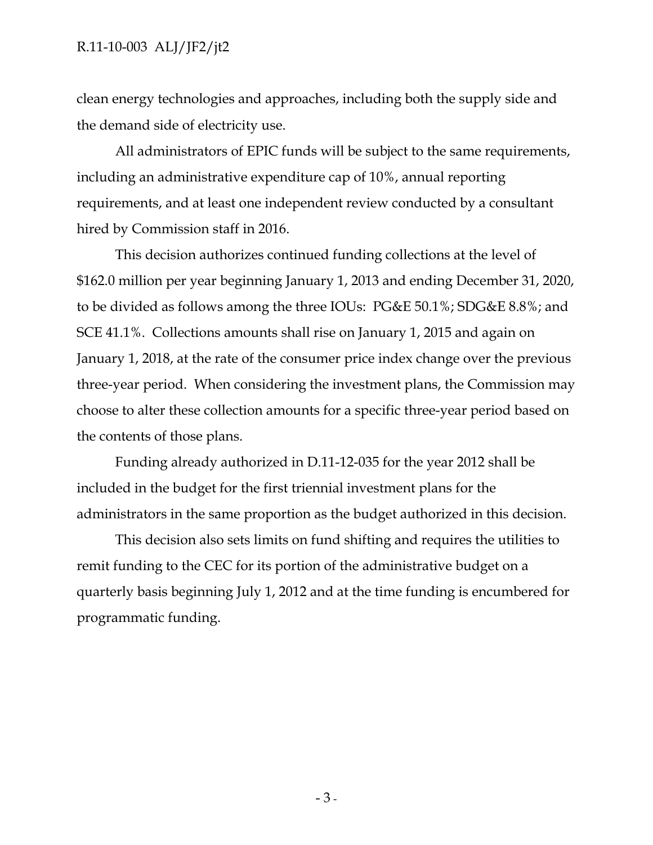clean energy technologies and approaches, including both the supply side and the demand side of electricity use.

All administrators of EPIC funds will be subject to the same requirements, including an administrative expenditure cap of 10%, annual reporting requirements, and at least one independent review conducted by a consultant hired by Commission staff in 2016.

This decision authorizes continued funding collections at the level of \$162.0 million per year beginning January 1, 2013 and ending December 31, 2020, to be divided as follows among the three IOUs: PG&E 50.1%; SDG&E 8.8%; and SCE 41.1%. Collections amounts shall rise on January 1, 2015 and again on January 1, 2018, at the rate of the consumer price index change over the previous three-year period. When considering the investment plans, the Commission may choose to alter these collection amounts for a specific three-year period based on the contents of those plans.

Funding already authorized in D.11-12-035 for the year 2012 shall be included in the budget for the first triennial investment plans for the administrators in the same proportion as the budget authorized in this decision.

This decision also sets limits on fund shifting and requires the utilities to remit funding to the CEC for its portion of the administrative budget on a quarterly basis beginning July 1, 2012 and at the time funding is encumbered for programmatic funding.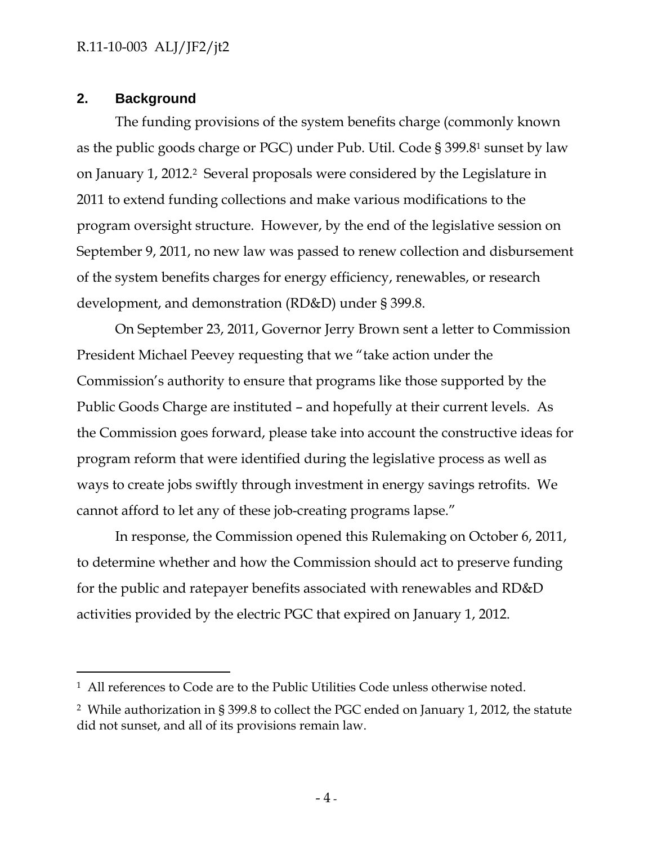## **2. Background**

-

The funding provisions of the system benefits charge (commonly known as the public goods charge or PGC) under Pub. Util. Code § 399.81 sunset by law on January 1, 2012.2 Several proposals were considered by the Legislature in 2011 to extend funding collections and make various modifications to the program oversight structure. However, by the end of the legislative session on September 9, 2011, no new law was passed to renew collection and disbursement of the system benefits charges for energy efficiency, renewables, or research development, and demonstration (RD&D) under § 399.8.

On September 23, 2011, Governor Jerry Brown sent a letter to Commission President Michael Peevey requesting that we "take action under the Commission's authority to ensure that programs like those supported by the Public Goods Charge are instituted – and hopefully at their current levels. As the Commission goes forward, please take into account the constructive ideas for program reform that were identified during the legislative process as well as ways to create jobs swiftly through investment in energy savings retrofits. We cannot afford to let any of these job-creating programs lapse."

In response, the Commission opened this Rulemaking on October 6, 2011, to determine whether and how the Commission should act to preserve funding for the public and ratepayer benefits associated with renewables and RD&D activities provided by the electric PGC that expired on January 1, 2012.

<sup>1</sup> All references to Code are to the Public Utilities Code unless otherwise noted.

<sup>2</sup> While authorization in § 399.8 to collect the PGC ended on January 1, 2012, the statute did not sunset, and all of its provisions remain law.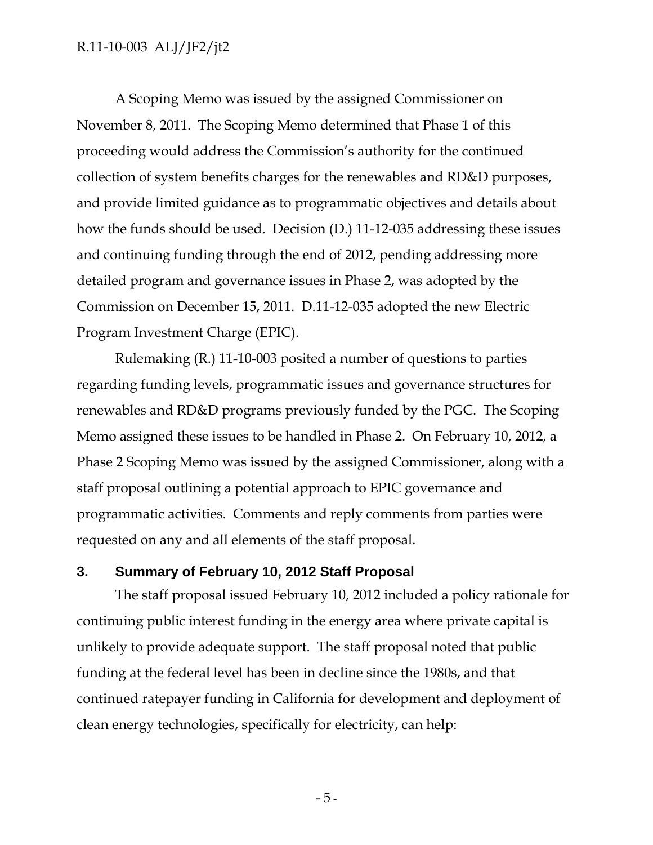A Scoping Memo was issued by the assigned Commissioner on November 8, 2011. The Scoping Memo determined that Phase 1 of this proceeding would address the Commission's authority for the continued collection of system benefits charges for the renewables and RD&D purposes, and provide limited guidance as to programmatic objectives and details about how the funds should be used. Decision (D.) 11-12-035 addressing these issues and continuing funding through the end of 2012, pending addressing more detailed program and governance issues in Phase 2, was adopted by the Commission on December 15, 2011. D.11-12-035 adopted the new Electric Program Investment Charge (EPIC).

Rulemaking (R.) 11-10-003 posited a number of questions to parties regarding funding levels, programmatic issues and governance structures for renewables and RD&D programs previously funded by the PGC. The Scoping Memo assigned these issues to be handled in Phase 2. On February 10, 2012, a Phase 2 Scoping Memo was issued by the assigned Commissioner, along with a staff proposal outlining a potential approach to EPIC governance and programmatic activities. Comments and reply comments from parties were requested on any and all elements of the staff proposal.

## **3. Summary of February 10, 2012 Staff Proposal**

The staff proposal issued February 10, 2012 included a policy rationale for continuing public interest funding in the energy area where private capital is unlikely to provide adequate support. The staff proposal noted that public funding at the federal level has been in decline since the 1980s, and that continued ratepayer funding in California for development and deployment of clean energy technologies, specifically for electricity, can help: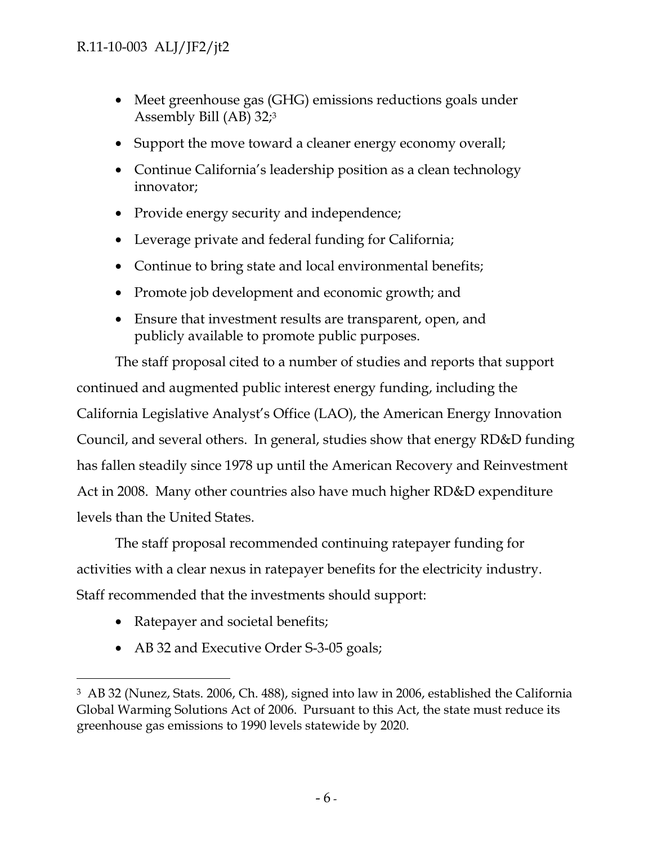- Meet greenhouse gas (GHG) emissions reductions goals under Assembly Bill (AB) 32;3
- Support the move toward a cleaner energy economy overall;
- Continue California's leadership position as a clean technology innovator;
- Provide energy security and independence;
- Leverage private and federal funding for California;
- Continue to bring state and local environmental benefits;
- Promote job development and economic growth; and
- Ensure that investment results are transparent, open, and publicly available to promote public purposes.

The staff proposal cited to a number of studies and reports that support continued and augmented public interest energy funding, including the California Legislative Analyst's Office (LAO), the American Energy Innovation Council, and several others. In general, studies show that energy RD&D funding has fallen steadily since 1978 up until the American Recovery and Reinvestment Act in 2008. Many other countries also have much higher RD&D expenditure levels than the United States.

The staff proposal recommended continuing ratepayer funding for activities with a clear nexus in ratepayer benefits for the electricity industry. Staff recommended that the investments should support:

• Ratepayer and societal benefits;

-

• AB 32 and Executive Order S-3-05 goals;

<sup>3</sup> AB 32 (Nunez, Stats. 2006, Ch. 488), signed into law in 2006, established the California Global Warming Solutions Act of 2006. Pursuant to this Act, the state must reduce its greenhouse gas emissions to 1990 levels statewide by 2020.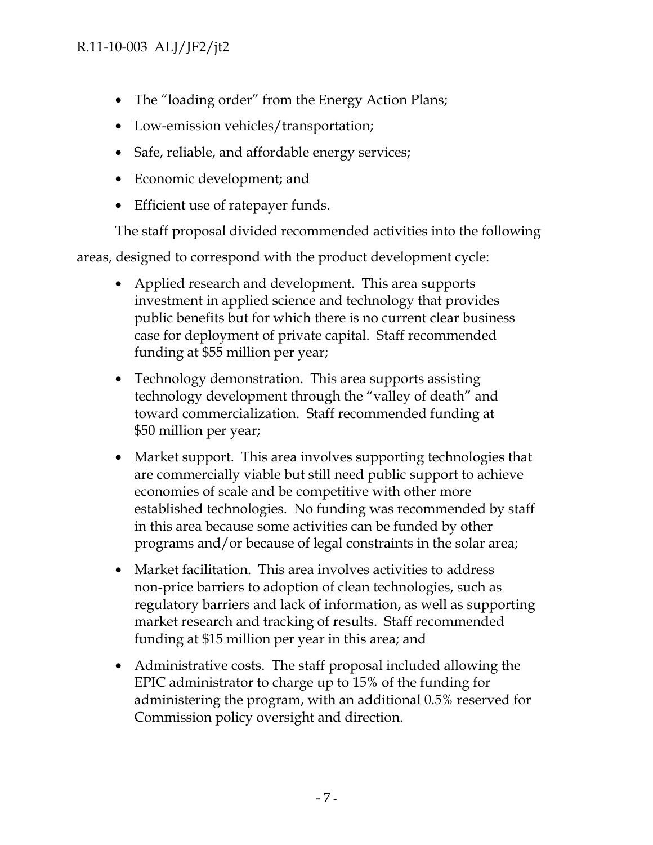- The "loading order" from the Energy Action Plans;
- Low-emission vehicles/transportation;
- Safe, reliable, and affordable energy services;
- Economic development; and
- Efficient use of ratepayer funds.

The staff proposal divided recommended activities into the following

areas, designed to correspond with the product development cycle:

- Applied research and development. This area supports investment in applied science and technology that provides public benefits but for which there is no current clear business case for deployment of private capital. Staff recommended funding at \$55 million per year;
- Technology demonstration. This area supports assisting technology development through the "valley of death" and toward commercialization. Staff recommended funding at \$50 million per year;
- Market support. This area involves supporting technologies that are commercially viable but still need public support to achieve economies of scale and be competitive with other more established technologies. No funding was recommended by staff in this area because some activities can be funded by other programs and/or because of legal constraints in the solar area;
- Market facilitation. This area involves activities to address non-price barriers to adoption of clean technologies, such as regulatory barriers and lack of information, as well as supporting market research and tracking of results. Staff recommended funding at \$15 million per year in this area; and
- Administrative costs. The staff proposal included allowing the EPIC administrator to charge up to 15% of the funding for administering the program, with an additional 0.5% reserved for Commission policy oversight and direction.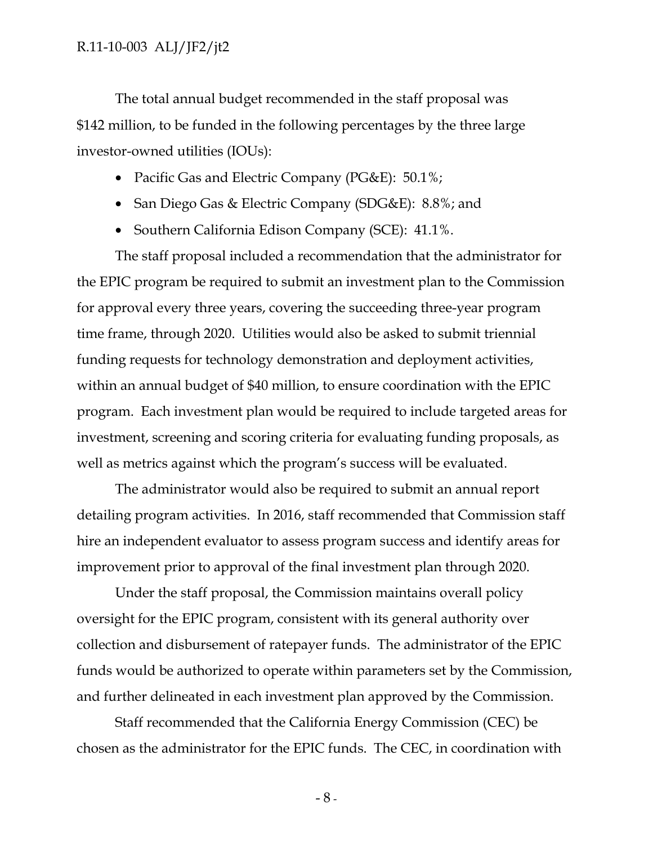The total annual budget recommended in the staff proposal was \$142 million, to be funded in the following percentages by the three large investor-owned utilities (IOUs):

- Pacific Gas and Electric Company (PG&E): 50.1%;
- San Diego Gas & Electric Company (SDG&E): 8.8%; and
- Southern California Edison Company (SCE): 41.1%.

The staff proposal included a recommendation that the administrator for the EPIC program be required to submit an investment plan to the Commission for approval every three years, covering the succeeding three-year program time frame, through 2020. Utilities would also be asked to submit triennial funding requests for technology demonstration and deployment activities, within an annual budget of \$40 million, to ensure coordination with the EPIC program. Each investment plan would be required to include targeted areas for investment, screening and scoring criteria for evaluating funding proposals, as well as metrics against which the program's success will be evaluated.

The administrator would also be required to submit an annual report detailing program activities. In 2016, staff recommended that Commission staff hire an independent evaluator to assess program success and identify areas for improvement prior to approval of the final investment plan through 2020.

Under the staff proposal, the Commission maintains overall policy oversight for the EPIC program, consistent with its general authority over collection and disbursement of ratepayer funds. The administrator of the EPIC funds would be authorized to operate within parameters set by the Commission, and further delineated in each investment plan approved by the Commission.

Staff recommended that the California Energy Commission (CEC) be chosen as the administrator for the EPIC funds. The CEC, in coordination with

 $-8-$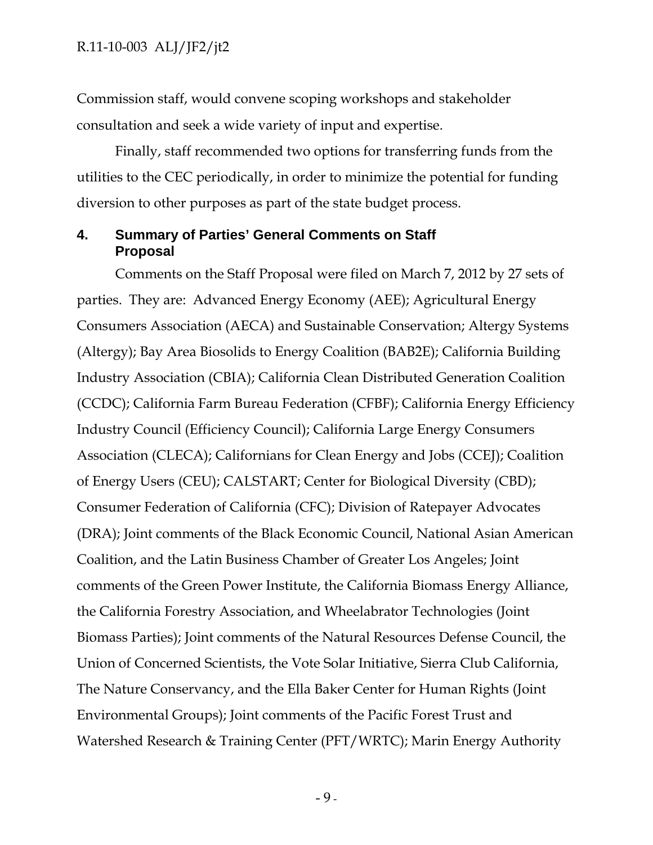Commission staff, would convene scoping workshops and stakeholder consultation and seek a wide variety of input and expertise.

Finally, staff recommended two options for transferring funds from the utilities to the CEC periodically, in order to minimize the potential for funding diversion to other purposes as part of the state budget process.

#### **4. Summary of Parties' General Comments on Staff Proposal**

Comments on the Staff Proposal were filed on March 7, 2012 by 27 sets of parties. They are: Advanced Energy Economy (AEE); Agricultural Energy Consumers Association (AECA) and Sustainable Conservation; Altergy Systems (Altergy); Bay Area Biosolids to Energy Coalition (BAB2E); California Building Industry Association (CBIA); California Clean Distributed Generation Coalition (CCDC); California Farm Bureau Federation (CFBF); California Energy Efficiency Industry Council (Efficiency Council); California Large Energy Consumers Association (CLECA); Californians for Clean Energy and Jobs (CCEJ); Coalition of Energy Users (CEU); CALSTART; Center for Biological Diversity (CBD); Consumer Federation of California (CFC); Division of Ratepayer Advocates (DRA); Joint comments of the Black Economic Council, National Asian American Coalition, and the Latin Business Chamber of Greater Los Angeles; Joint comments of the Green Power Institute, the California Biomass Energy Alliance, the California Forestry Association, and Wheelabrator Technologies (Joint Biomass Parties); Joint comments of the Natural Resources Defense Council, the Union of Concerned Scientists, the Vote Solar Initiative, Sierra Club California, The Nature Conservancy, and the Ella Baker Center for Human Rights (Joint Environmental Groups); Joint comments of the Pacific Forest Trust and Watershed Research & Training Center (PFT/WRTC); Marin Energy Authority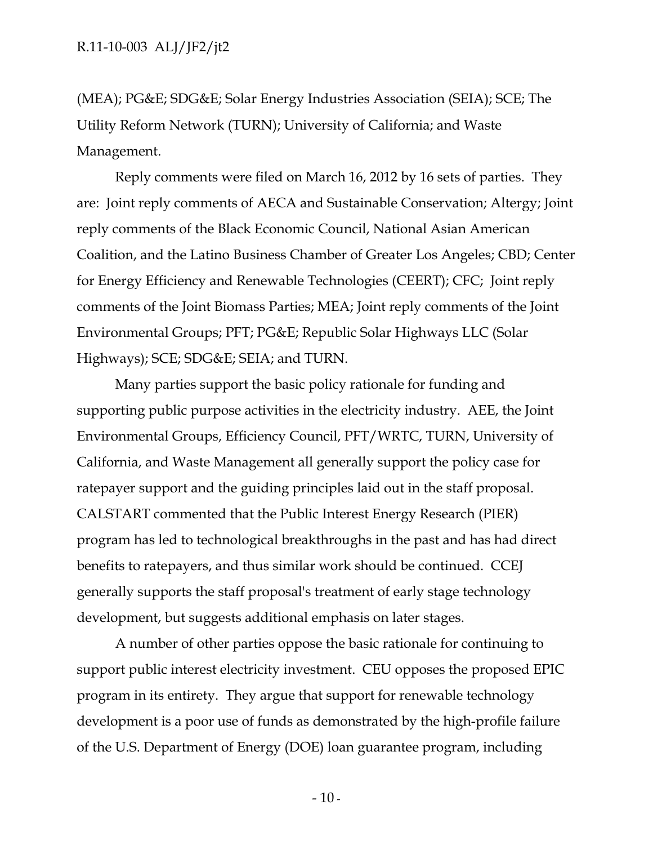(MEA); PG&E; SDG&E; Solar Energy Industries Association (SEIA); SCE; The Utility Reform Network (TURN); University of California; and Waste Management.

Reply comments were filed on March 16, 2012 by 16 sets of parties. They are: Joint reply comments of AECA and Sustainable Conservation; Altergy; Joint reply comments of the Black Economic Council, National Asian American Coalition, and the Latino Business Chamber of Greater Los Angeles; CBD; Center for Energy Efficiency and Renewable Technologies (CEERT); CFC; Joint reply comments of the Joint Biomass Parties; MEA; Joint reply comments of the Joint Environmental Groups; PFT; PG&E; Republic Solar Highways LLC (Solar Highways); SCE; SDG&E; SEIA; and TURN.

Many parties support the basic policy rationale for funding and supporting public purpose activities in the electricity industry. AEE, the Joint Environmental Groups, Efficiency Council, PFT/WRTC, TURN, University of California, and Waste Management all generally support the policy case for ratepayer support and the guiding principles laid out in the staff proposal. CALSTART commented that the Public Interest Energy Research (PIER) program has led to technological breakthroughs in the past and has had direct benefits to ratepayers, and thus similar work should be continued. CCEJ generally supports the staff proposal's treatment of early stage technology development, but suggests additional emphasis on later stages.

A number of other parties oppose the basic rationale for continuing to support public interest electricity investment. CEU opposes the proposed EPIC program in its entirety. They argue that support for renewable technology development is a poor use of funds as demonstrated by the high-profile failure of the U.S. Department of Energy (DOE) loan guarantee program, including

 $-10$  -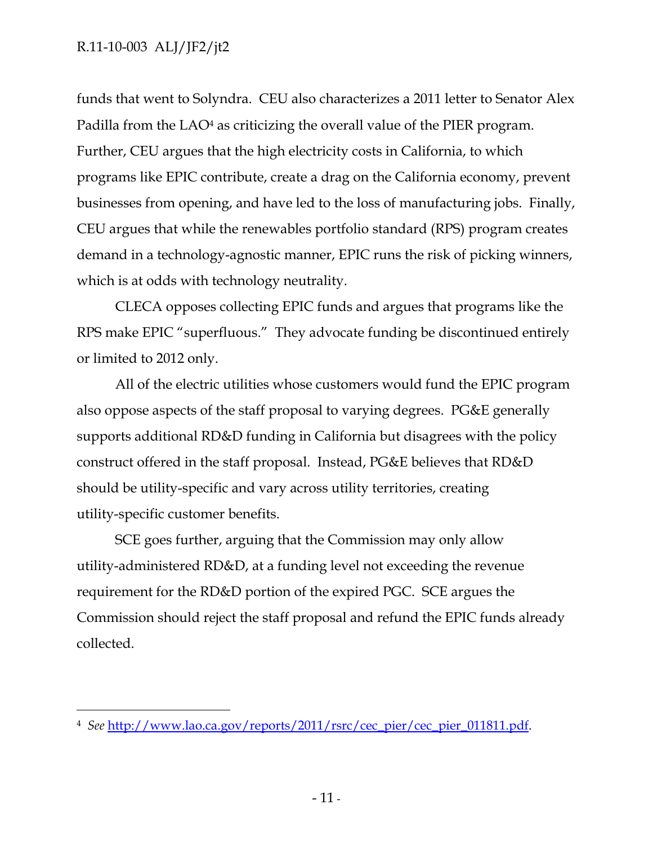-

funds that went to Solyndra. CEU also characterizes a 2011 letter to Senator Alex Padilla from the LAO<sup>4</sup> as criticizing the overall value of the PIER program. Further, CEU argues that the high electricity costs in California, to which programs like EPIC contribute, create a drag on the California economy, prevent businesses from opening, and have led to the loss of manufacturing jobs. Finally, CEU argues that while the renewables portfolio standard (RPS) program creates demand in a technology-agnostic manner, EPIC runs the risk of picking winners, which is at odds with technology neutrality.

CLECA opposes collecting EPIC funds and argues that programs like the RPS make EPIC "superfluous." They advocate funding be discontinued entirely or limited to 2012 only.

All of the electric utilities whose customers would fund the EPIC program also oppose aspects of the staff proposal to varying degrees. PG&E generally supports additional RD&D funding in California but disagrees with the policy construct offered in the staff proposal. Instead, PG&E believes that RD&D should be utility-specific and vary across utility territories, creating utility-specific customer benefits.

SCE goes further, arguing that the Commission may only allow utility-administered RD&D, at a funding level not exceeding the revenue requirement for the RD&D portion of the expired PGC. SCE argues the Commission should reject the staff proposal and refund the EPIC funds already collected.

<sup>4</sup> *See* http://www.lao.ca.gov/reports/2011/rsrc/cec\_pier/cec\_pier\_011811.pdf.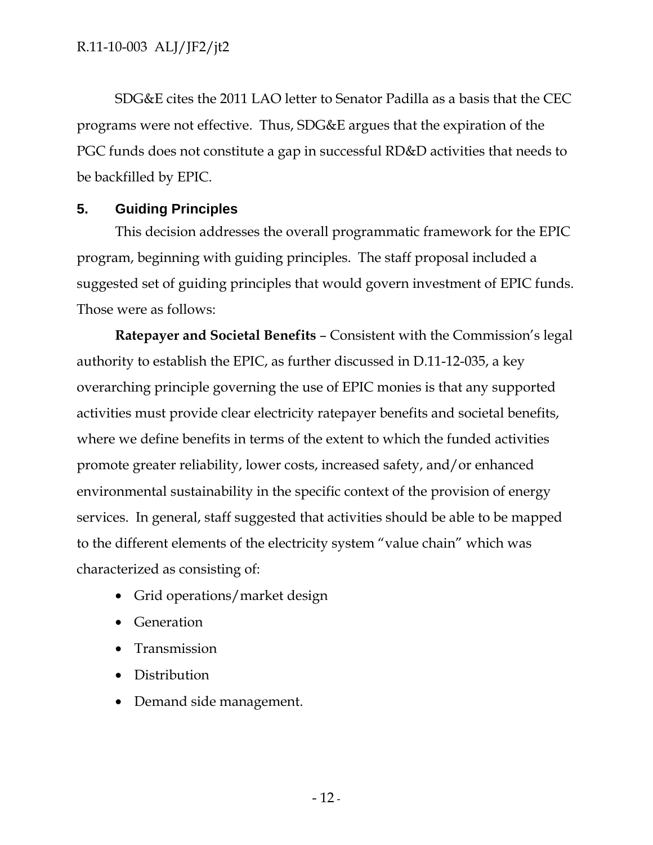SDG&E cites the 2011 LAO letter to Senator Padilla as a basis that the CEC programs were not effective. Thus, SDG&E argues that the expiration of the PGC funds does not constitute a gap in successful RD&D activities that needs to be backfilled by EPIC.

### **5. Guiding Principles**

This decision addresses the overall programmatic framework for the EPIC program, beginning with guiding principles. The staff proposal included a suggested set of guiding principles that would govern investment of EPIC funds. Those were as follows:

**Ratepayer and Societal Benefits** – Consistent with the Commission's legal authority to establish the EPIC, as further discussed in D.11-12-035, a key overarching principle governing the use of EPIC monies is that any supported activities must provide clear electricity ratepayer benefits and societal benefits, where we define benefits in terms of the extent to which the funded activities promote greater reliability, lower costs, increased safety, and/or enhanced environmental sustainability in the specific context of the provision of energy services. In general, staff suggested that activities should be able to be mapped to the different elements of the electricity system "value chain" which was characterized as consisting of:

- Grid operations/market design
- Generation
- Transmission
- Distribution
- Demand side management.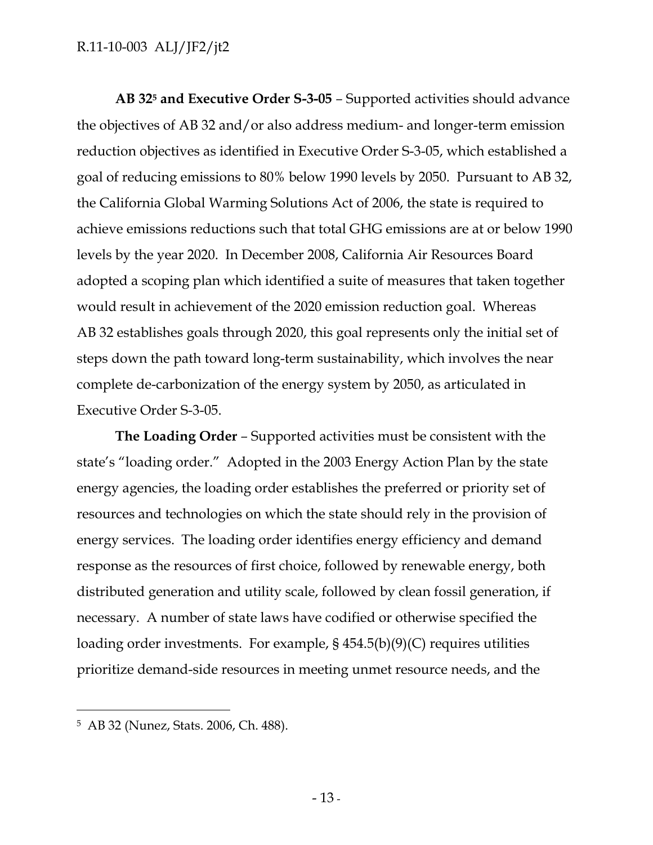**AB 325 and Executive Order S-3-05** *–* Supported activities should advance the objectives of AB 32 and/or also address medium- and longer-term emission reduction objectives as identified in Executive Order S-3-05, which established a goal of reducing emissions to 80% below 1990 levels by 2050. Pursuant to AB 32, the California Global Warming Solutions Act of 2006, the state is required to achieve emissions reductions such that total GHG emissions are at or below 1990 levels by the year 2020. In December 2008, California Air Resources Board adopted a scoping plan which identified a suite of measures that taken together would result in achievement of the 2020 emission reduction goal. Whereas AB 32 establishes goals through 2020, this goal represents only the initial set of steps down the path toward long-term sustainability, which involves the near complete de-carbonization of the energy system by 2050, as articulated in Executive Order S-3-05.

**The Loading Order** *–* Supported activities must be consistent with the state's "loading order." Adopted in the 2003 Energy Action Plan by the state energy agencies, the loading order establishes the preferred or priority set of resources and technologies on which the state should rely in the provision of energy services. The loading order identifies energy efficiency and demand response as the resources of first choice, followed by renewable energy, both distributed generation and utility scale, followed by clean fossil generation, if necessary. A number of state laws have codified or otherwise specified the loading order investments. For example, § 454.5(b)(9)(C) requires utilities prioritize demand-side resources in meeting unmet resource needs, and the

-

<sup>5</sup> AB 32 (Nunez, Stats. 2006, Ch. 488).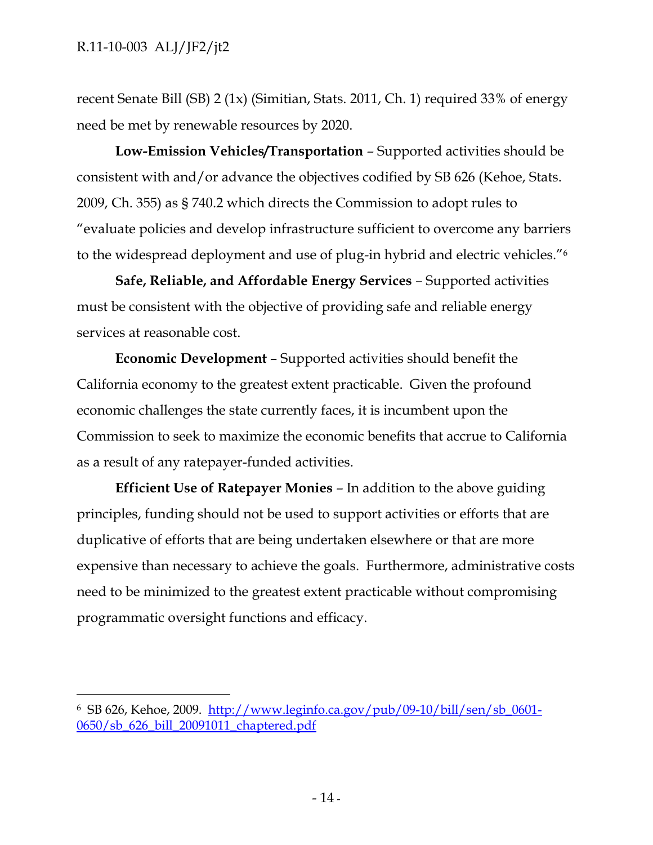-

recent Senate Bill (SB) 2 (1x) (Simitian, Stats. 2011, Ch. 1) required 33% of energy need be met by renewable resources by 2020.

**Low-Emission Vehicles/Transportation** *–* Supported activities should be consistent with and/or advance the objectives codified by SB 626 (Kehoe, Stats. 2009, Ch. 355) as § 740.2 which directs the Commission to adopt rules to "evaluate policies and develop infrastructure sufficient to overcome any barriers to the widespread deployment and use of plug-in hybrid and electric vehicles."6

**Safe, Reliable, and Affordable Energy Services** *–* Supported activities must be consistent with the objective of providing safe and reliable energy services at reasonable cost.

**Economic Development** – Supported activities should benefit the California economy to the greatest extent practicable. Given the profound economic challenges the state currently faces, it is incumbent upon the Commission to seek to maximize the economic benefits that accrue to California as a result of any ratepayer-funded activities.

**Efficient Use of Ratepayer Monies** *–* In addition to the above guiding principles, funding should not be used to support activities or efforts that are duplicative of efforts that are being undertaken elsewhere or that are more expensive than necessary to achieve the goals. Furthermore, administrative costs need to be minimized to the greatest extent practicable without compromising programmatic oversight functions and efficacy.

<sup>6</sup> SB 626, Kehoe, 2009. http://www.leginfo.ca.gov/pub/09-10/bill/sen/sb\_0601- 0650/sb\_626\_bill\_20091011\_chaptered.pdf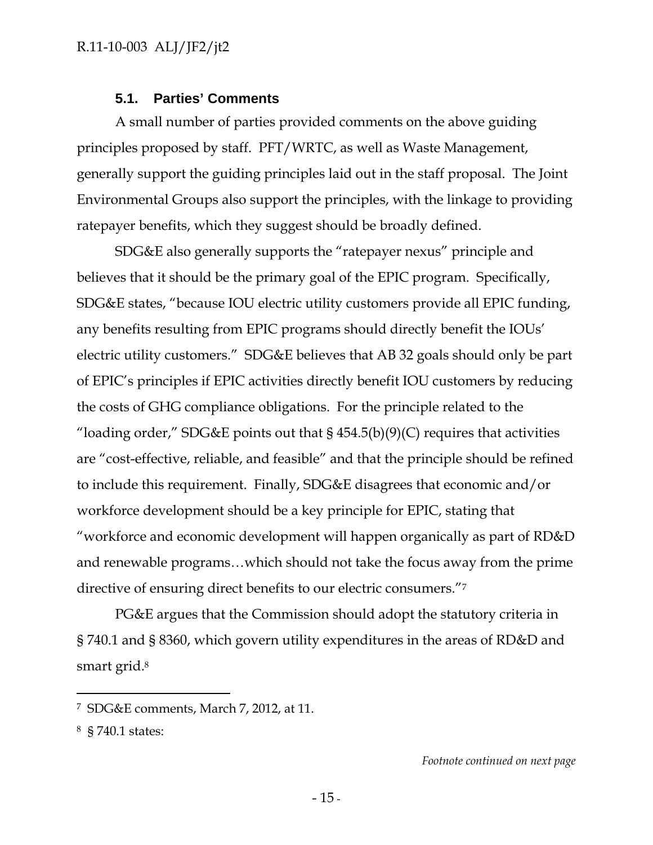#### **5.1. Parties' Comments**

A small number of parties provided comments on the above guiding principles proposed by staff. PFT/WRTC, as well as Waste Management, generally support the guiding principles laid out in the staff proposal. The Joint Environmental Groups also support the principles, with the linkage to providing ratepayer benefits, which they suggest should be broadly defined.

SDG&E also generally supports the "ratepayer nexus" principle and believes that it should be the primary goal of the EPIC program. Specifically, SDG&E states, "because IOU electric utility customers provide all EPIC funding, any benefits resulting from EPIC programs should directly benefit the IOUs' electric utility customers." SDG&E believes that AB 32 goals should only be part of EPIC's principles if EPIC activities directly benefit IOU customers by reducing the costs of GHG compliance obligations. For the principle related to the "loading order," SDG&E points out that  $\S$  454.5(b)(9)(C) requires that activities are "cost-effective, reliable, and feasible" and that the principle should be refined to include this requirement. Finally, SDG&E disagrees that economic and/or workforce development should be a key principle for EPIC, stating that "workforce and economic development will happen organically as part of RD&D and renewable programs…which should not take the focus away from the prime directive of ensuring direct benefits to our electric consumers."7

PG&E argues that the Commission should adopt the statutory criteria in § 740.1 and § 8360, which govern utility expenditures in the areas of RD&D and smart grid.<sup>8</sup>

-

<sup>7</sup> SDG&E comments, March 7, 2012, at 11.

<sup>8 § 740.1</sup> states: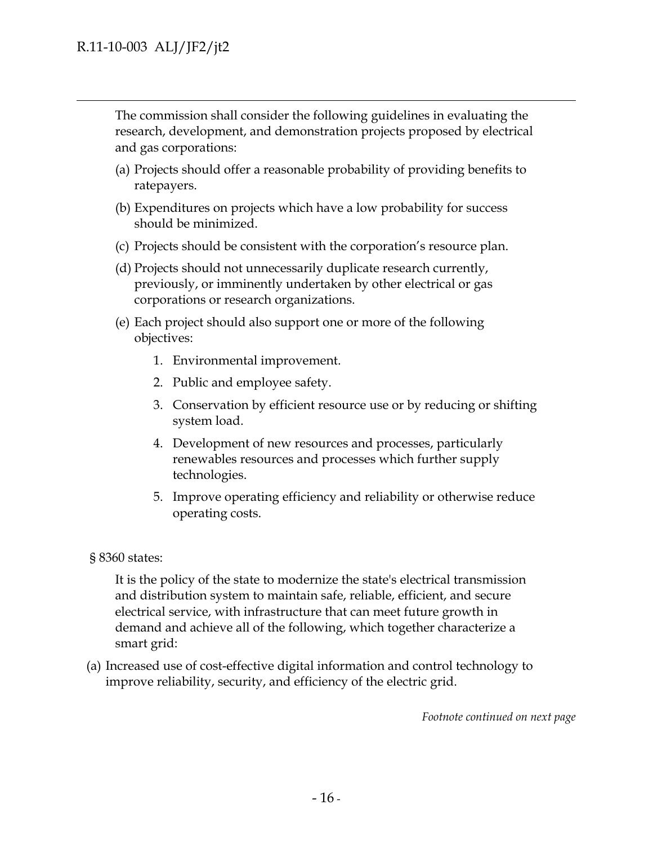$\overline{a}$ 

The commission shall consider the following guidelines in evaluating the research, development, and demonstration projects proposed by electrical and gas corporations:

- (a) Projects should offer a reasonable probability of providing benefits to ratepayers.
- (b) Expenditures on projects which have a low probability for success should be minimized.
- (c) Projects should be consistent with the corporation's resource plan.
- (d) Projects should not unnecessarily duplicate research currently, previously, or imminently undertaken by other electrical or gas corporations or research organizations.
- (e) Each project should also support one or more of the following objectives:
	- 1. Environmental improvement.
	- 2. Public and employee safety.
	- 3. Conservation by efficient resource use or by reducing or shifting system load.
	- 4. Development of new resources and processes, particularly renewables resources and processes which further supply technologies.
	- 5. Improve operating efficiency and reliability or otherwise reduce operating costs.
- § 8360 states:

It is the policy of the state to modernize the state's electrical transmission and distribution system to maintain safe, reliable, efficient, and secure electrical service, with infrastructure that can meet future growth in demand and achieve all of the following, which together characterize a smart grid:

(a) Increased use of cost-effective digital information and control technology to improve reliability, security, and efficiency of the electric grid.

*Footnote continued on next page*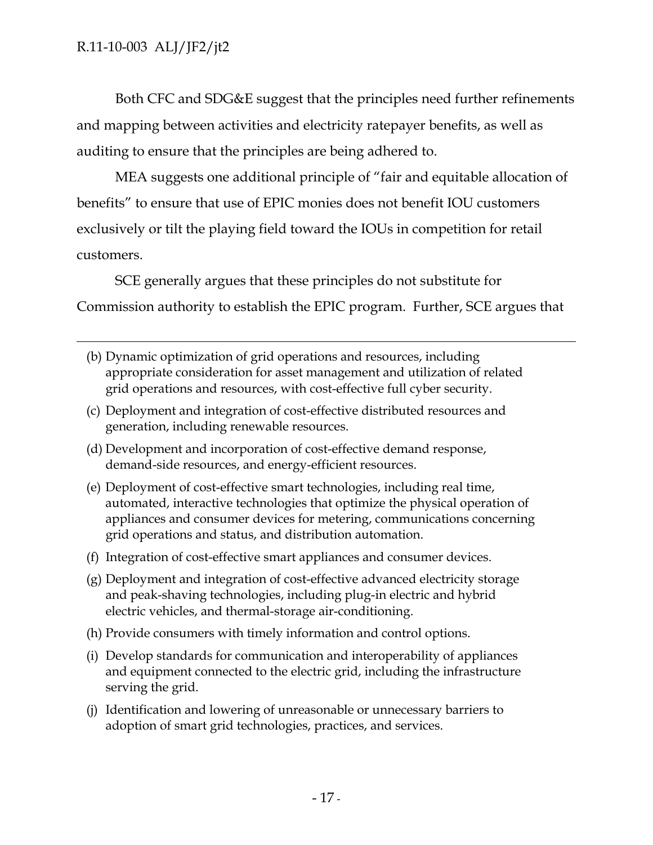-

Both CFC and SDG&E suggest that the principles need further refinements and mapping between activities and electricity ratepayer benefits, as well as auditing to ensure that the principles are being adhered to.

MEA suggests one additional principle of "fair and equitable allocation of benefits" to ensure that use of EPIC monies does not benefit IOU customers exclusively or tilt the playing field toward the IOUs in competition for retail customers.

SCE generally argues that these principles do not substitute for Commission authority to establish the EPIC program. Further, SCE argues that

- (b) Dynamic optimization of grid operations and resources, including appropriate consideration for asset management and utilization of related grid operations and resources, with cost-effective full cyber security.
- (c) Deployment and integration of cost-effective distributed resources and generation, including renewable resources.
- (d) Development and incorporation of cost-effective demand response, demand-side resources, and energy-efficient resources.
- (e) Deployment of cost-effective smart technologies, including real time, automated, interactive technologies that optimize the physical operation of appliances and consumer devices for metering, communications concerning grid operations and status, and distribution automation.
- (f) Integration of cost-effective smart appliances and consumer devices.
- (g) Deployment and integration of cost-effective advanced electricity storage and peak-shaving technologies, including plug-in electric and hybrid electric vehicles, and thermal-storage air-conditioning.
- (h) Provide consumers with timely information and control options.
- (i) Develop standards for communication and interoperability of appliances and equipment connected to the electric grid, including the infrastructure serving the grid.
- (j) Identification and lowering of unreasonable or unnecessary barriers to adoption of smart grid technologies, practices, and services.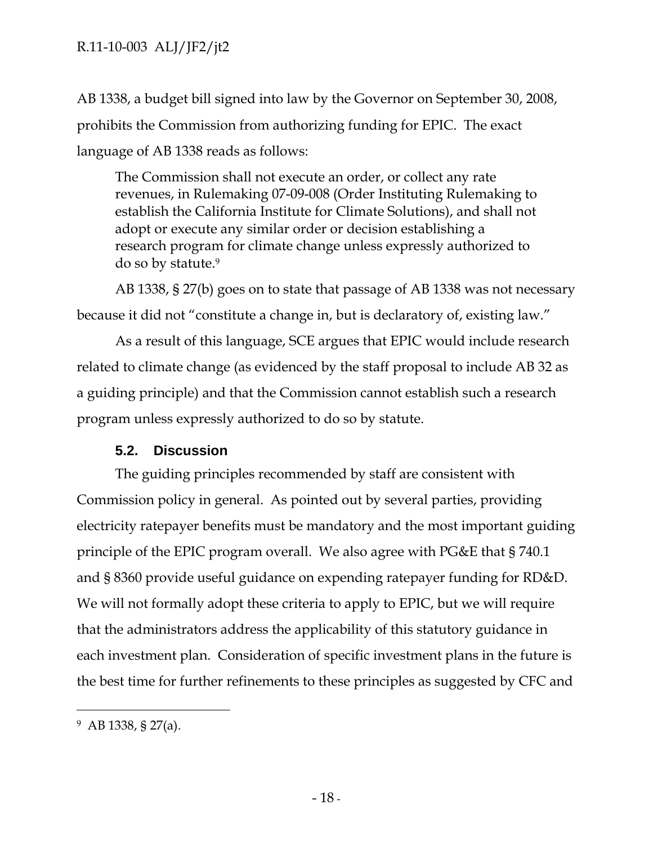AB 1338, a budget bill signed into law by the Governor on September 30, 2008, prohibits the Commission from authorizing funding for EPIC. The exact language of AB 1338 reads as follows:

The Commission shall not execute an order, or collect any rate revenues, in Rulemaking 07-09-008 (Order Instituting Rulemaking to establish the California Institute for Climate Solutions), and shall not adopt or execute any similar order or decision establishing a research program for climate change unless expressly authorized to do so by statute.9

AB 1338, § 27(b) goes on to state that passage of AB 1338 was not necessary because it did not "constitute a change in, but is declaratory of, existing law."

As a result of this language, SCE argues that EPIC would include research related to climate change (as evidenced by the staff proposal to include AB 32 as a guiding principle) and that the Commission cannot establish such a research program unless expressly authorized to do so by statute.

## **5.2. Discussion**

The guiding principles recommended by staff are consistent with Commission policy in general. As pointed out by several parties, providing electricity ratepayer benefits must be mandatory and the most important guiding principle of the EPIC program overall. We also agree with PG&E that § 740.1 and § 8360 provide useful guidance on expending ratepayer funding for RD&D. We will not formally adopt these criteria to apply to EPIC, but we will require that the administrators address the applicability of this statutory guidance in each investment plan. Consideration of specific investment plans in the future is the best time for further refinements to these principles as suggested by CFC and

-

<sup>9</sup> AB 1338, § 27(a).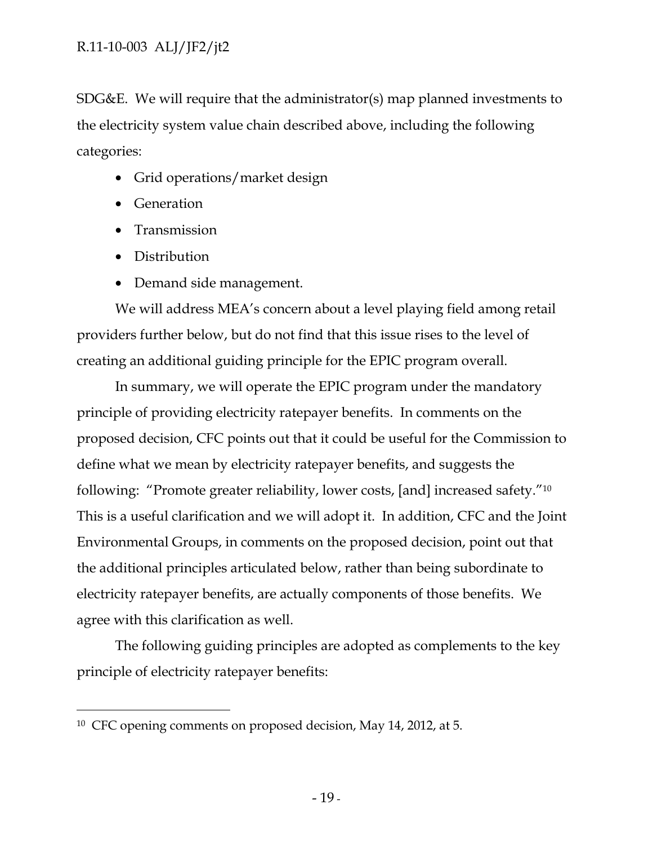SDG&E. We will require that the administrator(s) map planned investments to the electricity system value chain described above, including the following categories:

- Grid operations/market design
- Generation
- Transmission
- Distribution

-

• Demand side management.

We will address MEA's concern about a level playing field among retail providers further below, but do not find that this issue rises to the level of creating an additional guiding principle for the EPIC program overall.

In summary, we will operate the EPIC program under the mandatory principle of providing electricity ratepayer benefits. In comments on the proposed decision, CFC points out that it could be useful for the Commission to define what we mean by electricity ratepayer benefits, and suggests the following: "Promote greater reliability, lower costs, [and] increased safety."10 This is a useful clarification and we will adopt it. In addition, CFC and the Joint Environmental Groups, in comments on the proposed decision, point out that the additional principles articulated below, rather than being subordinate to electricity ratepayer benefits, are actually components of those benefits. We agree with this clarification as well.

The following guiding principles are adopted as complements to the key principle of electricity ratepayer benefits:

<sup>10</sup> CFC opening comments on proposed decision, May 14, 2012, at 5.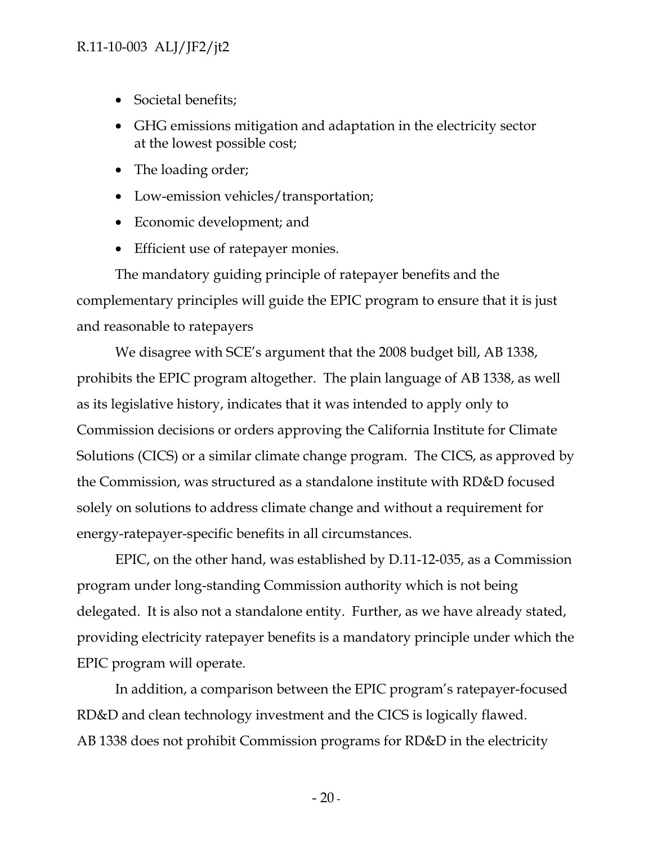- Societal benefits;
- GHG emissions mitigation and adaptation in the electricity sector at the lowest possible cost;
- The loading order;
- Low-emission vehicles/transportation;
- Economic development; and
- Efficient use of ratepayer monies.

The mandatory guiding principle of ratepayer benefits and the complementary principles will guide the EPIC program to ensure that it is just and reasonable to ratepayers

We disagree with SCE's argument that the 2008 budget bill, AB 1338, prohibits the EPIC program altogether. The plain language of AB 1338, as well as its legislative history, indicates that it was intended to apply only to Commission decisions or orders approving the California Institute for Climate Solutions (CICS) or a similar climate change program. The CICS, as approved by the Commission, was structured as a standalone institute with RD&D focused solely on solutions to address climate change and without a requirement for energy-ratepayer-specific benefits in all circumstances.

EPIC, on the other hand, was established by D.11-12-035, as a Commission program under long-standing Commission authority which is not being delegated. It is also not a standalone entity. Further, as we have already stated, providing electricity ratepayer benefits is a mandatory principle under which the EPIC program will operate.

In addition, a comparison between the EPIC program's ratepayer-focused RD&D and clean technology investment and the CICS is logically flawed. AB 1338 does not prohibit Commission programs for RD&D in the electricity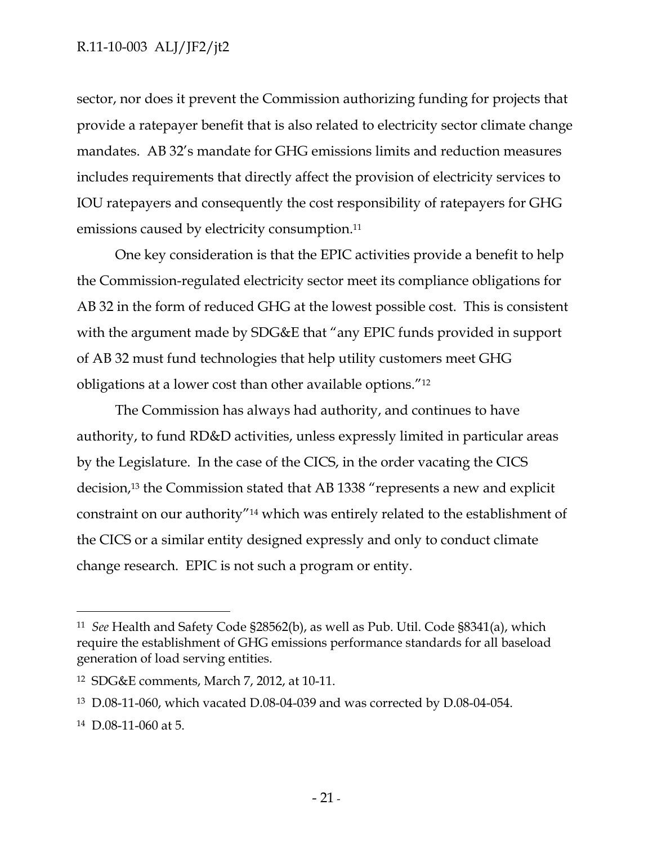sector, nor does it prevent the Commission authorizing funding for projects that provide a ratepayer benefit that is also related to electricity sector climate change mandates. AB 32's mandate for GHG emissions limits and reduction measures includes requirements that directly affect the provision of electricity services to IOU ratepayers and consequently the cost responsibility of ratepayers for GHG emissions caused by electricity consumption.11

One key consideration is that the EPIC activities provide a benefit to help the Commission-regulated electricity sector meet its compliance obligations for AB 32 in the form of reduced GHG at the lowest possible cost. This is consistent with the argument made by SDG&E that "any EPIC funds provided in support of AB 32 must fund technologies that help utility customers meet GHG obligations at a lower cost than other available options."12

The Commission has always had authority, and continues to have authority, to fund RD&D activities, unless expressly limited in particular areas by the Legislature. In the case of the CICS, in the order vacating the CICS decision,13 the Commission stated that AB 1338 "represents a new and explicit constraint on our authority"14 which was entirely related to the establishment of the CICS or a similar entity designed expressly and only to conduct climate change research. EPIC is not such a program or entity.

 $\overline{a}$ 

<sup>11</sup> *See* Health and Safety Code §28562(b), as well as Pub. Util. Code §8341(a), which require the establishment of GHG emissions performance standards for all baseload generation of load serving entities.

<sup>12</sup> SDG&E comments, March 7, 2012, at 10-11.

<sup>13</sup> D.08-11-060, which vacated D.08-04-039 and was corrected by D.08-04-054.

<sup>14</sup> D.08-11-060 at 5.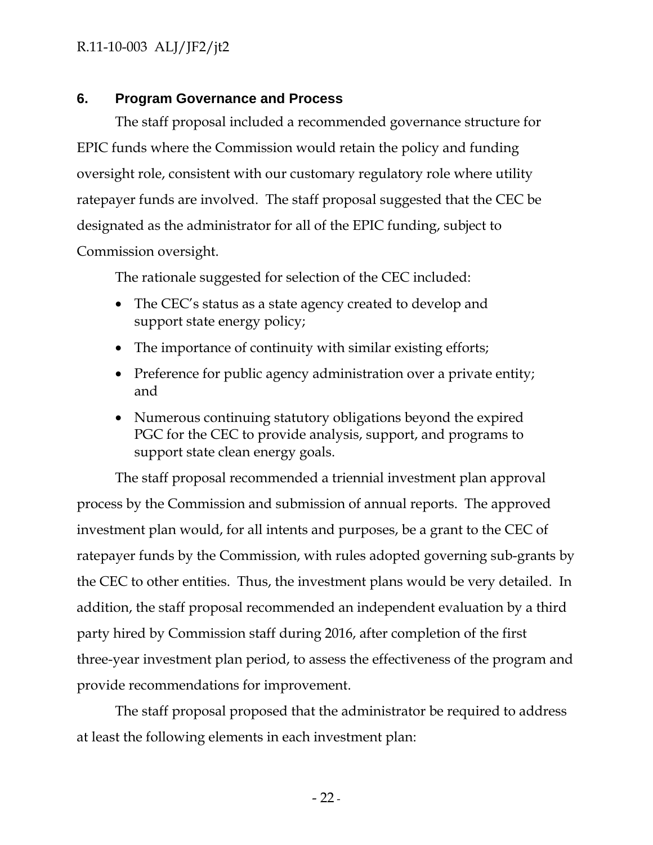#### **6. Program Governance and Process**

The staff proposal included a recommended governance structure for EPIC funds where the Commission would retain the policy and funding oversight role, consistent with our customary regulatory role where utility ratepayer funds are involved. The staff proposal suggested that the CEC be designated as the administrator for all of the EPIC funding, subject to Commission oversight.

The rationale suggested for selection of the CEC included:

- The CEC's status as a state agency created to develop and support state energy policy;
- The importance of continuity with similar existing efforts;
- Preference for public agency administration over a private entity; and
- Numerous continuing statutory obligations beyond the expired PGC for the CEC to provide analysis, support, and programs to support state clean energy goals.

The staff proposal recommended a triennial investment plan approval process by the Commission and submission of annual reports. The approved investment plan would, for all intents and purposes, be a grant to the CEC of ratepayer funds by the Commission, with rules adopted governing sub-grants by the CEC to other entities. Thus, the investment plans would be very detailed. In addition, the staff proposal recommended an independent evaluation by a third party hired by Commission staff during 2016, after completion of the first three-year investment plan period, to assess the effectiveness of the program and provide recommendations for improvement.

The staff proposal proposed that the administrator be required to address at least the following elements in each investment plan: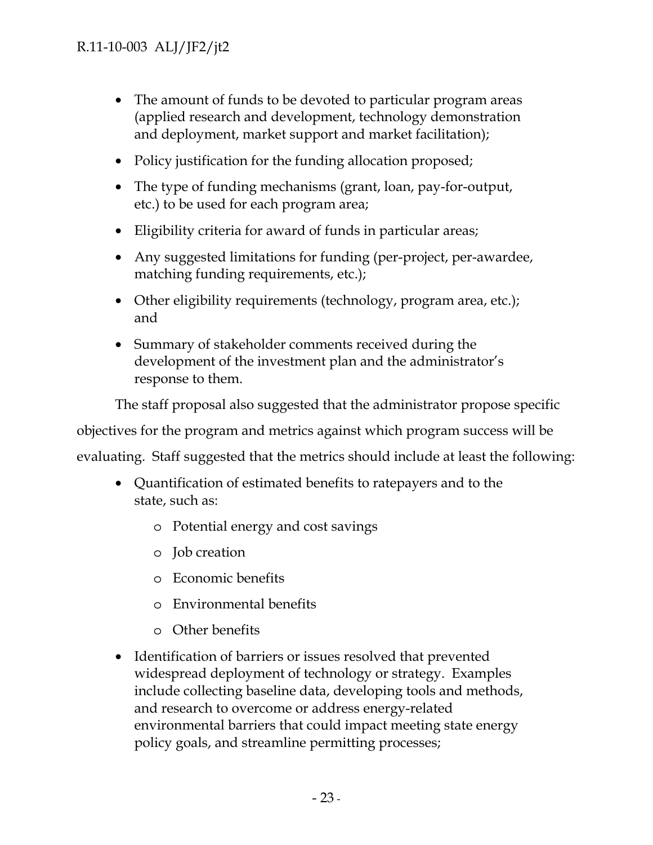- The amount of funds to be devoted to particular program areas (applied research and development, technology demonstration and deployment, market support and market facilitation);
- Policy justification for the funding allocation proposed;
- The type of funding mechanisms (grant, loan, pay-for-output, etc.) to be used for each program area;
- Eligibility criteria for award of funds in particular areas;
- Any suggested limitations for funding (per-project, per-awardee, matching funding requirements, etc.);
- Other eligibility requirements (technology, program area, etc.); and
- Summary of stakeholder comments received during the development of the investment plan and the administrator's response to them.

The staff proposal also suggested that the administrator propose specific

objectives for the program and metrics against which program success will be

evaluating. Staff suggested that the metrics should include at least the following:

- Quantification of estimated benefits to ratepayers and to the state, such as:
	- o Potential energy and cost savings
	- o Job creation
	- o Economic benefits
	- o Environmental benefits
	- o Other benefits
- Identification of barriers or issues resolved that prevented widespread deployment of technology or strategy. Examples include collecting baseline data, developing tools and methods, and research to overcome or address energy-related environmental barriers that could impact meeting state energy policy goals, and streamline permitting processes;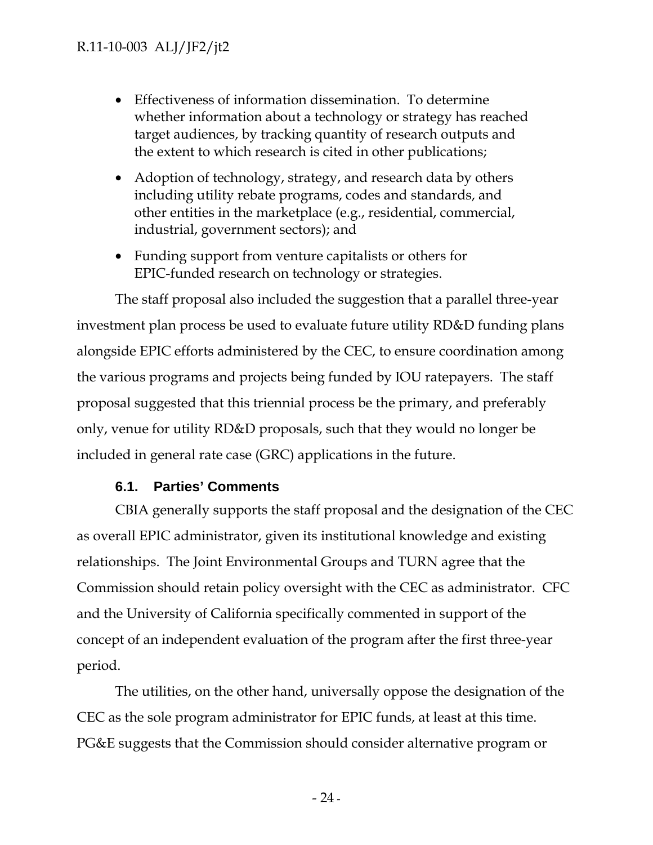- Effectiveness of information dissemination. To determine whether information about a technology or strategy has reached target audiences, by tracking quantity of research outputs and the extent to which research is cited in other publications;
- Adoption of technology, strategy, and research data by others including utility rebate programs, codes and standards, and other entities in the marketplace (e.g., residential, commercial, industrial, government sectors); and
- Funding support from venture capitalists or others for EPIC-funded research on technology or strategies.

The staff proposal also included the suggestion that a parallel three-year investment plan process be used to evaluate future utility RD&D funding plans alongside EPIC efforts administered by the CEC, to ensure coordination among the various programs and projects being funded by IOU ratepayers. The staff proposal suggested that this triennial process be the primary, and preferably only, venue for utility RD&D proposals, such that they would no longer be included in general rate case (GRC) applications in the future.

## **6.1. Parties' Comments**

CBIA generally supports the staff proposal and the designation of the CEC as overall EPIC administrator, given its institutional knowledge and existing relationships. The Joint Environmental Groups and TURN agree that the Commission should retain policy oversight with the CEC as administrator. CFC and the University of California specifically commented in support of the concept of an independent evaluation of the program after the first three-year period.

The utilities, on the other hand, universally oppose the designation of the CEC as the sole program administrator for EPIC funds, at least at this time. PG&E suggests that the Commission should consider alternative program or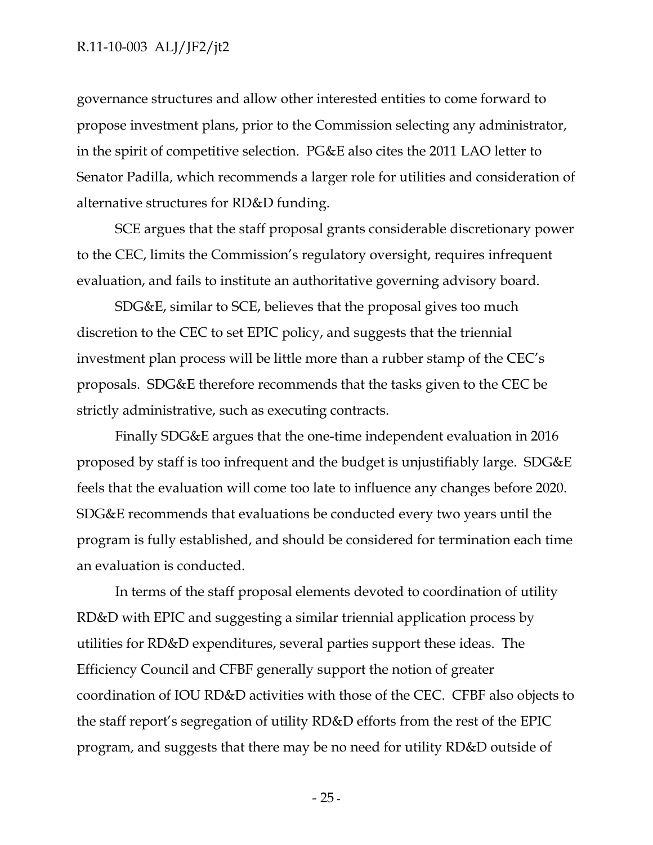governance structures and allow other interested entities to come forward to propose investment plans, prior to the Commission selecting any administrator, in the spirit of competitive selection. PG&E also cites the 2011 LAO letter to Senator Padilla, which recommends a larger role for utilities and consideration of alternative structures for RD&D funding.

SCE argues that the staff proposal grants considerable discretionary power to the CEC, limits the Commission's regulatory oversight, requires infrequent evaluation, and fails to institute an authoritative governing advisory board.

SDG&E, similar to SCE, believes that the proposal gives too much discretion to the CEC to set EPIC policy, and suggests that the triennial investment plan process will be little more than a rubber stamp of the CEC's proposals. SDG&E therefore recommends that the tasks given to the CEC be strictly administrative, such as executing contracts.

Finally SDG&E argues that the one-time independent evaluation in 2016 proposed by staff is too infrequent and the budget is unjustifiably large. SDG&E feels that the evaluation will come too late to influence any changes before 2020. SDG&E recommends that evaluations be conducted every two years until the program is fully established, and should be considered for termination each time an evaluation is conducted.

In terms of the staff proposal elements devoted to coordination of utility RD&D with EPIC and suggesting a similar triennial application process by utilities for RD&D expenditures, several parties support these ideas. The Efficiency Council and CFBF generally support the notion of greater coordination of IOU RD&D activities with those of the CEC. CFBF also objects to the staff report's segregation of utility RD&D efforts from the rest of the EPIC program, and suggests that there may be no need for utility RD&D outside of

 $- 25$  -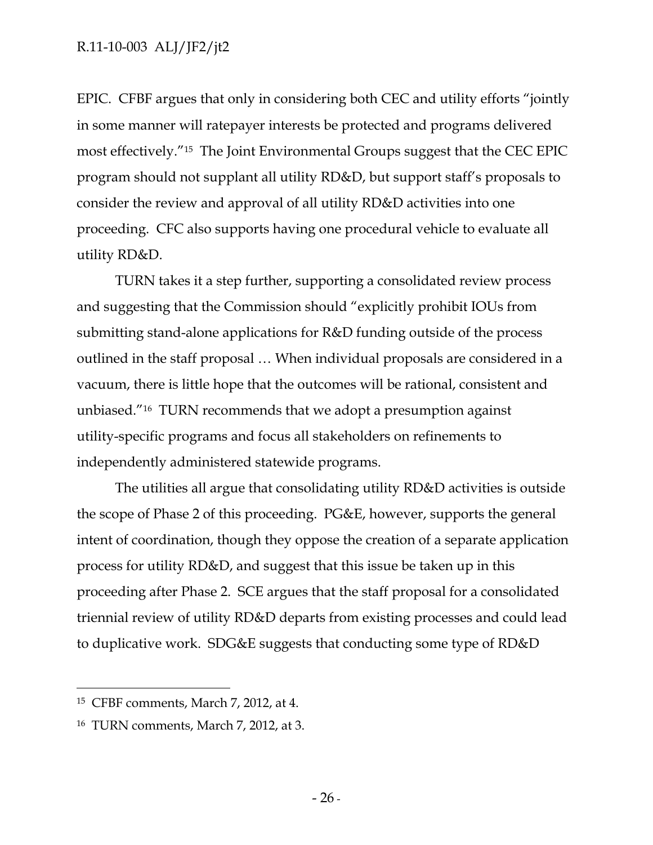EPIC. CFBF argues that only in considering both CEC and utility efforts "jointly in some manner will ratepayer interests be protected and programs delivered most effectively."15 The Joint Environmental Groups suggest that the CEC EPIC program should not supplant all utility RD&D, but support staff's proposals to consider the review and approval of all utility RD&D activities into one proceeding. CFC also supports having one procedural vehicle to evaluate all utility RD&D.

TURN takes it a step further, supporting a consolidated review process and suggesting that the Commission should "explicitly prohibit IOUs from submitting stand-alone applications for R&D funding outside of the process outlined in the staff proposal … When individual proposals are considered in a vacuum, there is little hope that the outcomes will be rational, consistent and unbiased."16 TURN recommends that we adopt a presumption against utility-specific programs and focus all stakeholders on refinements to independently administered statewide programs.

The utilities all argue that consolidating utility RD&D activities is outside the scope of Phase 2 of this proceeding. PG&E, however, supports the general intent of coordination, though they oppose the creation of a separate application process for utility RD&D, and suggest that this issue be taken up in this proceeding after Phase 2. SCE argues that the staff proposal for a consolidated triennial review of utility RD&D departs from existing processes and could lead to duplicative work. SDG&E suggests that conducting some type of RD&D

 $\overline{a}$ 

<sup>15</sup> CFBF comments, March 7, 2012, at 4.

<sup>16</sup> TURN comments, March 7, 2012, at 3.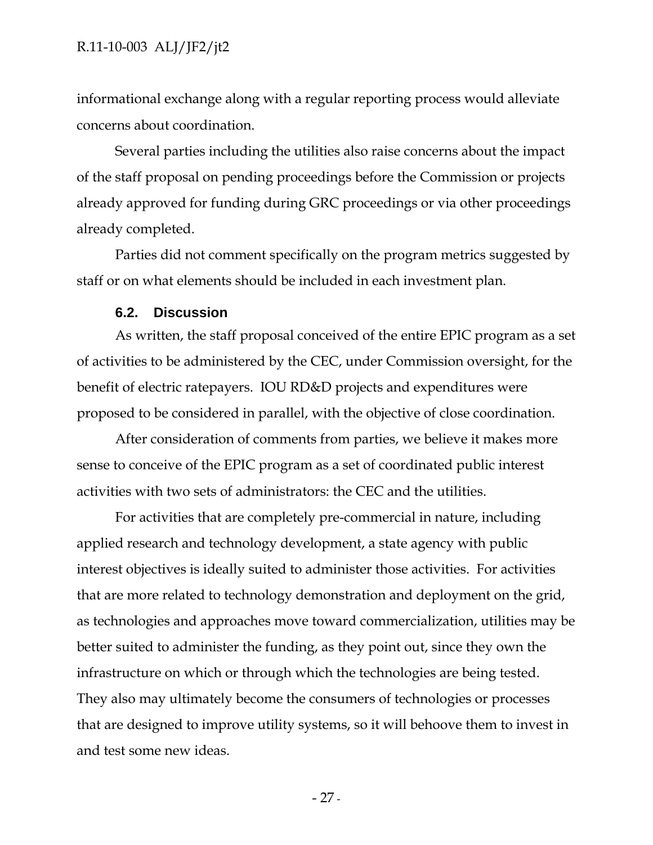informational exchange along with a regular reporting process would alleviate concerns about coordination.

Several parties including the utilities also raise concerns about the impact of the staff proposal on pending proceedings before the Commission or projects already approved for funding during GRC proceedings or via other proceedings already completed.

Parties did not comment specifically on the program metrics suggested by staff or on what elements should be included in each investment plan.

#### **6.2. Discussion**

As written, the staff proposal conceived of the entire EPIC program as a set of activities to be administered by the CEC, under Commission oversight, for the benefit of electric ratepayers. IOU RD&D projects and expenditures were proposed to be considered in parallel, with the objective of close coordination.

After consideration of comments from parties, we believe it makes more sense to conceive of the EPIC program as a set of coordinated public interest activities with two sets of administrators: the CEC and the utilities.

For activities that are completely pre-commercial in nature, including applied research and technology development, a state agency with public interest objectives is ideally suited to administer those activities. For activities that are more related to technology demonstration and deployment on the grid, as technologies and approaches move toward commercialization, utilities may be better suited to administer the funding, as they point out, since they own the infrastructure on which or through which the technologies are being tested. They also may ultimately become the consumers of technologies or processes that are designed to improve utility systems, so it will behoove them to invest in and test some new ideas.

- 27 -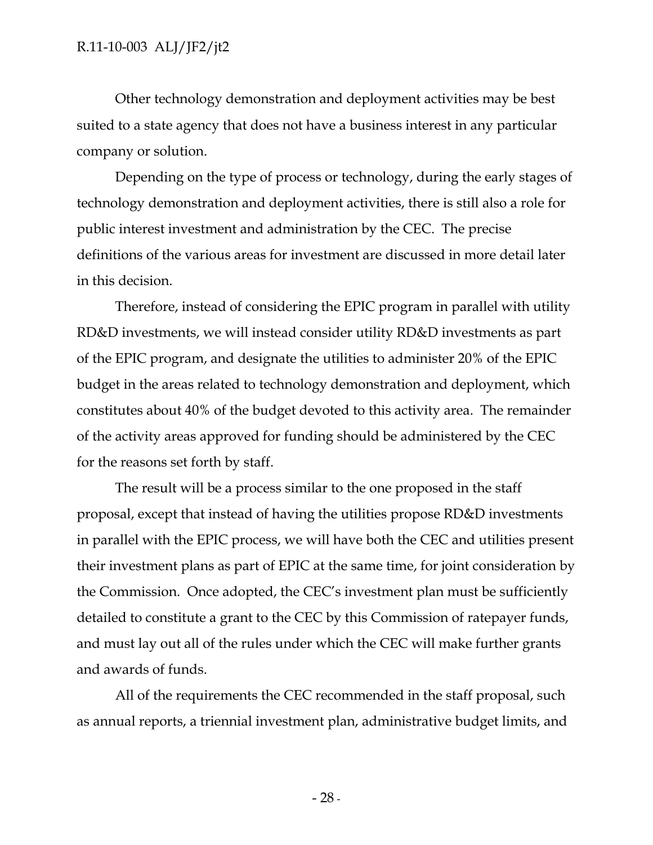Other technology demonstration and deployment activities may be best suited to a state agency that does not have a business interest in any particular company or solution.

Depending on the type of process or technology, during the early stages of technology demonstration and deployment activities, there is still also a role for public interest investment and administration by the CEC. The precise definitions of the various areas for investment are discussed in more detail later in this decision.

Therefore, instead of considering the EPIC program in parallel with utility RD&D investments, we will instead consider utility RD&D investments as part of the EPIC program, and designate the utilities to administer 20% of the EPIC budget in the areas related to technology demonstration and deployment, which constitutes about 40% of the budget devoted to this activity area. The remainder of the activity areas approved for funding should be administered by the CEC for the reasons set forth by staff.

The result will be a process similar to the one proposed in the staff proposal, except that instead of having the utilities propose RD&D investments in parallel with the EPIC process, we will have both the CEC and utilities present their investment plans as part of EPIC at the same time, for joint consideration by the Commission. Once adopted, the CEC's investment plan must be sufficiently detailed to constitute a grant to the CEC by this Commission of ratepayer funds, and must lay out all of the rules under which the CEC will make further grants and awards of funds.

All of the requirements the CEC recommended in the staff proposal, such as annual reports, a triennial investment plan, administrative budget limits, and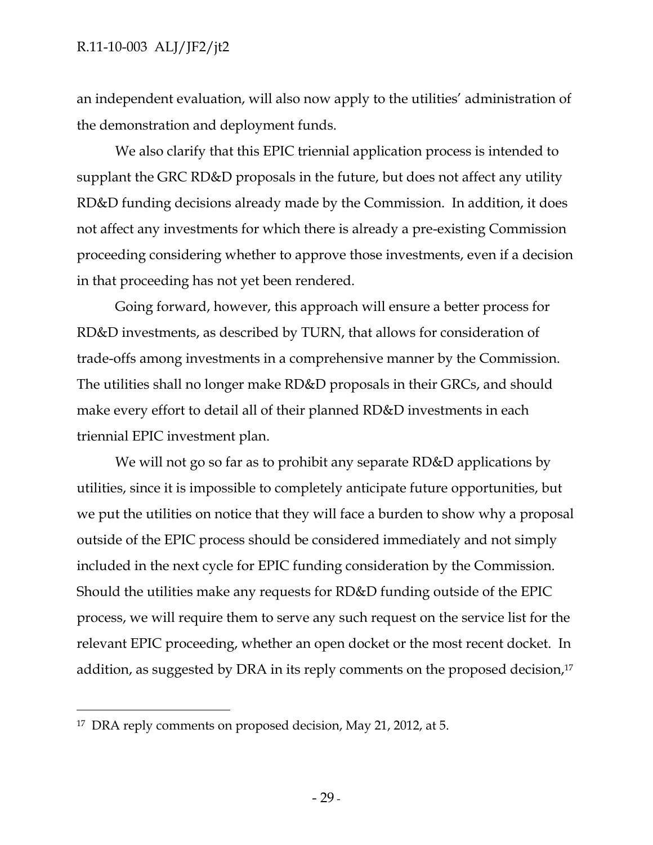an independent evaluation, will also now apply to the utilities' administration of the demonstration and deployment funds.

We also clarify that this EPIC triennial application process is intended to supplant the GRC RD&D proposals in the future, but does not affect any utility RD&D funding decisions already made by the Commission. In addition, it does not affect any investments for which there is already a pre-existing Commission proceeding considering whether to approve those investments, even if a decision in that proceeding has not yet been rendered.

Going forward, however, this approach will ensure a better process for RD&D investments, as described by TURN, that allows for consideration of trade-offs among investments in a comprehensive manner by the Commission. The utilities shall no longer make RD&D proposals in their GRCs, and should make every effort to detail all of their planned RD&D investments in each triennial EPIC investment plan.

We will not go so far as to prohibit any separate RD&D applications by utilities, since it is impossible to completely anticipate future opportunities, but we put the utilities on notice that they will face a burden to show why a proposal outside of the EPIC process should be considered immediately and not simply included in the next cycle for EPIC funding consideration by the Commission. Should the utilities make any requests for RD&D funding outside of the EPIC process, we will require them to serve any such request on the service list for the relevant EPIC proceeding, whether an open docket or the most recent docket. In addition, as suggested by DRA in its reply comments on the proposed decision,<sup>17</sup>

-

<sup>17</sup> DRA reply comments on proposed decision, May 21, 2012, at 5.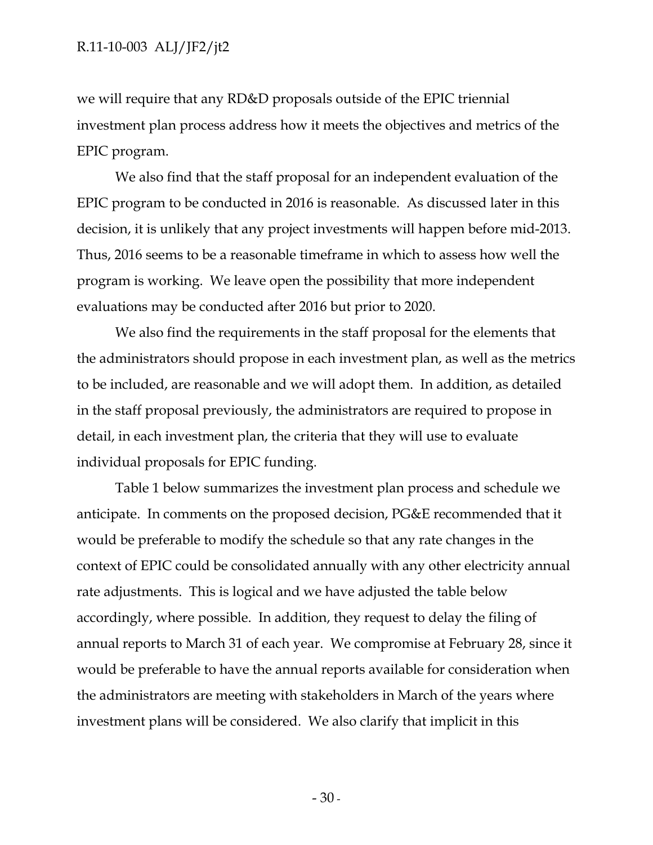we will require that any RD&D proposals outside of the EPIC triennial investment plan process address how it meets the objectives and metrics of the EPIC program.

We also find that the staff proposal for an independent evaluation of the EPIC program to be conducted in 2016 is reasonable. As discussed later in this decision, it is unlikely that any project investments will happen before mid-2013. Thus, 2016 seems to be a reasonable timeframe in which to assess how well the program is working. We leave open the possibility that more independent evaluations may be conducted after 2016 but prior to 2020.

We also find the requirements in the staff proposal for the elements that the administrators should propose in each investment plan, as well as the metrics to be included, are reasonable and we will adopt them. In addition, as detailed in the staff proposal previously, the administrators are required to propose in detail, in each investment plan, the criteria that they will use to evaluate individual proposals for EPIC funding.

Table 1 below summarizes the investment plan process and schedule we anticipate. In comments on the proposed decision, PG&E recommended that it would be preferable to modify the schedule so that any rate changes in the context of EPIC could be consolidated annually with any other electricity annual rate adjustments. This is logical and we have adjusted the table below accordingly, where possible. In addition, they request to delay the filing of annual reports to March 31 of each year. We compromise at February 28, since it would be preferable to have the annual reports available for consideration when the administrators are meeting with stakeholders in March of the years where investment plans will be considered. We also clarify that implicit in this

 $-30-$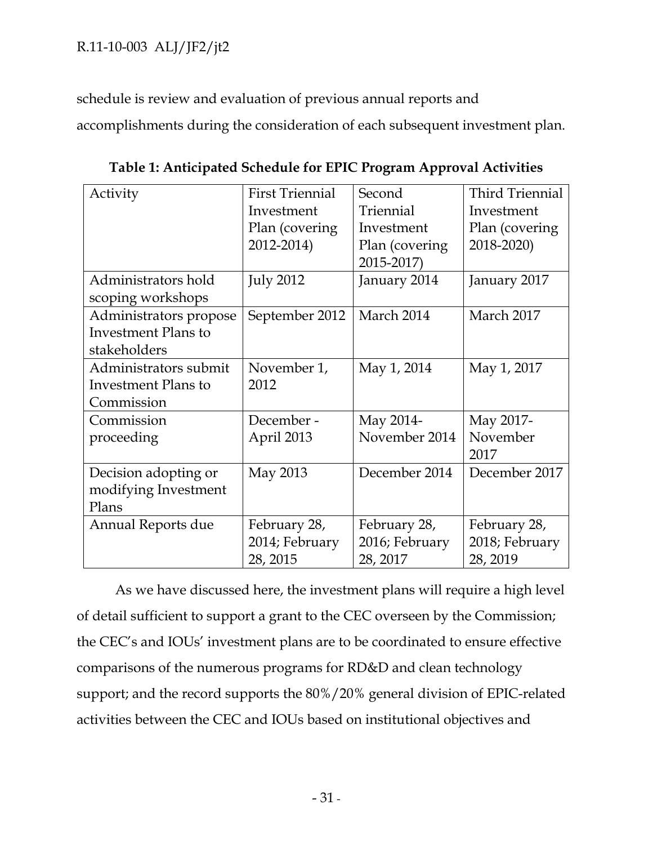schedule is review and evaluation of previous annual reports and

accomplishments during the consideration of each subsequent investment plan.

| Activity                                                             | <b>First Triennial</b><br>Investment<br>Plan (covering)<br>2012-2014) | Second<br>Triennial<br>Investment<br>Plan (covering<br>2015-2017) | <b>Third Triennial</b><br>Investment<br>Plan (covering)<br>2018-2020) |
|----------------------------------------------------------------------|-----------------------------------------------------------------------|-------------------------------------------------------------------|-----------------------------------------------------------------------|
| Administrators hold<br>scoping workshops                             | <b>July 2012</b>                                                      | January 2014                                                      | January 2017                                                          |
| Administrators propose<br><b>Investment Plans to</b><br>stakeholders | September 2012                                                        | March 2014                                                        | March 2017                                                            |
| Administrators submit<br>Investment Plans to<br>Commission           | November 1,<br>2012                                                   | May 1, 2014                                                       | May 1, 2017                                                           |
| Commission<br>proceeding                                             | December -<br>April 2013                                              | May 2014-<br>November 2014                                        | May 2017-<br>November<br>2017                                         |
| Decision adopting or<br>modifying Investment<br>Plans                | May 2013                                                              | December 2014                                                     | December 2017                                                         |
| <b>Annual Reports due</b>                                            | February 28,<br>2014; February<br>28, 2015                            | February 28,<br>2016; February<br>28, 2017                        | February 28,<br>2018; February<br>28, 2019                            |

**Table 1: Anticipated Schedule for EPIC Program Approval Activities** 

As we have discussed here, the investment plans will require a high level of detail sufficient to support a grant to the CEC overseen by the Commission; the CEC's and IOUs' investment plans are to be coordinated to ensure effective comparisons of the numerous programs for RD&D and clean technology support; and the record supports the 80%/20% general division of EPIC-related activities between the CEC and IOUs based on institutional objectives and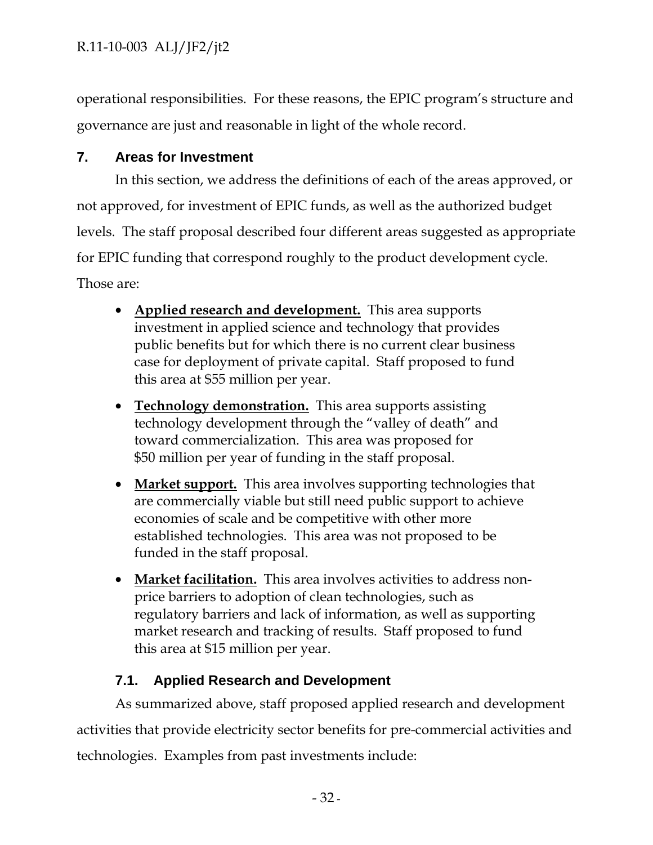operational responsibilities. For these reasons, the EPIC program's structure and governance are just and reasonable in light of the whole record.

## **7. Areas for Investment**

In this section, we address the definitions of each of the areas approved, or not approved, for investment of EPIC funds, as well as the authorized budget levels. The staff proposal described four different areas suggested as appropriate for EPIC funding that correspond roughly to the product development cycle. Those are:

- **Applied research and development.** This area supports investment in applied science and technology that provides public benefits but for which there is no current clear business case for deployment of private capital. Staff proposed to fund this area at \$55 million per year.
- **Technology demonstration.** This area supports assisting technology development through the "valley of death" and toward commercialization. This area was proposed for \$50 million per year of funding in the staff proposal.
- **Market support.** This area involves supporting technologies that are commercially viable but still need public support to achieve economies of scale and be competitive with other more established technologies. This area was not proposed to be funded in the staff proposal.
- **Market facilitation.** This area involves activities to address nonprice barriers to adoption of clean technologies, such as regulatory barriers and lack of information, as well as supporting market research and tracking of results. Staff proposed to fund this area at \$15 million per year.

## **7.1. Applied Research and Development**

As summarized above, staff proposed applied research and development activities that provide electricity sector benefits for pre-commercial activities and technologies. Examples from past investments include: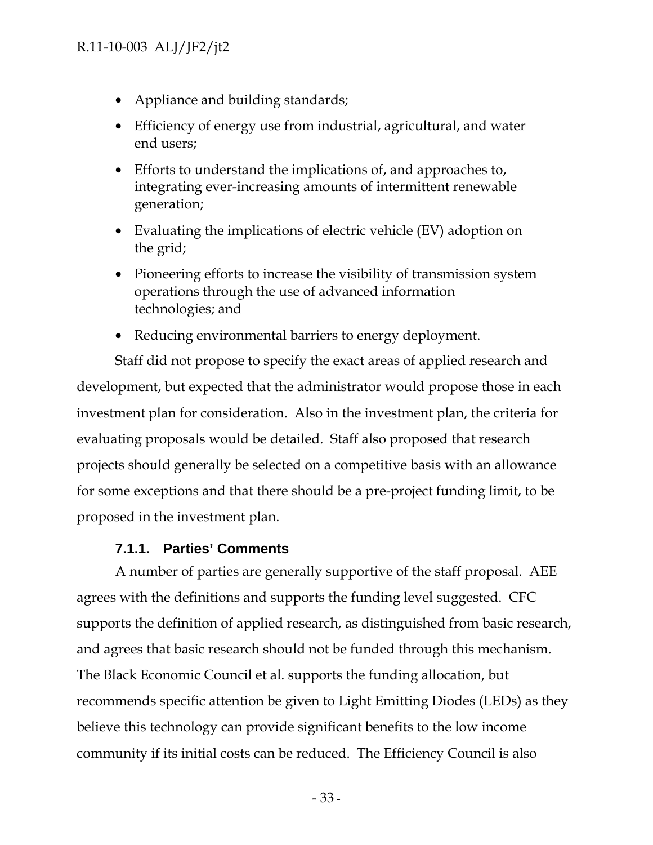- Appliance and building standards;
- Efficiency of energy use from industrial, agricultural, and water end users;
- Efforts to understand the implications of, and approaches to, integrating ever-increasing amounts of intermittent renewable generation;
- Evaluating the implications of electric vehicle (EV) adoption on the grid;
- Pioneering efforts to increase the visibility of transmission system operations through the use of advanced information technologies; and
- Reducing environmental barriers to energy deployment.

Staff did not propose to specify the exact areas of applied research and development, but expected that the administrator would propose those in each investment plan for consideration. Also in the investment plan, the criteria for evaluating proposals would be detailed. Staff also proposed that research projects should generally be selected on a competitive basis with an allowance for some exceptions and that there should be a pre-project funding limit, to be proposed in the investment plan.

#### **7.1.1. Parties' Comments**

A number of parties are generally supportive of the staff proposal. AEE agrees with the definitions and supports the funding level suggested. CFC supports the definition of applied research, as distinguished from basic research, and agrees that basic research should not be funded through this mechanism. The Black Economic Council et al. supports the funding allocation, but recommends specific attention be given to Light Emitting Diodes (LEDs) as they believe this technology can provide significant benefits to the low income community if its initial costs can be reduced. The Efficiency Council is also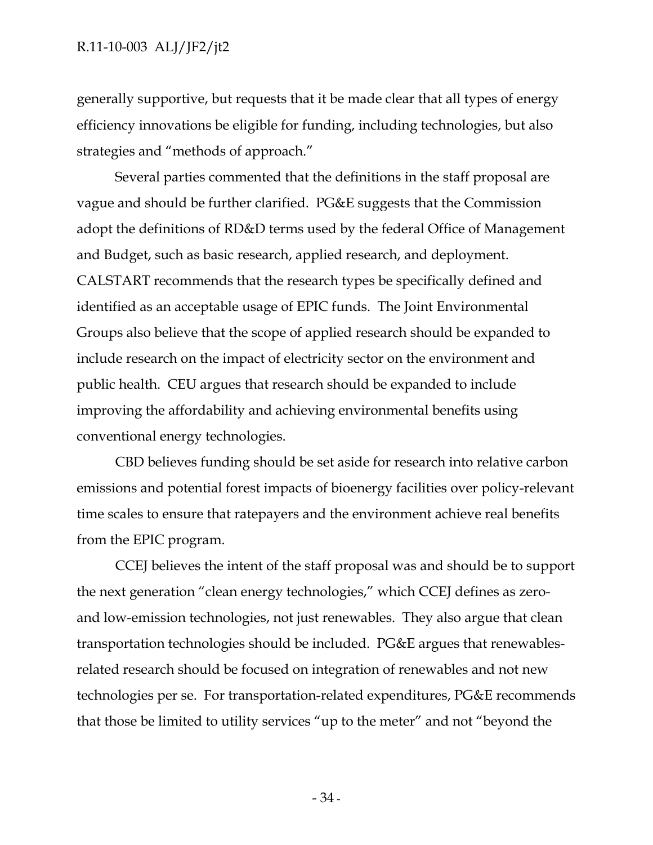generally supportive, but requests that it be made clear that all types of energy efficiency innovations be eligible for funding, including technologies, but also strategies and "methods of approach."

Several parties commented that the definitions in the staff proposal are vague and should be further clarified. PG&E suggests that the Commission adopt the definitions of RD&D terms used by the federal Office of Management and Budget, such as basic research, applied research, and deployment. CALSTART recommends that the research types be specifically defined and identified as an acceptable usage of EPIC funds. The Joint Environmental Groups also believe that the scope of applied research should be expanded to include research on the impact of electricity sector on the environment and public health. CEU argues that research should be expanded to include improving the affordability and achieving environmental benefits using conventional energy technologies.

CBD believes funding should be set aside for research into relative carbon emissions and potential forest impacts of bioenergy facilities over policy-relevant time scales to ensure that ratepayers and the environment achieve real benefits from the EPIC program.

CCEJ believes the intent of the staff proposal was and should be to support the next generation "clean energy technologies," which CCEJ defines as zeroand low-emission technologies, not just renewables. They also argue that clean transportation technologies should be included. PG&E argues that renewablesrelated research should be focused on integration of renewables and not new technologies per se. For transportation-related expenditures, PG&E recommends that those be limited to utility services "up to the meter" and not "beyond the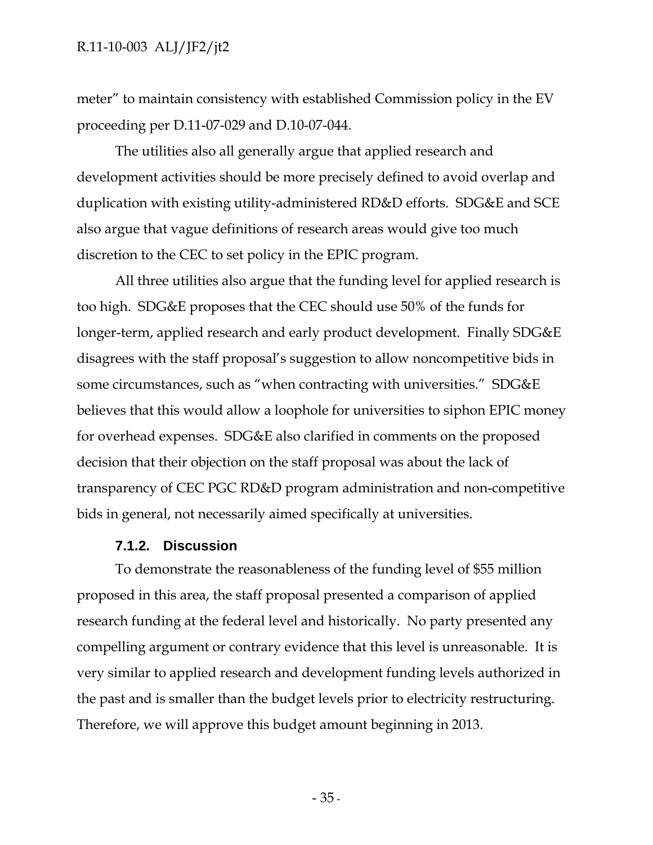meter" to maintain consistency with established Commission policy in the EV proceeding per D.11-07-029 and D.10-07-044.

The utilities also all generally argue that applied research and development activities should be more precisely defined to avoid overlap and duplication with existing utility-administered RD&D efforts. SDG&E and SCE also argue that vague definitions of research areas would give too much discretion to the CEC to set policy in the EPIC program.

All three utilities also argue that the funding level for applied research is too high. SDG&E proposes that the CEC should use 50% of the funds for longer-term, applied research and early product development. Finally SDG&E disagrees with the staff proposal's suggestion to allow noncompetitive bids in some circumstances, such as "when contracting with universities." SDG&E believes that this would allow a loophole for universities to siphon EPIC money for overhead expenses. SDG&E also clarified in comments on the proposed decision that their objection on the staff proposal was about the lack of transparency of CEC PGC RD&D program administration and non-competitive bids in general, not necessarily aimed specifically at universities.

#### **7.1.2. Discussion**

To demonstrate the reasonableness of the funding level of \$55 million proposed in this area, the staff proposal presented a comparison of applied research funding at the federal level and historically. No party presented any compelling argument or contrary evidence that this level is unreasonable. It is very similar to applied research and development funding levels authorized in the past and is smaller than the budget levels prior to electricity restructuring. Therefore, we will approve this budget amount beginning in 2013.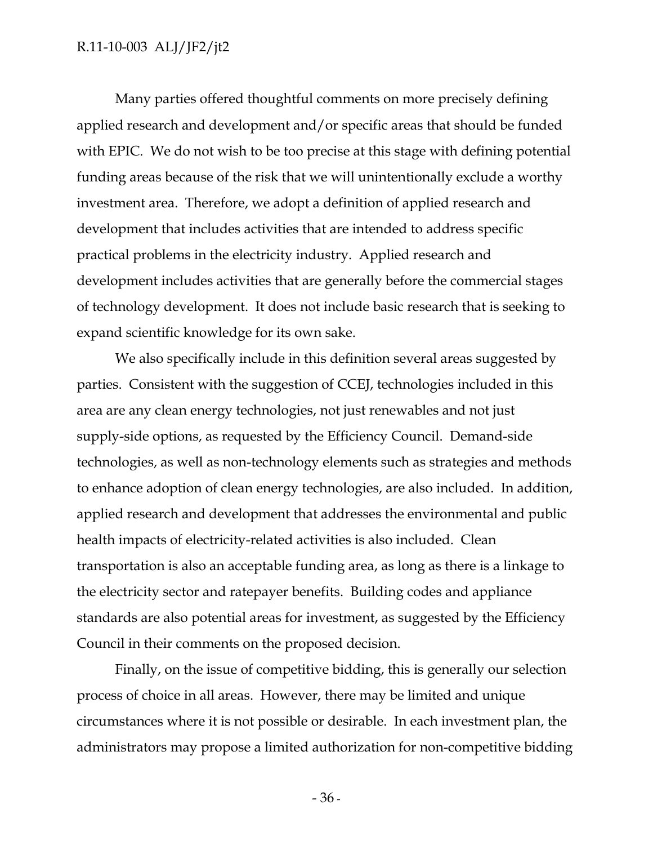Many parties offered thoughtful comments on more precisely defining applied research and development and/or specific areas that should be funded with EPIC. We do not wish to be too precise at this stage with defining potential funding areas because of the risk that we will unintentionally exclude a worthy investment area. Therefore, we adopt a definition of applied research and development that includes activities that are intended to address specific practical problems in the electricity industry. Applied research and development includes activities that are generally before the commercial stages of technology development. It does not include basic research that is seeking to expand scientific knowledge for its own sake.

We also specifically include in this definition several areas suggested by parties. Consistent with the suggestion of CCEJ, technologies included in this area are any clean energy technologies, not just renewables and not just supply-side options, as requested by the Efficiency Council. Demand-side technologies, as well as non-technology elements such as strategies and methods to enhance adoption of clean energy technologies, are also included. In addition, applied research and development that addresses the environmental and public health impacts of electricity-related activities is also included. Clean transportation is also an acceptable funding area, as long as there is a linkage to the electricity sector and ratepayer benefits. Building codes and appliance standards are also potential areas for investment, as suggested by the Efficiency Council in their comments on the proposed decision.

Finally, on the issue of competitive bidding, this is generally our selection process of choice in all areas. However, there may be limited and unique circumstances where it is not possible or desirable. In each investment plan, the administrators may propose a limited authorization for non-competitive bidding

 $-36$  -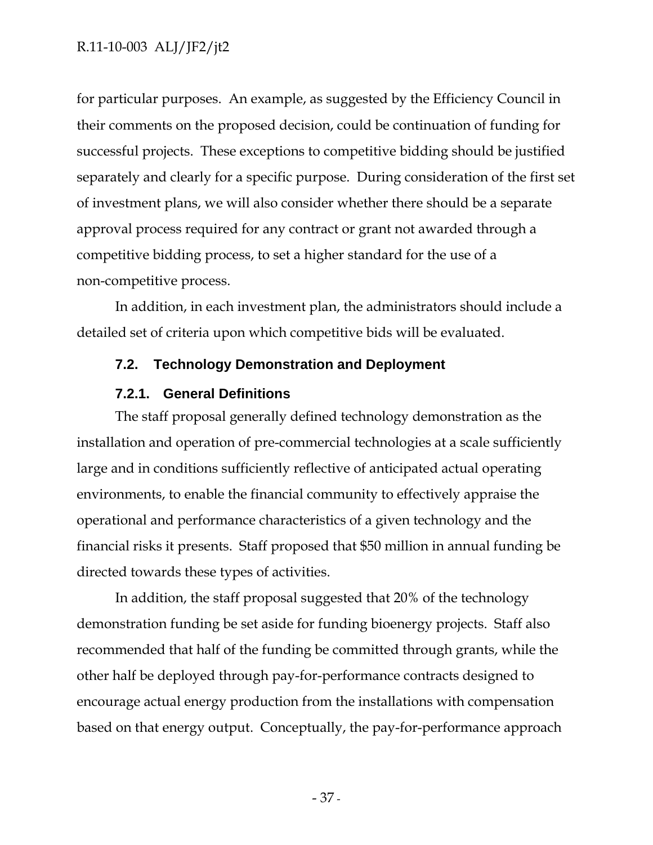for particular purposes. An example, as suggested by the Efficiency Council in their comments on the proposed decision, could be continuation of funding for successful projects. These exceptions to competitive bidding should be justified separately and clearly for a specific purpose. During consideration of the first set of investment plans, we will also consider whether there should be a separate approval process required for any contract or grant not awarded through a competitive bidding process, to set a higher standard for the use of a non-competitive process.

In addition, in each investment plan, the administrators should include a detailed set of criteria upon which competitive bids will be evaluated.

## **7.2. Technology Demonstration and Deployment**

## **7.2.1. General Definitions**

The staff proposal generally defined technology demonstration as the installation and operation of pre-commercial technologies at a scale sufficiently large and in conditions sufficiently reflective of anticipated actual operating environments, to enable the financial community to effectively appraise the operational and performance characteristics of a given technology and the financial risks it presents. Staff proposed that \$50 million in annual funding be directed towards these types of activities.

In addition, the staff proposal suggested that 20% of the technology demonstration funding be set aside for funding bioenergy projects. Staff also recommended that half of the funding be committed through grants, while the other half be deployed through pay-for-performance contracts designed to encourage actual energy production from the installations with compensation based on that energy output. Conceptually, the pay-for-performance approach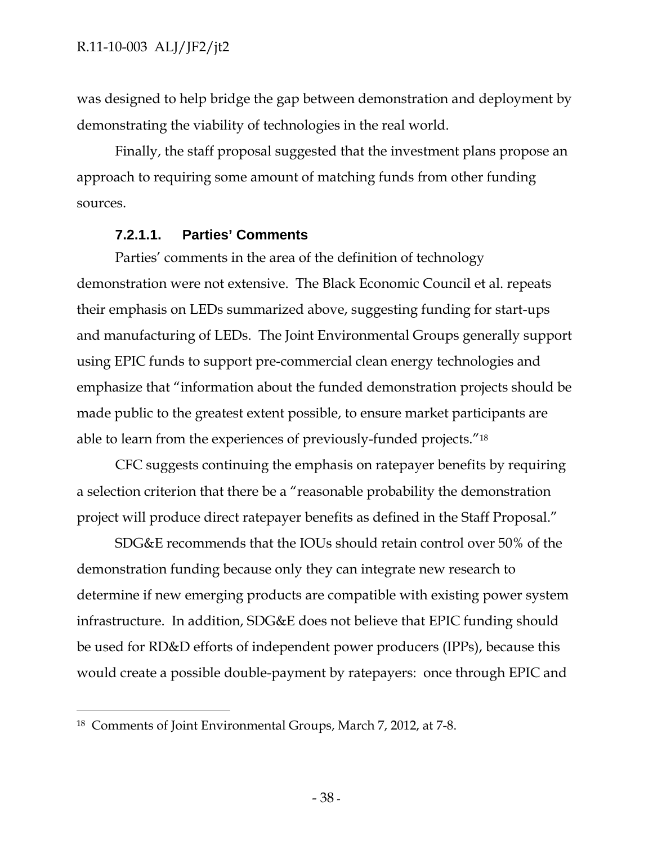was designed to help bridge the gap between demonstration and deployment by demonstrating the viability of technologies in the real world.

Finally, the staff proposal suggested that the investment plans propose an approach to requiring some amount of matching funds from other funding sources.

# **7.2.1.1. Parties' Comments**

Parties' comments in the area of the definition of technology demonstration were not extensive. The Black Economic Council et al. repeats their emphasis on LEDs summarized above, suggesting funding for start-ups and manufacturing of LEDs. The Joint Environmental Groups generally support using EPIC funds to support pre-commercial clean energy technologies and emphasize that "information about the funded demonstration projects should be made public to the greatest extent possible, to ensure market participants are able to learn from the experiences of previously-funded projects."18

CFC suggests continuing the emphasis on ratepayer benefits by requiring a selection criterion that there be a "reasonable probability the demonstration project will produce direct ratepayer benefits as defined in the Staff Proposal."

SDG&E recommends that the IOUs should retain control over 50% of the demonstration funding because only they can integrate new research to determine if new emerging products are compatible with existing power system infrastructure. In addition, SDG&E does not believe that EPIC funding should be used for RD&D efforts of independent power producers (IPPs), because this would create a possible double-payment by ratepayers: once through EPIC and

-

<sup>18</sup> Comments of Joint Environmental Groups, March 7, 2012, at 7-8.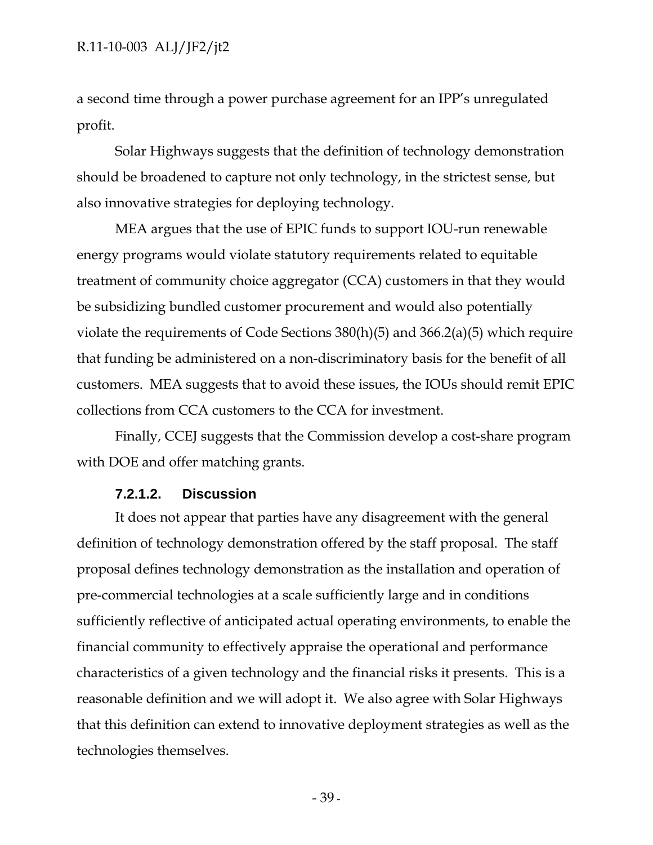a second time through a power purchase agreement for an IPP's unregulated profit.

Solar Highways suggests that the definition of technology demonstration should be broadened to capture not only technology, in the strictest sense, but also innovative strategies for deploying technology.

MEA argues that the use of EPIC funds to support IOU-run renewable energy programs would violate statutory requirements related to equitable treatment of community choice aggregator (CCA) customers in that they would be subsidizing bundled customer procurement and would also potentially violate the requirements of Code Sections 380(h)(5) and 366.2(a)(5) which require that funding be administered on a non-discriminatory basis for the benefit of all customers. MEA suggests that to avoid these issues, the IOUs should remit EPIC collections from CCA customers to the CCA for investment.

Finally, CCEJ suggests that the Commission develop a cost-share program with DOE and offer matching grants.

### **7.2.1.2. Discussion**

It does not appear that parties have any disagreement with the general definition of technology demonstration offered by the staff proposal. The staff proposal defines technology demonstration as the installation and operation of pre-commercial technologies at a scale sufficiently large and in conditions sufficiently reflective of anticipated actual operating environments, to enable the financial community to effectively appraise the operational and performance characteristics of a given technology and the financial risks it presents. This is a reasonable definition and we will adopt it. We also agree with Solar Highways that this definition can extend to innovative deployment strategies as well as the technologies themselves.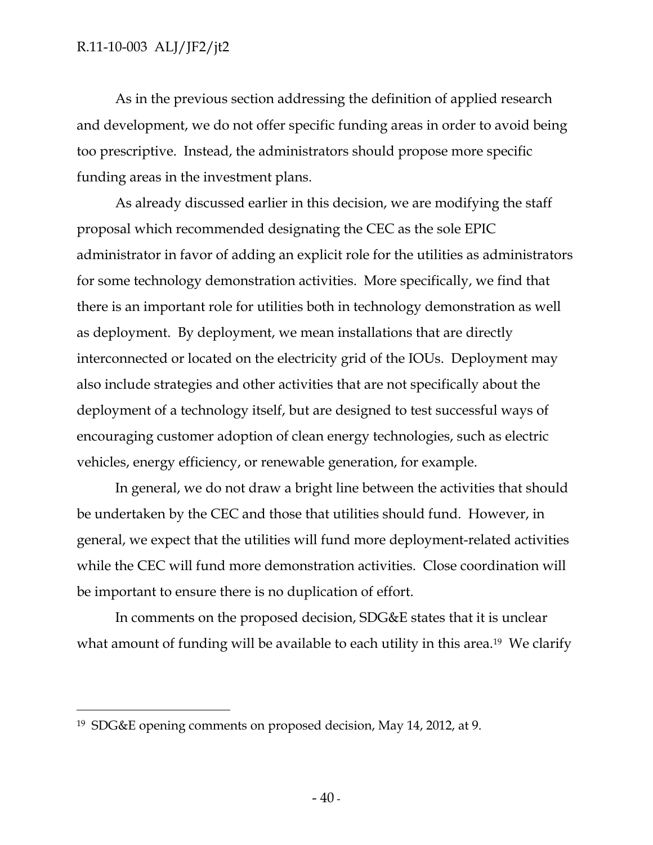As in the previous section addressing the definition of applied research and development, we do not offer specific funding areas in order to avoid being too prescriptive. Instead, the administrators should propose more specific funding areas in the investment plans.

As already discussed earlier in this decision, we are modifying the staff proposal which recommended designating the CEC as the sole EPIC administrator in favor of adding an explicit role for the utilities as administrators for some technology demonstration activities. More specifically, we find that there is an important role for utilities both in technology demonstration as well as deployment. By deployment, we mean installations that are directly interconnected or located on the electricity grid of the IOUs. Deployment may also include strategies and other activities that are not specifically about the deployment of a technology itself, but are designed to test successful ways of encouraging customer adoption of clean energy technologies, such as electric vehicles, energy efficiency, or renewable generation, for example.

In general, we do not draw a bright line between the activities that should be undertaken by the CEC and those that utilities should fund. However, in general, we expect that the utilities will fund more deployment-related activities while the CEC will fund more demonstration activities. Close coordination will be important to ensure there is no duplication of effort.

In comments on the proposed decision, SDG&E states that it is unclear what amount of funding will be available to each utility in this area.<sup>19</sup> We clarify

 $\overline{a}$ 

<sup>19</sup> SDG&E opening comments on proposed decision, May 14, 2012, at 9.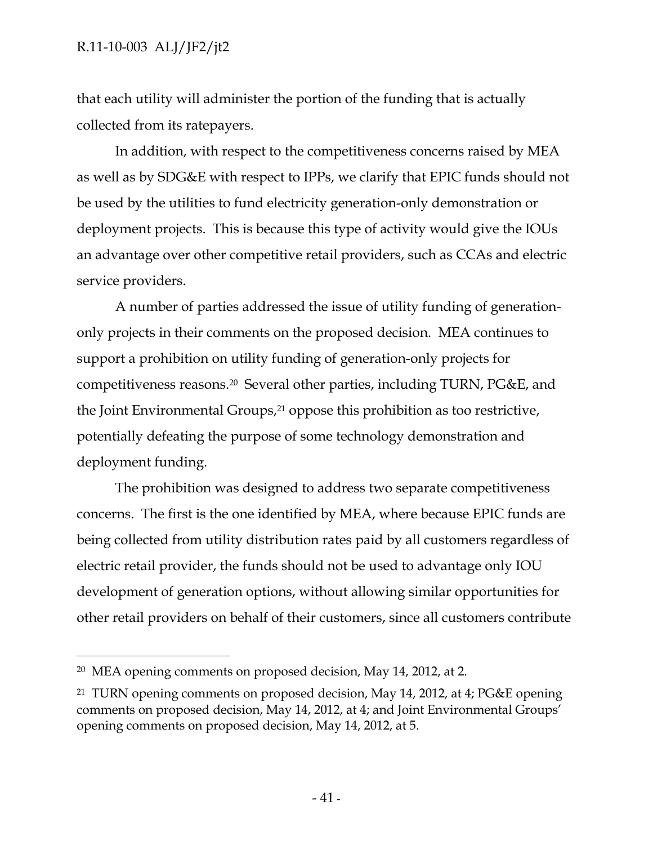that each utility will administer the portion of the funding that is actually collected from its ratepayers.

In addition, with respect to the competitiveness concerns raised by MEA as well as by SDG&E with respect to IPPs, we clarify that EPIC funds should not be used by the utilities to fund electricity generation-only demonstration or deployment projects. This is because this type of activity would give the IOUs an advantage over other competitive retail providers, such as CCAs and electric service providers.

A number of parties addressed the issue of utility funding of generationonly projects in their comments on the proposed decision. MEA continues to support a prohibition on utility funding of generation-only projects for competitiveness reasons.20 Several other parties, including TURN, PG&E, and the Joint Environmental Groups,21 oppose this prohibition as too restrictive, potentially defeating the purpose of some technology demonstration and deployment funding.

The prohibition was designed to address two separate competitiveness concerns. The first is the one identified by MEA, where because EPIC funds are being collected from utility distribution rates paid by all customers regardless of electric retail provider, the funds should not be used to advantage only IOU development of generation options, without allowing similar opportunities for other retail providers on behalf of their customers, since all customers contribute

 $\overline{a}$ 

<sup>20</sup> MEA opening comments on proposed decision, May 14, 2012, at 2.

<sup>21</sup> TURN opening comments on proposed decision, May 14, 2012, at 4; PG&E opening comments on proposed decision, May 14, 2012, at 4; and Joint Environmental Groups' opening comments on proposed decision, May 14, 2012, at 5.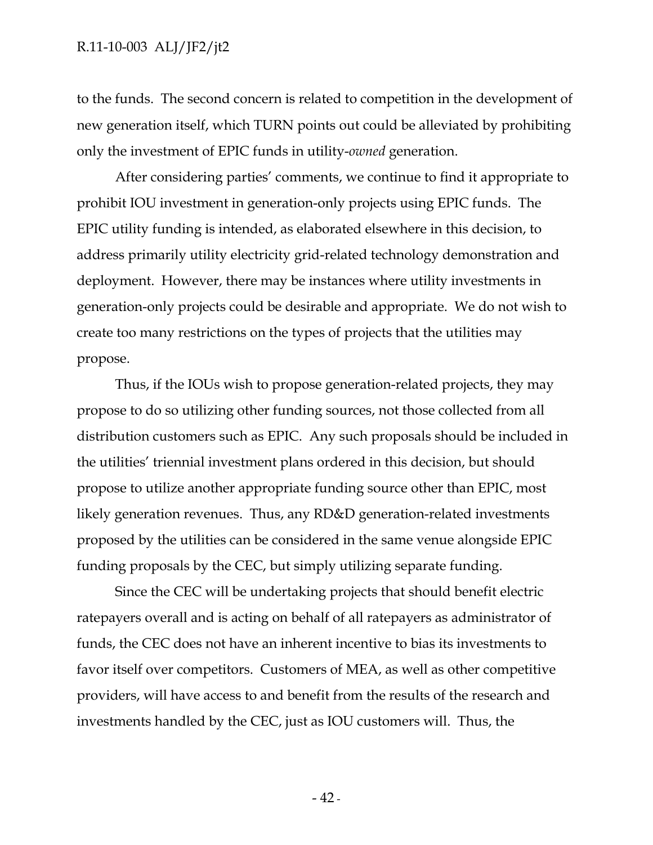to the funds. The second concern is related to competition in the development of new generation itself, which TURN points out could be alleviated by prohibiting only the investment of EPIC funds in utility-*owned* generation.

After considering parties' comments, we continue to find it appropriate to prohibit IOU investment in generation-only projects using EPIC funds. The EPIC utility funding is intended, as elaborated elsewhere in this decision, to address primarily utility electricity grid-related technology demonstration and deployment. However, there may be instances where utility investments in generation-only projects could be desirable and appropriate. We do not wish to create too many restrictions on the types of projects that the utilities may propose.

Thus, if the IOUs wish to propose generation-related projects, they may propose to do so utilizing other funding sources, not those collected from all distribution customers such as EPIC. Any such proposals should be included in the utilities' triennial investment plans ordered in this decision, but should propose to utilize another appropriate funding source other than EPIC, most likely generation revenues. Thus, any RD&D generation-related investments proposed by the utilities can be considered in the same venue alongside EPIC funding proposals by the CEC, but simply utilizing separate funding.

Since the CEC will be undertaking projects that should benefit electric ratepayers overall and is acting on behalf of all ratepayers as administrator of funds, the CEC does not have an inherent incentive to bias its investments to favor itself over competitors. Customers of MEA, as well as other competitive providers, will have access to and benefit from the results of the research and investments handled by the CEC, just as IOU customers will. Thus, the

 $-42$  -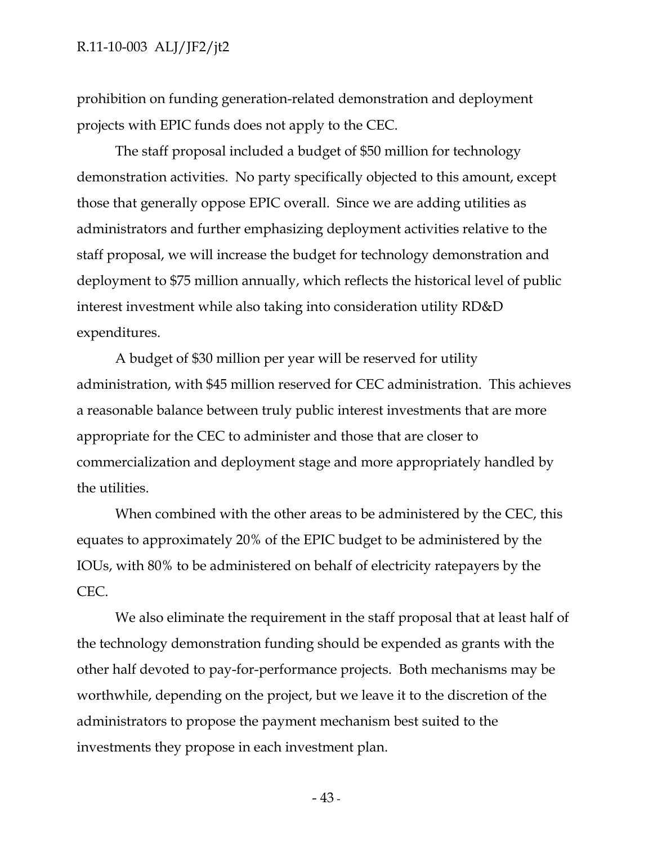prohibition on funding generation-related demonstration and deployment projects with EPIC funds does not apply to the CEC.

The staff proposal included a budget of \$50 million for technology demonstration activities. No party specifically objected to this amount, except those that generally oppose EPIC overall. Since we are adding utilities as administrators and further emphasizing deployment activities relative to the staff proposal, we will increase the budget for technology demonstration and deployment to \$75 million annually, which reflects the historical level of public interest investment while also taking into consideration utility RD&D expenditures.

A budget of \$30 million per year will be reserved for utility administration, with \$45 million reserved for CEC administration. This achieves a reasonable balance between truly public interest investments that are more appropriate for the CEC to administer and those that are closer to commercialization and deployment stage and more appropriately handled by the utilities.

When combined with the other areas to be administered by the CEC, this equates to approximately 20% of the EPIC budget to be administered by the IOUs, with 80% to be administered on behalf of electricity ratepayers by the CEC.

We also eliminate the requirement in the staff proposal that at least half of the technology demonstration funding should be expended as grants with the other half devoted to pay-for-performance projects. Both mechanisms may be worthwhile, depending on the project, but we leave it to the discretion of the administrators to propose the payment mechanism best suited to the investments they propose in each investment plan.

- 43 -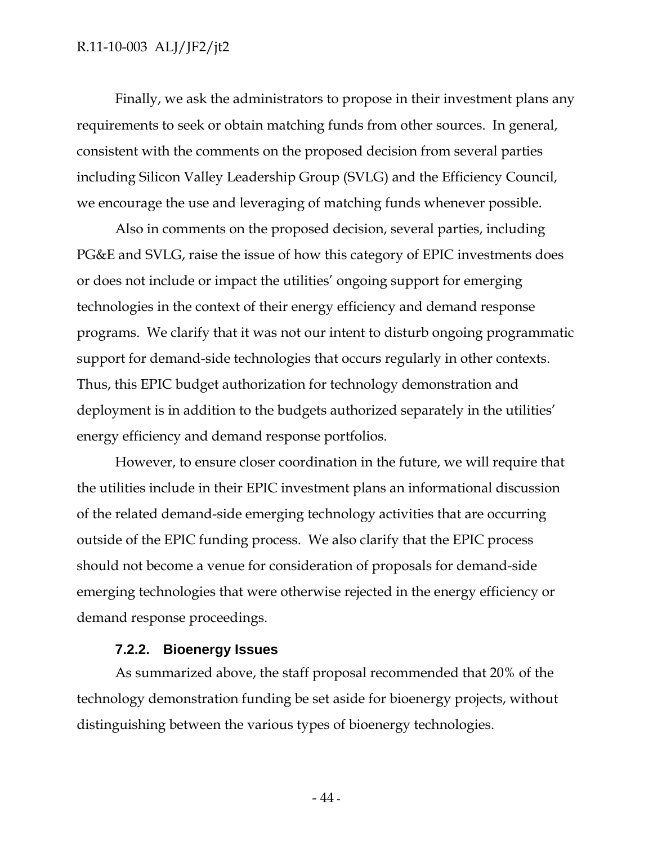Finally, we ask the administrators to propose in their investment plans any requirements to seek or obtain matching funds from other sources. In general, consistent with the comments on the proposed decision from several parties including Silicon Valley Leadership Group (SVLG) and the Efficiency Council, we encourage the use and leveraging of matching funds whenever possible.

Also in comments on the proposed decision, several parties, including PG&E and SVLG, raise the issue of how this category of EPIC investments does or does not include or impact the utilities' ongoing support for emerging technologies in the context of their energy efficiency and demand response programs. We clarify that it was not our intent to disturb ongoing programmatic support for demand-side technologies that occurs regularly in other contexts. Thus, this EPIC budget authorization for technology demonstration and deployment is in addition to the budgets authorized separately in the utilities' energy efficiency and demand response portfolios.

However, to ensure closer coordination in the future, we will require that the utilities include in their EPIC investment plans an informational discussion of the related demand-side emerging technology activities that are occurring outside of the EPIC funding process. We also clarify that the EPIC process should not become a venue for consideration of proposals for demand-side emerging technologies that were otherwise rejected in the energy efficiency or demand response proceedings.

#### **7.2.2. Bioenergy Issues**

As summarized above, the staff proposal recommended that 20% of the technology demonstration funding be set aside for bioenergy projects, without distinguishing between the various types of bioenergy technologies.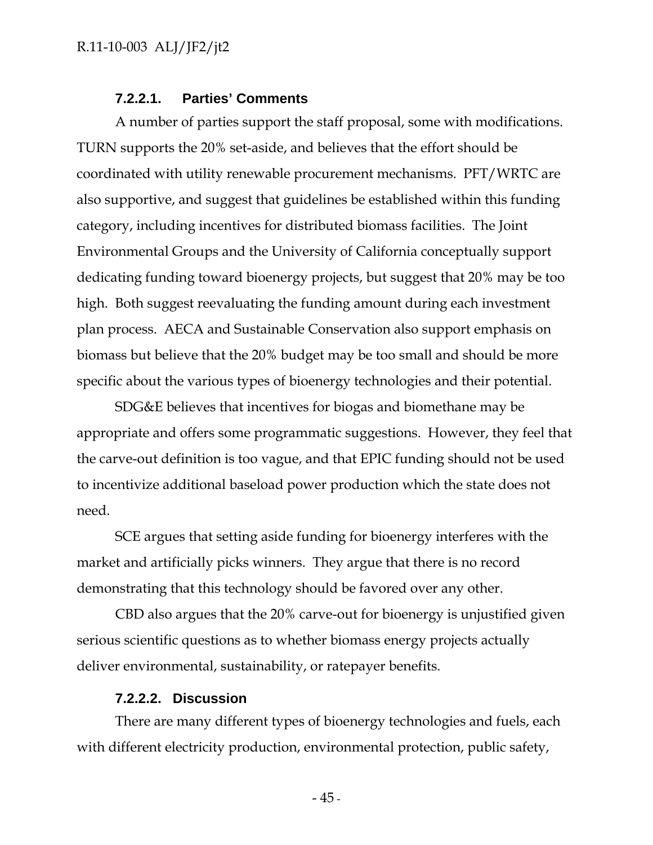### **7.2.2.1. Parties' Comments**

A number of parties support the staff proposal, some with modifications. TURN supports the 20% set-aside, and believes that the effort should be coordinated with utility renewable procurement mechanisms. PFT/WRTC are also supportive, and suggest that guidelines be established within this funding category, including incentives for distributed biomass facilities. The Joint Environmental Groups and the University of California conceptually support dedicating funding toward bioenergy projects, but suggest that 20% may be too high. Both suggest reevaluating the funding amount during each investment plan process. AECA and Sustainable Conservation also support emphasis on biomass but believe that the 20% budget may be too small and should be more specific about the various types of bioenergy technologies and their potential.

SDG&E believes that incentives for biogas and biomethane may be appropriate and offers some programmatic suggestions. However, they feel that the carve-out definition is too vague, and that EPIC funding should not be used to incentivize additional baseload power production which the state does not need.

SCE argues that setting aside funding for bioenergy interferes with the market and artificially picks winners. They argue that there is no record demonstrating that this technology should be favored over any other.

CBD also argues that the 20% carve-out for bioenergy is unjustified given serious scientific questions as to whether biomass energy projects actually deliver environmental, sustainability, or ratepayer benefits.

### **7.2.2.2. Discussion**

There are many different types of bioenergy technologies and fuels, each with different electricity production, environmental protection, public safety,

 $-45$  -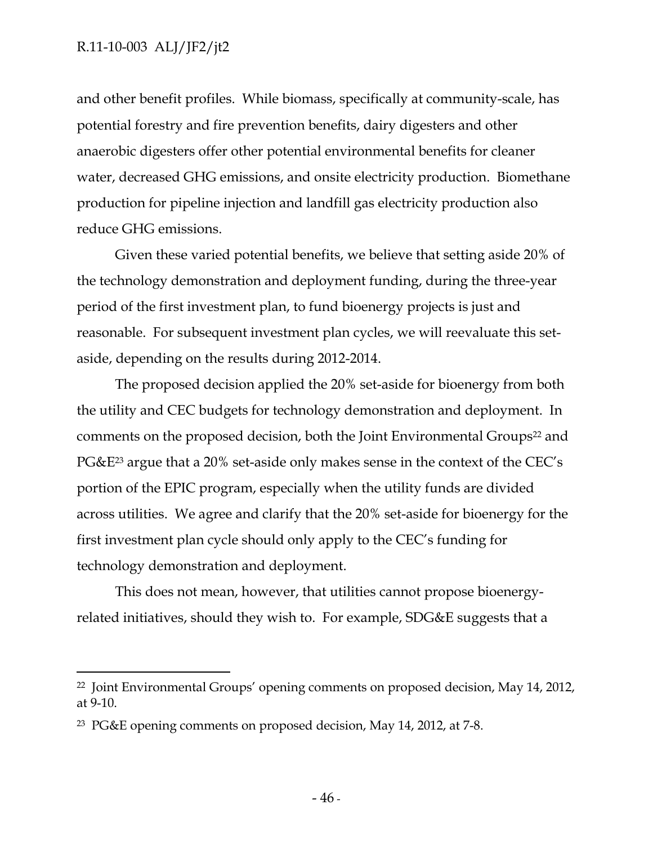-

and other benefit profiles. While biomass, specifically at community-scale, has potential forestry and fire prevention benefits, dairy digesters and other anaerobic digesters offer other potential environmental benefits for cleaner water, decreased GHG emissions, and onsite electricity production. Biomethane production for pipeline injection and landfill gas electricity production also reduce GHG emissions.

Given these varied potential benefits, we believe that setting aside 20% of the technology demonstration and deployment funding, during the three-year period of the first investment plan, to fund bioenergy projects is just and reasonable. For subsequent investment plan cycles, we will reevaluate this setaside, depending on the results during 2012-2014.

The proposed decision applied the 20% set-aside for bioenergy from both the utility and CEC budgets for technology demonstration and deployment. In comments on the proposed decision, both the Joint Environmental Groups<sup>22</sup> and PG&E23 argue that a 20% set-aside only makes sense in the context of the CEC's portion of the EPIC program, especially when the utility funds are divided across utilities. We agree and clarify that the 20% set-aside for bioenergy for the first investment plan cycle should only apply to the CEC's funding for technology demonstration and deployment.

This does not mean, however, that utilities cannot propose bioenergyrelated initiatives, should they wish to. For example, SDG&E suggests that a

<sup>22</sup> Joint Environmental Groups' opening comments on proposed decision, May 14, 2012, at 9-10.

<sup>23</sup> PG&E opening comments on proposed decision, May 14, 2012, at 7-8.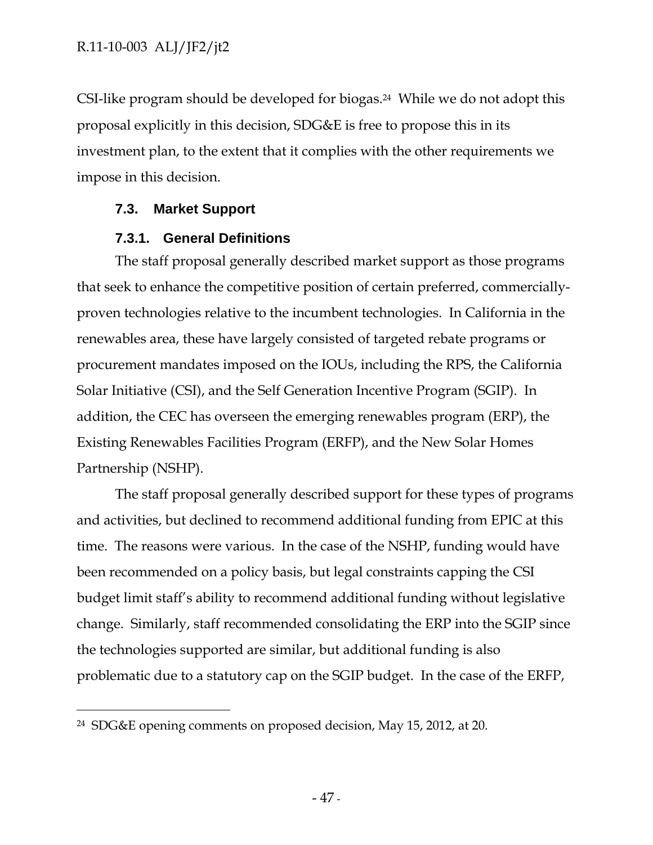CSI-like program should be developed for biogas.24 While we do not adopt this proposal explicitly in this decision, SDG&E is free to propose this in its investment plan, to the extent that it complies with the other requirements we impose in this decision.

# **7.3. Market Support**

-

# **7.3.1. General Definitions**

The staff proposal generally described market support as those programs that seek to enhance the competitive position of certain preferred, commerciallyproven technologies relative to the incumbent technologies. In California in the renewables area, these have largely consisted of targeted rebate programs or procurement mandates imposed on the IOUs, including the RPS, the California Solar Initiative (CSI), and the Self Generation Incentive Program (SGIP). In addition, the CEC has overseen the emerging renewables program (ERP), the Existing Renewables Facilities Program (ERFP), and the New Solar Homes Partnership (NSHP).

The staff proposal generally described support for these types of programs and activities, but declined to recommend additional funding from EPIC at this time. The reasons were various. In the case of the NSHP, funding would have been recommended on a policy basis, but legal constraints capping the CSI budget limit staff's ability to recommend additional funding without legislative change. Similarly, staff recommended consolidating the ERP into the SGIP since the technologies supported are similar, but additional funding is also problematic due to a statutory cap on the SGIP budget. In the case of the ERFP,

<sup>24</sup> SDG&E opening comments on proposed decision, May 15, 2012, at 20.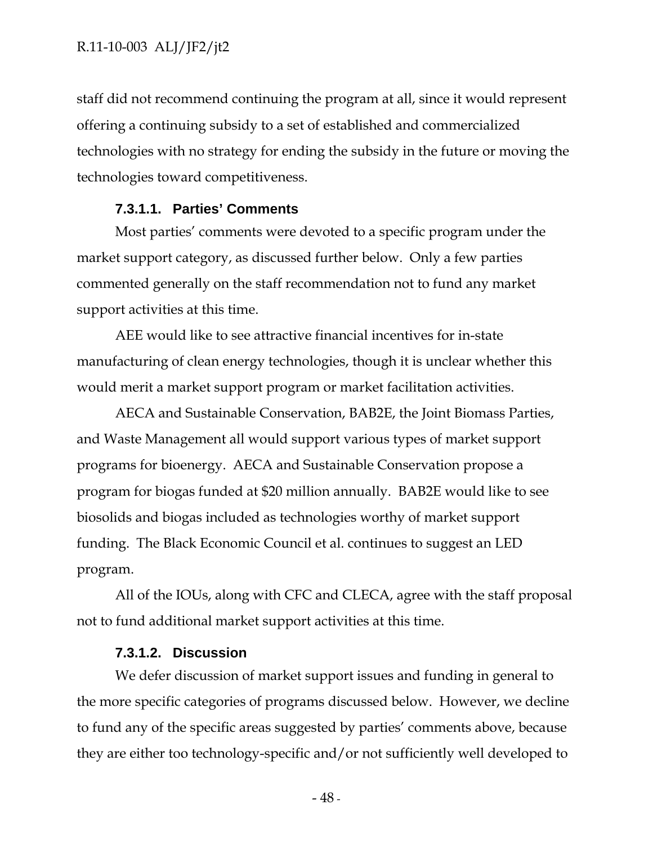staff did not recommend continuing the program at all, since it would represent offering a continuing subsidy to a set of established and commercialized technologies with no strategy for ending the subsidy in the future or moving the technologies toward competitiveness.

### **7.3.1.1. Parties' Comments**

Most parties' comments were devoted to a specific program under the market support category, as discussed further below. Only a few parties commented generally on the staff recommendation not to fund any market support activities at this time.

AEE would like to see attractive financial incentives for in-state manufacturing of clean energy technologies, though it is unclear whether this would merit a market support program or market facilitation activities.

AECA and Sustainable Conservation, BAB2E, the Joint Biomass Parties, and Waste Management all would support various types of market support programs for bioenergy. AECA and Sustainable Conservation propose a program for biogas funded at \$20 million annually. BAB2E would like to see biosolids and biogas included as technologies worthy of market support funding. The Black Economic Council et al. continues to suggest an LED program.

All of the IOUs, along with CFC and CLECA, agree with the staff proposal not to fund additional market support activities at this time.

## **7.3.1.2. Discussion**

We defer discussion of market support issues and funding in general to the more specific categories of programs discussed below. However, we decline to fund any of the specific areas suggested by parties' comments above, because they are either too technology-specific and/or not sufficiently well developed to

 $-48$  -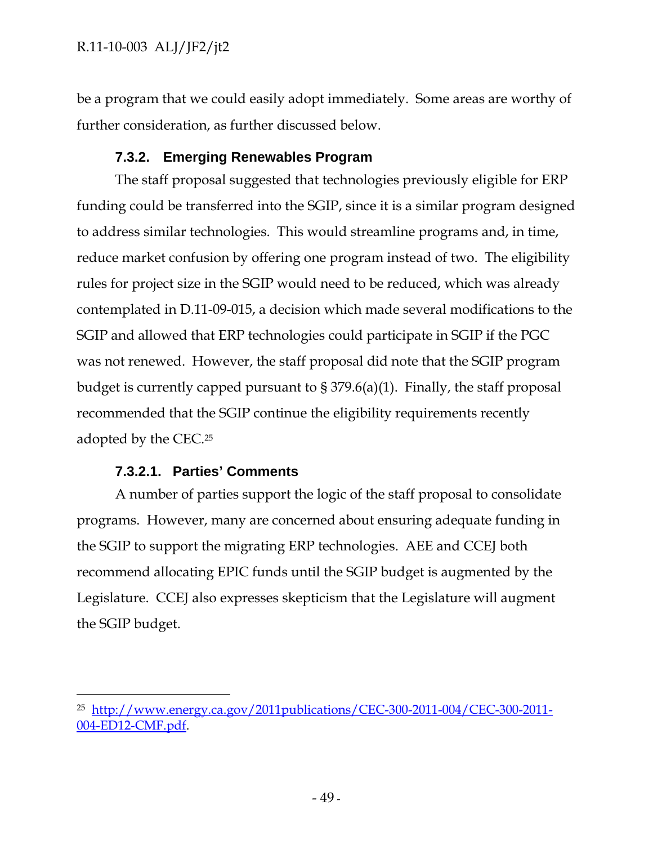be a program that we could easily adopt immediately. Some areas are worthy of further consideration, as further discussed below.

# **7.3.2. Emerging Renewables Program**

The staff proposal suggested that technologies previously eligible for ERP funding could be transferred into the SGIP, since it is a similar program designed to address similar technologies. This would streamline programs and, in time, reduce market confusion by offering one program instead of two. The eligibility rules for project size in the SGIP would need to be reduced, which was already contemplated in D.11-09-015, a decision which made several modifications to the SGIP and allowed that ERP technologies could participate in SGIP if the PGC was not renewed. However, the staff proposal did note that the SGIP program budget is currently capped pursuant to § 379.6(a)(1). Finally, the staff proposal recommended that the SGIP continue the eligibility requirements recently adopted by the CEC.25

# **7.3.2.1. Parties' Comments**

-

A number of parties support the logic of the staff proposal to consolidate programs. However, many are concerned about ensuring adequate funding in the SGIP to support the migrating ERP technologies. AEE and CCEJ both recommend allocating EPIC funds until the SGIP budget is augmented by the Legislature. CCEJ also expresses skepticism that the Legislature will augment the SGIP budget.

<sup>25</sup> http://www.energy.ca.gov/2011publications/CEC-300-2011-004/CEC-300-2011- 004-ED12-CMF.pdf.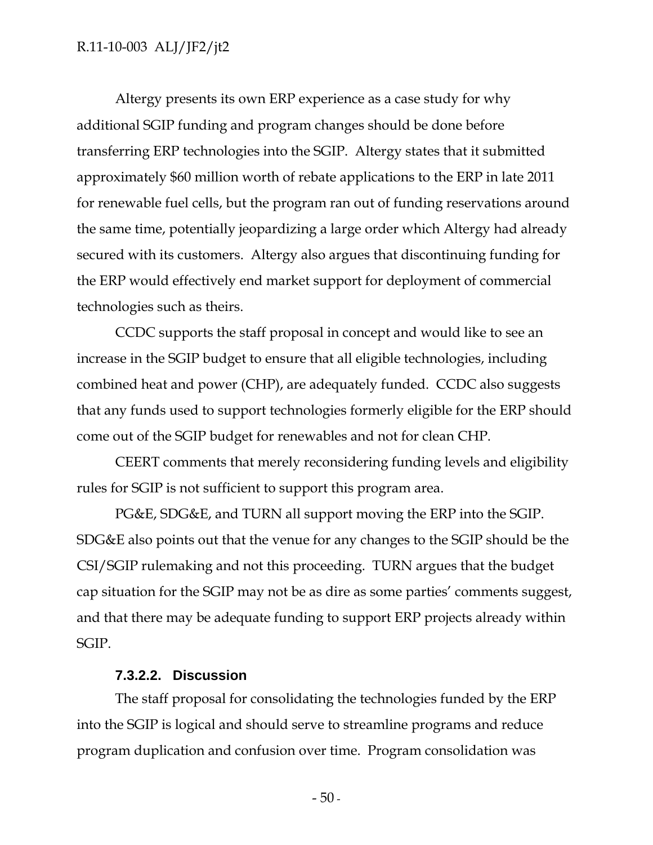Altergy presents its own ERP experience as a case study for why additional SGIP funding and program changes should be done before transferring ERP technologies into the SGIP. Altergy states that it submitted approximately \$60 million worth of rebate applications to the ERP in late 2011 for renewable fuel cells, but the program ran out of funding reservations around the same time, potentially jeopardizing a large order which Altergy had already secured with its customers. Altergy also argues that discontinuing funding for the ERP would effectively end market support for deployment of commercial technologies such as theirs.

CCDC supports the staff proposal in concept and would like to see an increase in the SGIP budget to ensure that all eligible technologies, including combined heat and power (CHP), are adequately funded. CCDC also suggests that any funds used to support technologies formerly eligible for the ERP should come out of the SGIP budget for renewables and not for clean CHP.

CEERT comments that merely reconsidering funding levels and eligibility rules for SGIP is not sufficient to support this program area.

PG&E, SDG&E, and TURN all support moving the ERP into the SGIP. SDG&E also points out that the venue for any changes to the SGIP should be the CSI/SGIP rulemaking and not this proceeding. TURN argues that the budget cap situation for the SGIP may not be as dire as some parties' comments suggest, and that there may be adequate funding to support ERP projects already within SGIP.

## **7.3.2.2. Discussion**

The staff proposal for consolidating the technologies funded by the ERP into the SGIP is logical and should serve to streamline programs and reduce program duplication and confusion over time. Program consolidation was

 $-50$  -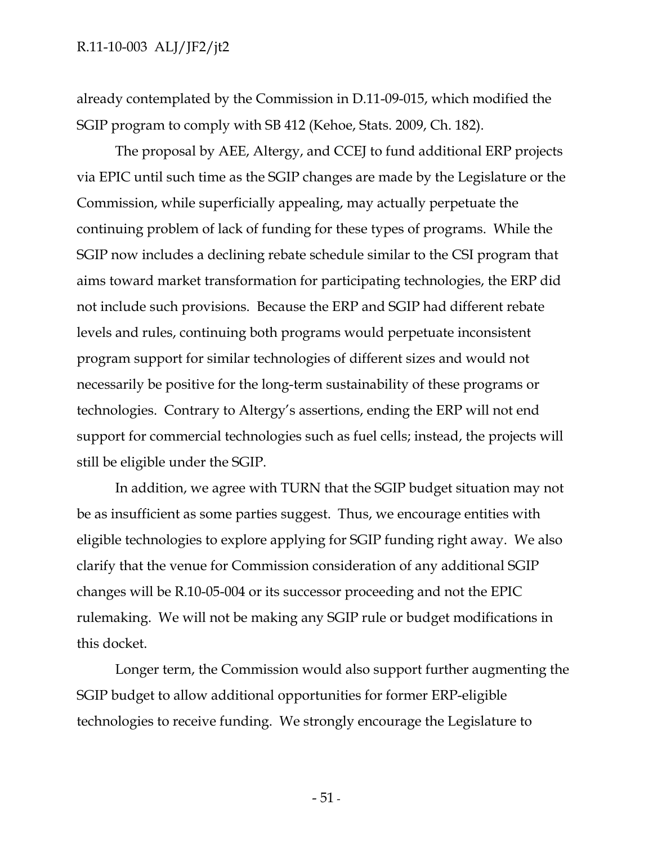already contemplated by the Commission in D.11-09-015, which modified the SGIP program to comply with SB 412 (Kehoe, Stats. 2009, Ch. 182).

The proposal by AEE, Altergy, and CCEJ to fund additional ERP projects via EPIC until such time as the SGIP changes are made by the Legislature or the Commission, while superficially appealing, may actually perpetuate the continuing problem of lack of funding for these types of programs. While the SGIP now includes a declining rebate schedule similar to the CSI program that aims toward market transformation for participating technologies, the ERP did not include such provisions. Because the ERP and SGIP had different rebate levels and rules, continuing both programs would perpetuate inconsistent program support for similar technologies of different sizes and would not necessarily be positive for the long-term sustainability of these programs or technologies. Contrary to Altergy's assertions, ending the ERP will not end support for commercial technologies such as fuel cells; instead, the projects will still be eligible under the SGIP.

In addition, we agree with TURN that the SGIP budget situation may not be as insufficient as some parties suggest. Thus, we encourage entities with eligible technologies to explore applying for SGIP funding right away. We also clarify that the venue for Commission consideration of any additional SGIP changes will be R.10-05-004 or its successor proceeding and not the EPIC rulemaking. We will not be making any SGIP rule or budget modifications in this docket.

Longer term, the Commission would also support further augmenting the SGIP budget to allow additional opportunities for former ERP-eligible technologies to receive funding. We strongly encourage the Legislature to

 $-51$  -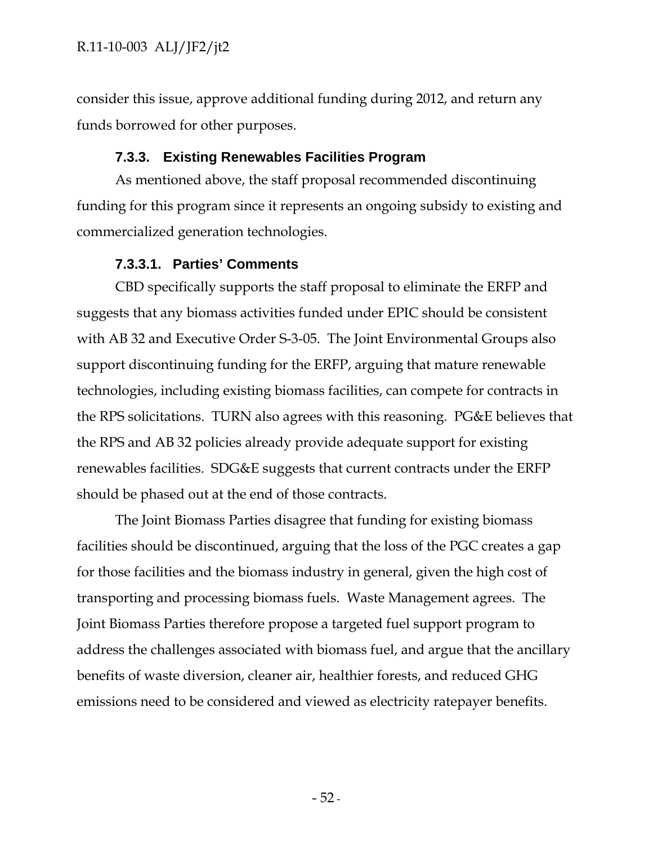consider this issue, approve additional funding during 2012, and return any funds borrowed for other purposes.

## **7.3.3. Existing Renewables Facilities Program**

As mentioned above, the staff proposal recommended discontinuing funding for this program since it represents an ongoing subsidy to existing and commercialized generation technologies.

## **7.3.3.1. Parties' Comments**

CBD specifically supports the staff proposal to eliminate the ERFP and suggests that any biomass activities funded under EPIC should be consistent with AB 32 and Executive Order S-3-05. The Joint Environmental Groups also support discontinuing funding for the ERFP, arguing that mature renewable technologies, including existing biomass facilities, can compete for contracts in the RPS solicitations. TURN also agrees with this reasoning. PG&E believes that the RPS and AB 32 policies already provide adequate support for existing renewables facilities. SDG&E suggests that current contracts under the ERFP should be phased out at the end of those contracts.

The Joint Biomass Parties disagree that funding for existing biomass facilities should be discontinued, arguing that the loss of the PGC creates a gap for those facilities and the biomass industry in general, given the high cost of transporting and processing biomass fuels. Waste Management agrees. The Joint Biomass Parties therefore propose a targeted fuel support program to address the challenges associated with biomass fuel, and argue that the ancillary benefits of waste diversion, cleaner air, healthier forests, and reduced GHG emissions need to be considered and viewed as electricity ratepayer benefits.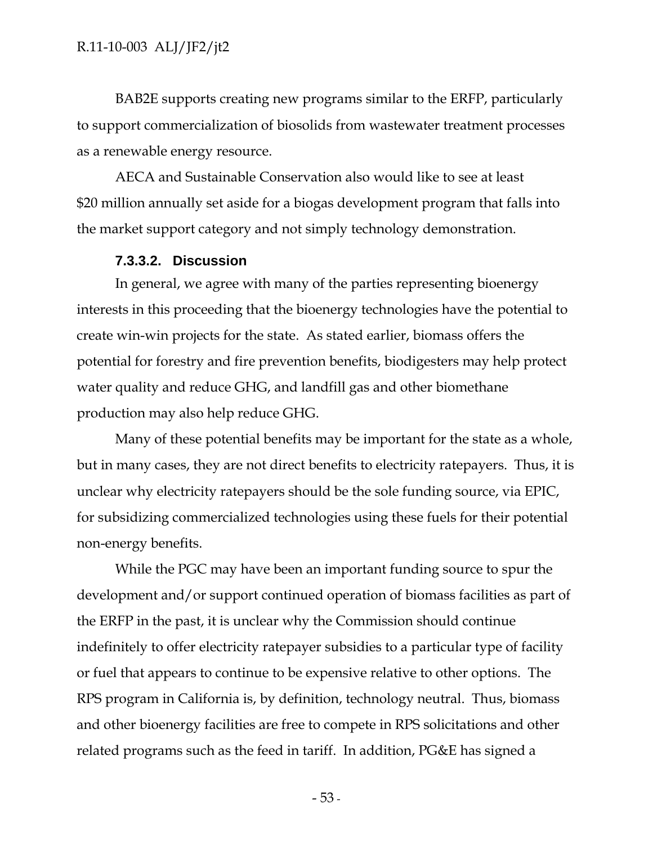BAB2E supports creating new programs similar to the ERFP, particularly to support commercialization of biosolids from wastewater treatment processes as a renewable energy resource.

AECA and Sustainable Conservation also would like to see at least \$20 million annually set aside for a biogas development program that falls into the market support category and not simply technology demonstration.

## **7.3.3.2. Discussion**

In general, we agree with many of the parties representing bioenergy interests in this proceeding that the bioenergy technologies have the potential to create win-win projects for the state. As stated earlier, biomass offers the potential for forestry and fire prevention benefits, biodigesters may help protect water quality and reduce GHG, and landfill gas and other biomethane production may also help reduce GHG.

Many of these potential benefits may be important for the state as a whole, but in many cases, they are not direct benefits to electricity ratepayers. Thus, it is unclear why electricity ratepayers should be the sole funding source, via EPIC, for subsidizing commercialized technologies using these fuels for their potential non-energy benefits.

While the PGC may have been an important funding source to spur the development and/or support continued operation of biomass facilities as part of the ERFP in the past, it is unclear why the Commission should continue indefinitely to offer electricity ratepayer subsidies to a particular type of facility or fuel that appears to continue to be expensive relative to other options. The RPS program in California is, by definition, technology neutral. Thus, biomass and other bioenergy facilities are free to compete in RPS solicitations and other related programs such as the feed in tariff. In addition, PG&E has signed a

- 53 -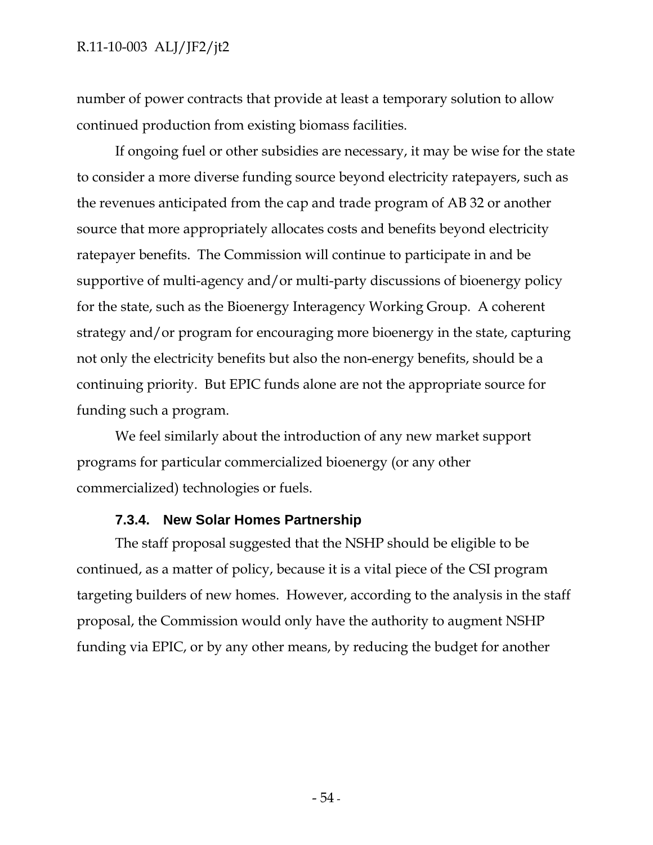number of power contracts that provide at least a temporary solution to allow continued production from existing biomass facilities.

If ongoing fuel or other subsidies are necessary, it may be wise for the state to consider a more diverse funding source beyond electricity ratepayers, such as the revenues anticipated from the cap and trade program of AB 32 or another source that more appropriately allocates costs and benefits beyond electricity ratepayer benefits. The Commission will continue to participate in and be supportive of multi-agency and/or multi-party discussions of bioenergy policy for the state, such as the Bioenergy Interagency Working Group. A coherent strategy and/or program for encouraging more bioenergy in the state, capturing not only the electricity benefits but also the non-energy benefits, should be a continuing priority. But EPIC funds alone are not the appropriate source for funding such a program.

We feel similarly about the introduction of any new market support programs for particular commercialized bioenergy (or any other commercialized) technologies or fuels.

# **7.3.4. New Solar Homes Partnership**

The staff proposal suggested that the NSHP should be eligible to be continued, as a matter of policy, because it is a vital piece of the CSI program targeting builders of new homes. However, according to the analysis in the staff proposal, the Commission would only have the authority to augment NSHP funding via EPIC, or by any other means, by reducing the budget for another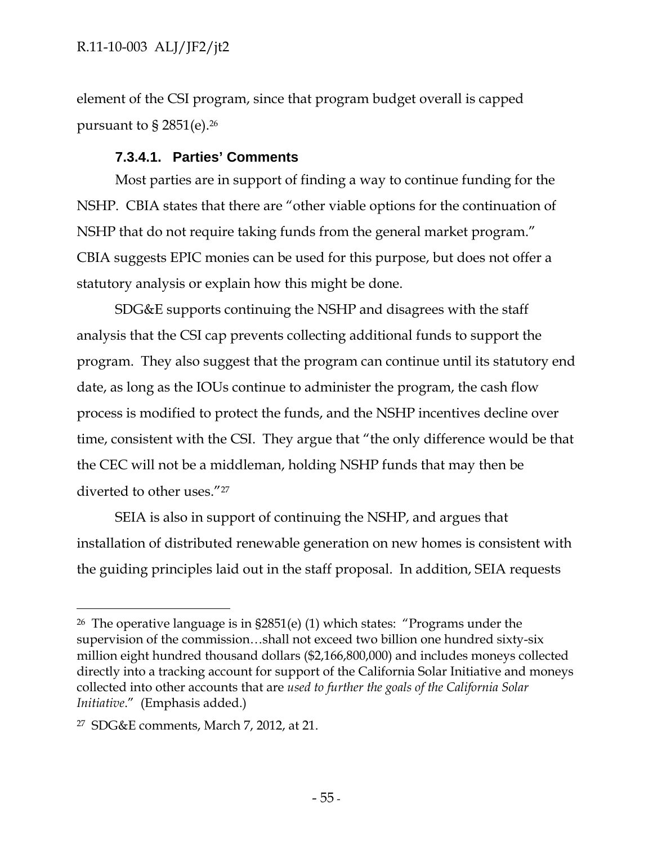element of the CSI program, since that program budget overall is capped pursuant to § 2851(e).26

# **7.3.4.1. Parties' Comments**

Most parties are in support of finding a way to continue funding for the NSHP. CBIA states that there are "other viable options for the continuation of NSHP that do not require taking funds from the general market program." CBIA suggests EPIC monies can be used for this purpose, but does not offer a statutory analysis or explain how this might be done.

SDG&E supports continuing the NSHP and disagrees with the staff analysis that the CSI cap prevents collecting additional funds to support the program. They also suggest that the program can continue until its statutory end date, as long as the IOUs continue to administer the program, the cash flow process is modified to protect the funds, and the NSHP incentives decline over time, consistent with the CSI. They argue that "the only difference would be that the CEC will not be a middleman, holding NSHP funds that may then be diverted to other uses."27

SEIA is also in support of continuing the NSHP, and argues that installation of distributed renewable generation on new homes is consistent with the guiding principles laid out in the staff proposal. In addition, SEIA requests

 $\overline{a}$ 

<sup>&</sup>lt;sup>26</sup> The operative language is in  $\S 2851(e)$  (1) which states: "Programs under the supervision of the commission…shall not exceed two billion one hundred sixty-six million eight hundred thousand dollars (\$2,166,800,000) and includes moneys collected directly into a tracking account for support of the California Solar Initiative and moneys collected into other accounts that are *used to further the goals of the California Solar Initiative*." (Emphasis added.)

<sup>27</sup> SDG&E comments, March 7, 2012, at 21.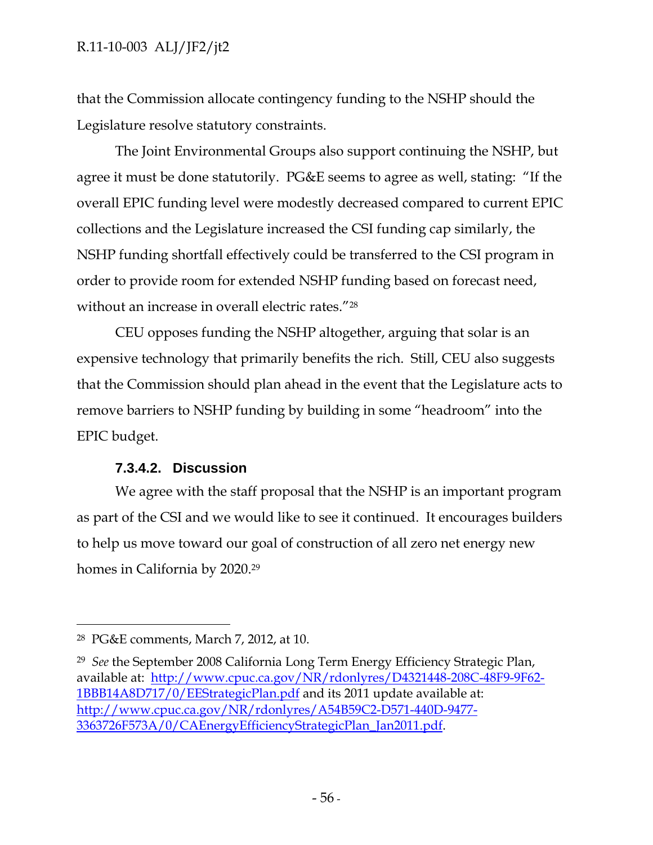that the Commission allocate contingency funding to the NSHP should the Legislature resolve statutory constraints.

The Joint Environmental Groups also support continuing the NSHP, but agree it must be done statutorily. PG&E seems to agree as well, stating: "If the overall EPIC funding level were modestly decreased compared to current EPIC collections and the Legislature increased the CSI funding cap similarly, the NSHP funding shortfall effectively could be transferred to the CSI program in order to provide room for extended NSHP funding based on forecast need, without an increase in overall electric rates."28

CEU opposes funding the NSHP altogether, arguing that solar is an expensive technology that primarily benefits the rich. Still, CEU also suggests that the Commission should plan ahead in the event that the Legislature acts to remove barriers to NSHP funding by building in some "headroom" into the EPIC budget.

# **7.3.4.2. Discussion**

We agree with the staff proposal that the NSHP is an important program as part of the CSI and we would like to see it continued. It encourages builders to help us move toward our goal of construction of all zero net energy new homes in California by 2020.29

-

<sup>28</sup> PG&E comments, March 7, 2012, at 10.

<sup>29</sup> *See* the September 2008 California Long Term Energy Efficiency Strategic Plan, available at: http://www.cpuc.ca.gov/NR/rdonlyres/D4321448-208C-48F9-9F62- 1BBB14A8D717/0/EEStrategicPlan.pdf and its 2011 update available at: http://www.cpuc.ca.gov/NR/rdonlyres/A54B59C2-D571-440D-9477- 3363726F573A/0/CAEnergyEfficiencyStrategicPlan\_Jan2011.pdf.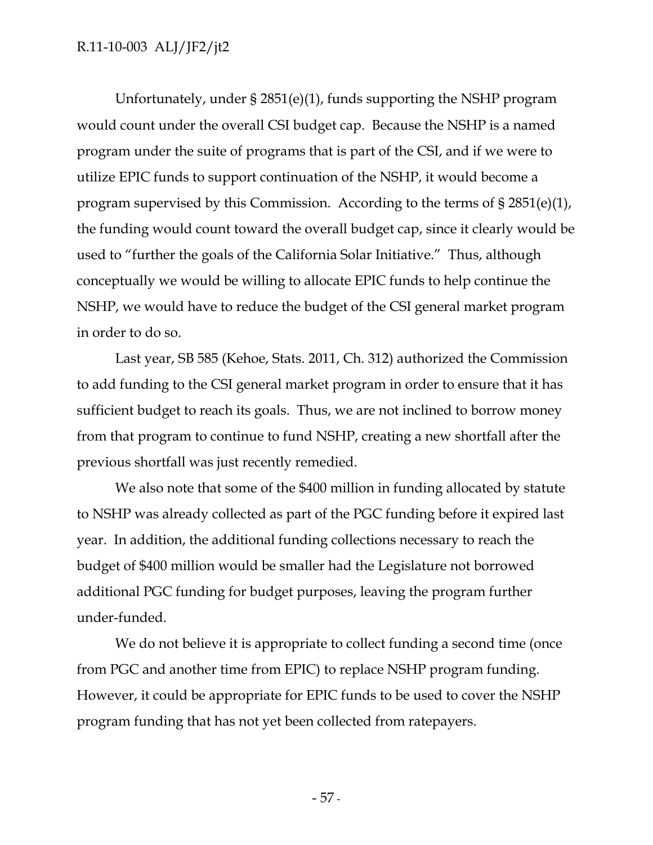Unfortunately, under § 2851(e)(1), funds supporting the NSHP program would count under the overall CSI budget cap. Because the NSHP is a named program under the suite of programs that is part of the CSI, and if we were to utilize EPIC funds to support continuation of the NSHP, it would become a program supervised by this Commission. According to the terms of § 2851(e)(1), the funding would count toward the overall budget cap, since it clearly would be used to "further the goals of the California Solar Initiative." Thus, although conceptually we would be willing to allocate EPIC funds to help continue the NSHP, we would have to reduce the budget of the CSI general market program in order to do so.

Last year, SB 585 (Kehoe, Stats. 2011, Ch. 312) authorized the Commission to add funding to the CSI general market program in order to ensure that it has sufficient budget to reach its goals. Thus, we are not inclined to borrow money from that program to continue to fund NSHP, creating a new shortfall after the previous shortfall was just recently remedied.

We also note that some of the \$400 million in funding allocated by statute to NSHP was already collected as part of the PGC funding before it expired last year. In addition, the additional funding collections necessary to reach the budget of \$400 million would be smaller had the Legislature not borrowed additional PGC funding for budget purposes, leaving the program further under-funded.

We do not believe it is appropriate to collect funding a second time (once from PGC and another time from EPIC) to replace NSHP program funding. However, it could be appropriate for EPIC funds to be used to cover the NSHP program funding that has not yet been collected from ratepayers.

- 57 -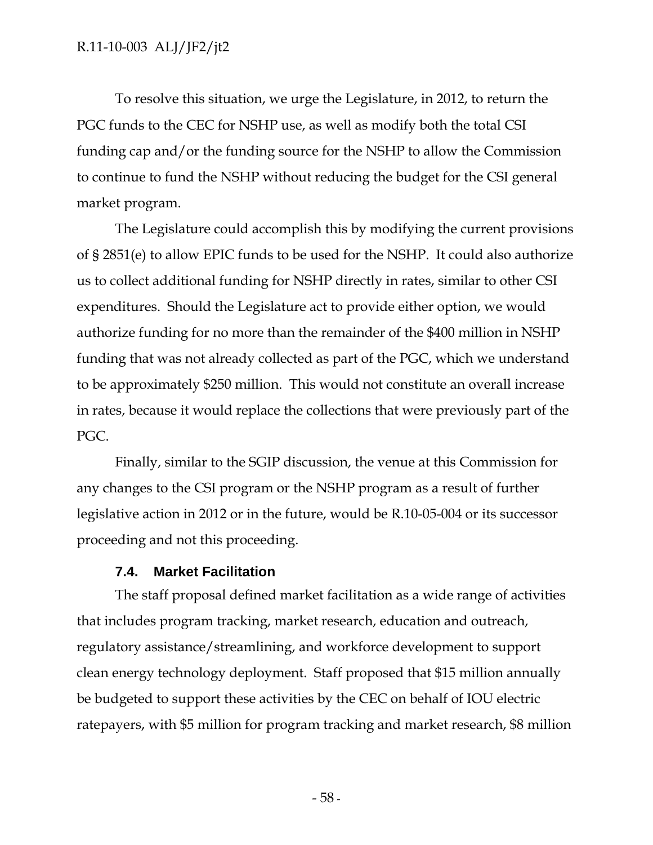To resolve this situation, we urge the Legislature, in 2012, to return the PGC funds to the CEC for NSHP use, as well as modify both the total CSI funding cap and/or the funding source for the NSHP to allow the Commission to continue to fund the NSHP without reducing the budget for the CSI general market program.

The Legislature could accomplish this by modifying the current provisions of § 2851(e) to allow EPIC funds to be used for the NSHP. It could also authorize us to collect additional funding for NSHP directly in rates, similar to other CSI expenditures. Should the Legislature act to provide either option, we would authorize funding for no more than the remainder of the \$400 million in NSHP funding that was not already collected as part of the PGC, which we understand to be approximately \$250 million. This would not constitute an overall increase in rates, because it would replace the collections that were previously part of the PGC.

Finally, similar to the SGIP discussion, the venue at this Commission for any changes to the CSI program or the NSHP program as a result of further legislative action in 2012 or in the future, would be R.10-05-004 or its successor proceeding and not this proceeding.

# **7.4. Market Facilitation**

The staff proposal defined market facilitation as a wide range of activities that includes program tracking, market research, education and outreach, regulatory assistance/streamlining, and workforce development to support clean energy technology deployment. Staff proposed that \$15 million annually be budgeted to support these activities by the CEC on behalf of IOU electric ratepayers, with \$5 million for program tracking and market research, \$8 million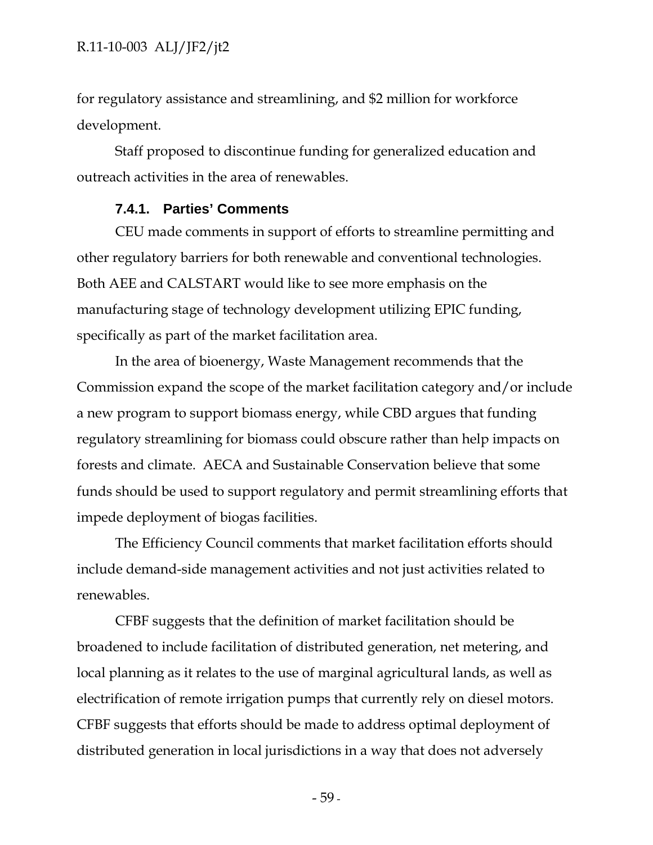for regulatory assistance and streamlining, and \$2 million for workforce development.

Staff proposed to discontinue funding for generalized education and outreach activities in the area of renewables.

### **7.4.1. Parties' Comments**

CEU made comments in support of efforts to streamline permitting and other regulatory barriers for both renewable and conventional technologies. Both AEE and CALSTART would like to see more emphasis on the manufacturing stage of technology development utilizing EPIC funding, specifically as part of the market facilitation area.

In the area of bioenergy, Waste Management recommends that the Commission expand the scope of the market facilitation category and/or include a new program to support biomass energy, while CBD argues that funding regulatory streamlining for biomass could obscure rather than help impacts on forests and climate. AECA and Sustainable Conservation believe that some funds should be used to support regulatory and permit streamlining efforts that impede deployment of biogas facilities.

The Efficiency Council comments that market facilitation efforts should include demand-side management activities and not just activities related to renewables.

CFBF suggests that the definition of market facilitation should be broadened to include facilitation of distributed generation, net metering, and local planning as it relates to the use of marginal agricultural lands, as well as electrification of remote irrigation pumps that currently rely on diesel motors. CFBF suggests that efforts should be made to address optimal deployment of distributed generation in local jurisdictions in a way that does not adversely

- 59 -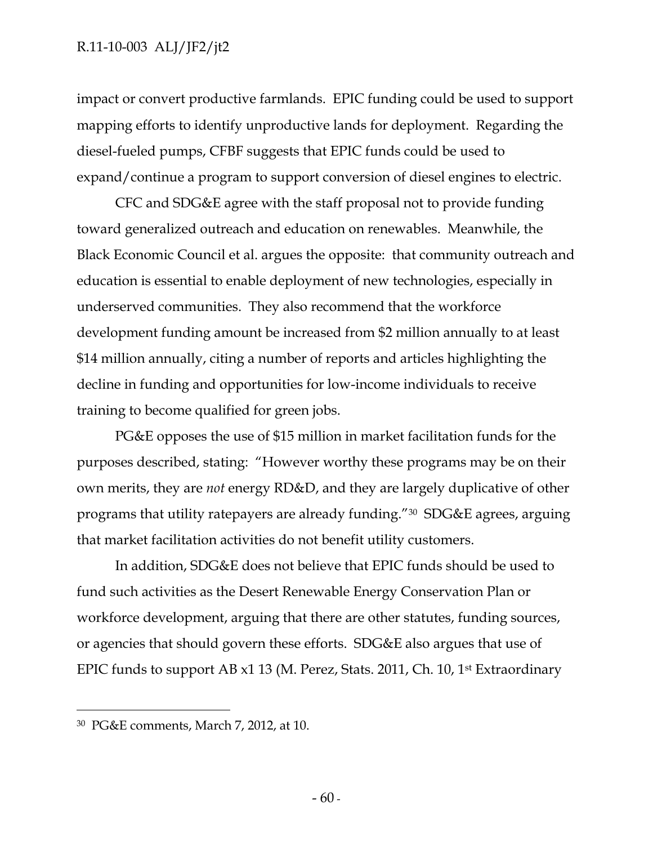impact or convert productive farmlands. EPIC funding could be used to support mapping efforts to identify unproductive lands for deployment. Regarding the diesel-fueled pumps, CFBF suggests that EPIC funds could be used to expand/continue a program to support conversion of diesel engines to electric.

CFC and SDG&E agree with the staff proposal not to provide funding toward generalized outreach and education on renewables. Meanwhile, the Black Economic Council et al. argues the opposite: that community outreach and education is essential to enable deployment of new technologies, especially in underserved communities. They also recommend that the workforce development funding amount be increased from \$2 million annually to at least \$14 million annually, citing a number of reports and articles highlighting the decline in funding and opportunities for low-income individuals to receive training to become qualified for green jobs.

PG&E opposes the use of \$15 million in market facilitation funds for the purposes described, stating: "However worthy these programs may be on their own merits, they are *not* energy RD&D, and they are largely duplicative of other programs that utility ratepayers are already funding."30 SDG&E agrees, arguing that market facilitation activities do not benefit utility customers.

In addition, SDG&E does not believe that EPIC funds should be used to fund such activities as the Desert Renewable Energy Conservation Plan or workforce development, arguing that there are other statutes, funding sources, or agencies that should govern these efforts. SDG&E also argues that use of EPIC funds to support AB x1 13 (M. Perez, Stats. 2011, Ch. 10, 1st Extraordinary

 $\overline{a}$ 

<sup>30</sup> PG&E comments, March 7, 2012, at 10.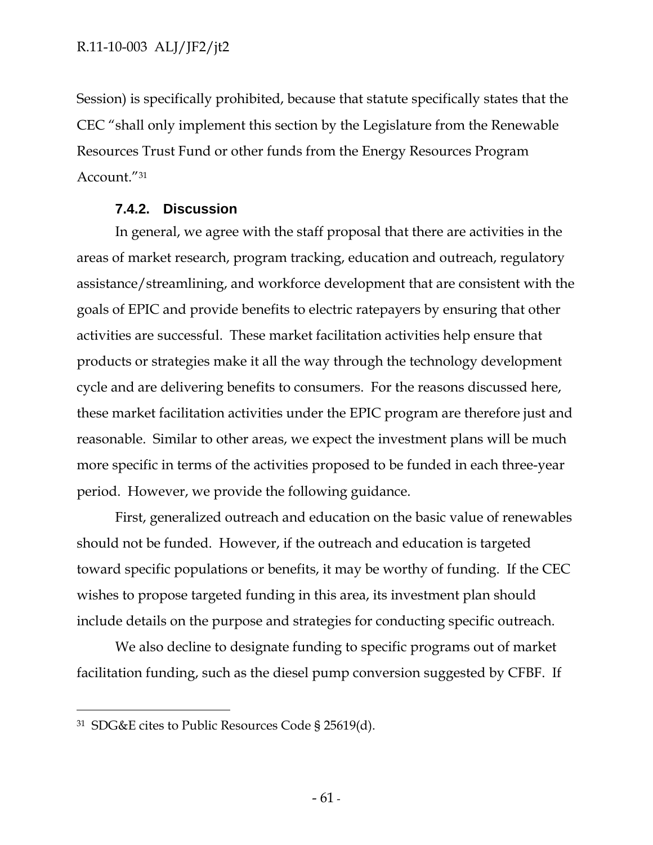Session) is specifically prohibited, because that statute specifically states that the CEC "shall only implement this section by the Legislature from the Renewable Resources Trust Fund or other funds from the Energy Resources Program Account."31

# **7.4.2. Discussion**

In general, we agree with the staff proposal that there are activities in the areas of market research, program tracking, education and outreach, regulatory assistance/streamlining, and workforce development that are consistent with the goals of EPIC and provide benefits to electric ratepayers by ensuring that other activities are successful. These market facilitation activities help ensure that products or strategies make it all the way through the technology development cycle and are delivering benefits to consumers. For the reasons discussed here, these market facilitation activities under the EPIC program are therefore just and reasonable. Similar to other areas, we expect the investment plans will be much more specific in terms of the activities proposed to be funded in each three-year period. However, we provide the following guidance.

First, generalized outreach and education on the basic value of renewables should not be funded. However, if the outreach and education is targeted toward specific populations or benefits, it may be worthy of funding. If the CEC wishes to propose targeted funding in this area, its investment plan should include details on the purpose and strategies for conducting specific outreach.

We also decline to designate funding to specific programs out of market facilitation funding, such as the diesel pump conversion suggested by CFBF. If

 $\overline{a}$ 

<sup>31</sup> SDG&E cites to Public Resources Code § 25619(d).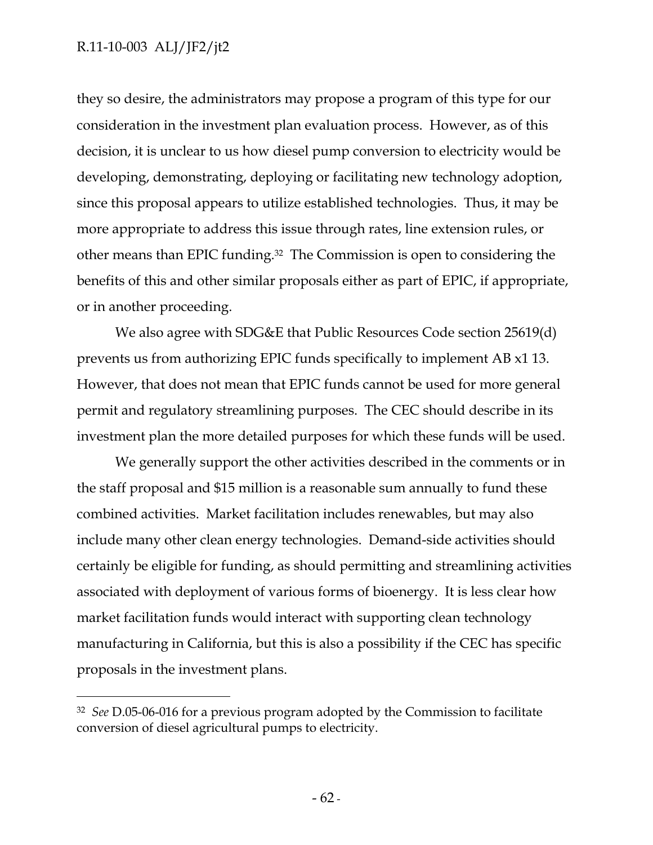-

they so desire, the administrators may propose a program of this type for our consideration in the investment plan evaluation process. However, as of this decision, it is unclear to us how diesel pump conversion to electricity would be developing, demonstrating, deploying or facilitating new technology adoption, since this proposal appears to utilize established technologies. Thus, it may be more appropriate to address this issue through rates, line extension rules, or other means than EPIC funding.32 The Commission is open to considering the benefits of this and other similar proposals either as part of EPIC, if appropriate, or in another proceeding.

We also agree with SDG&E that Public Resources Code section 25619(d) prevents us from authorizing EPIC funds specifically to implement AB x1 13. However, that does not mean that EPIC funds cannot be used for more general permit and regulatory streamlining purposes. The CEC should describe in its investment plan the more detailed purposes for which these funds will be used.

We generally support the other activities described in the comments or in the staff proposal and \$15 million is a reasonable sum annually to fund these combined activities. Market facilitation includes renewables, but may also include many other clean energy technologies. Demand-side activities should certainly be eligible for funding, as should permitting and streamlining activities associated with deployment of various forms of bioenergy. It is less clear how market facilitation funds would interact with supporting clean technology manufacturing in California, but this is also a possibility if the CEC has specific proposals in the investment plans.

<sup>32</sup> *See* D.05-06-016 for a previous program adopted by the Commission to facilitate conversion of diesel agricultural pumps to electricity.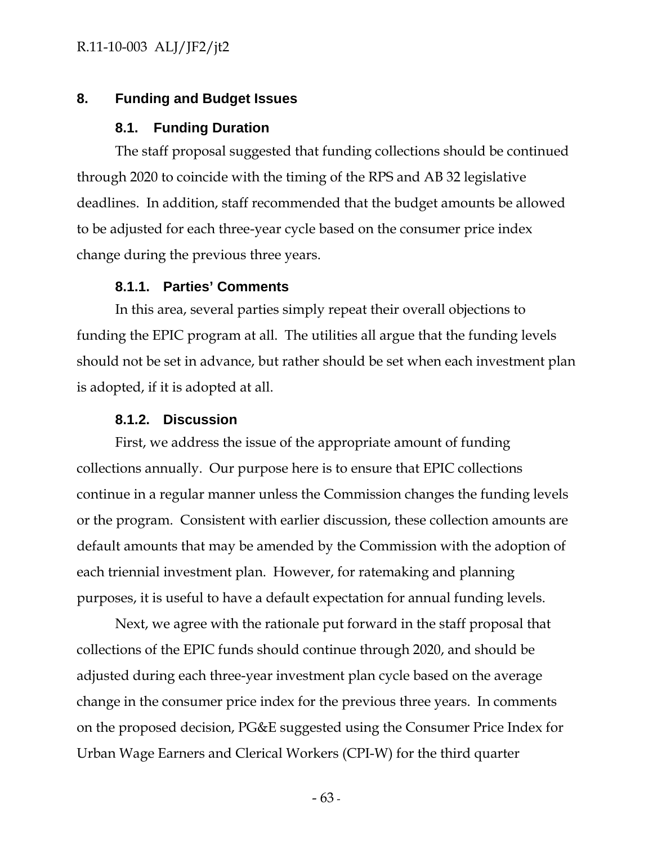# **8. Funding and Budget Issues**

## **8.1. Funding Duration**

The staff proposal suggested that funding collections should be continued through 2020 to coincide with the timing of the RPS and AB 32 legislative deadlines. In addition, staff recommended that the budget amounts be allowed to be adjusted for each three-year cycle based on the consumer price index change during the previous three years.

## **8.1.1. Parties' Comments**

In this area, several parties simply repeat their overall objections to funding the EPIC program at all. The utilities all argue that the funding levels should not be set in advance, but rather should be set when each investment plan is adopted, if it is adopted at all.

### **8.1.2. Discussion**

First, we address the issue of the appropriate amount of funding collections annually. Our purpose here is to ensure that EPIC collections continue in a regular manner unless the Commission changes the funding levels or the program. Consistent with earlier discussion, these collection amounts are default amounts that may be amended by the Commission with the adoption of each triennial investment plan. However, for ratemaking and planning purposes, it is useful to have a default expectation for annual funding levels.

Next, we agree with the rationale put forward in the staff proposal that collections of the EPIC funds should continue through 2020, and should be adjusted during each three-year investment plan cycle based on the average change in the consumer price index for the previous three years. In comments on the proposed decision, PG&E suggested using the Consumer Price Index for Urban Wage Earners and Clerical Workers (CPI-W) for the third quarter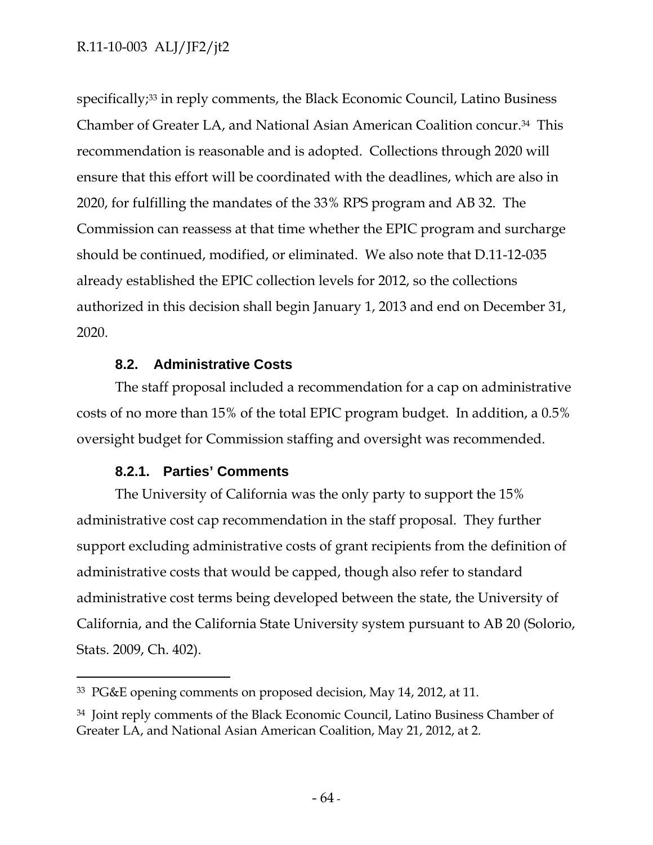specifically;<sup>33</sup> in reply comments, the Black Economic Council, Latino Business Chamber of Greater LA, and National Asian American Coalition concur.34 This recommendation is reasonable and is adopted. Collections through 2020 will ensure that this effort will be coordinated with the deadlines, which are also in 2020, for fulfilling the mandates of the 33% RPS program and AB 32. The Commission can reassess at that time whether the EPIC program and surcharge should be continued, modified, or eliminated. We also note that D.11-12-035 already established the EPIC collection levels for 2012, so the collections authorized in this decision shall begin January 1, 2013 and end on December 31, 2020.

# **8.2. Administrative Costs**

The staff proposal included a recommendation for a cap on administrative costs of no more than 15% of the total EPIC program budget. In addition, a 0.5% oversight budget for Commission staffing and oversight was recommended.

# **8.2.1. Parties' Comments**

-

The University of California was the only party to support the 15% administrative cost cap recommendation in the staff proposal. They further support excluding administrative costs of grant recipients from the definition of administrative costs that would be capped, though also refer to standard administrative cost terms being developed between the state, the University of California, and the California State University system pursuant to AB 20 (Solorio, Stats. 2009, Ch. 402).

<sup>33</sup> PG&E opening comments on proposed decision, May 14, 2012, at 11.

<sup>34</sup> Joint reply comments of the Black Economic Council, Latino Business Chamber of Greater LA, and National Asian American Coalition, May 21, 2012, at 2.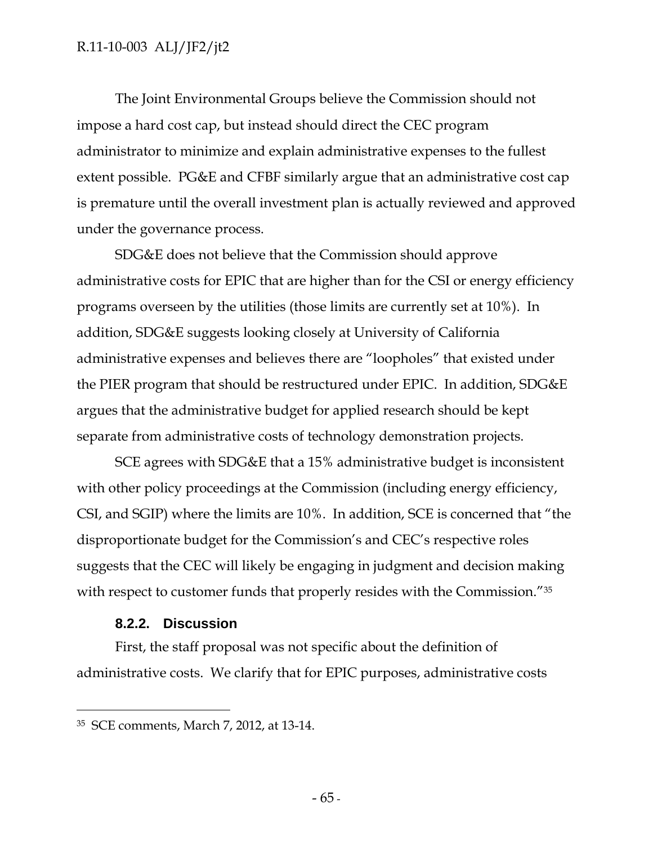The Joint Environmental Groups believe the Commission should not impose a hard cost cap, but instead should direct the CEC program administrator to minimize and explain administrative expenses to the fullest extent possible. PG&E and CFBF similarly argue that an administrative cost cap is premature until the overall investment plan is actually reviewed and approved under the governance process.

SDG&E does not believe that the Commission should approve administrative costs for EPIC that are higher than for the CSI or energy efficiency programs overseen by the utilities (those limits are currently set at 10%). In addition, SDG&E suggests looking closely at University of California administrative expenses and believes there are "loopholes" that existed under the PIER program that should be restructured under EPIC. In addition, SDG&E argues that the administrative budget for applied research should be kept separate from administrative costs of technology demonstration projects.

SCE agrees with SDG&E that a 15% administrative budget is inconsistent with other policy proceedings at the Commission (including energy efficiency, CSI, and SGIP) where the limits are 10%. In addition, SCE is concerned that "the disproportionate budget for the Commission's and CEC's respective roles suggests that the CEC will likely be engaging in judgment and decision making with respect to customer funds that properly resides with the Commission.<sup>"35</sup>

## **8.2.2. Discussion**

-

First, the staff proposal was not specific about the definition of administrative costs. We clarify that for EPIC purposes, administrative costs

<sup>35</sup> SCE comments, March 7, 2012, at 13-14.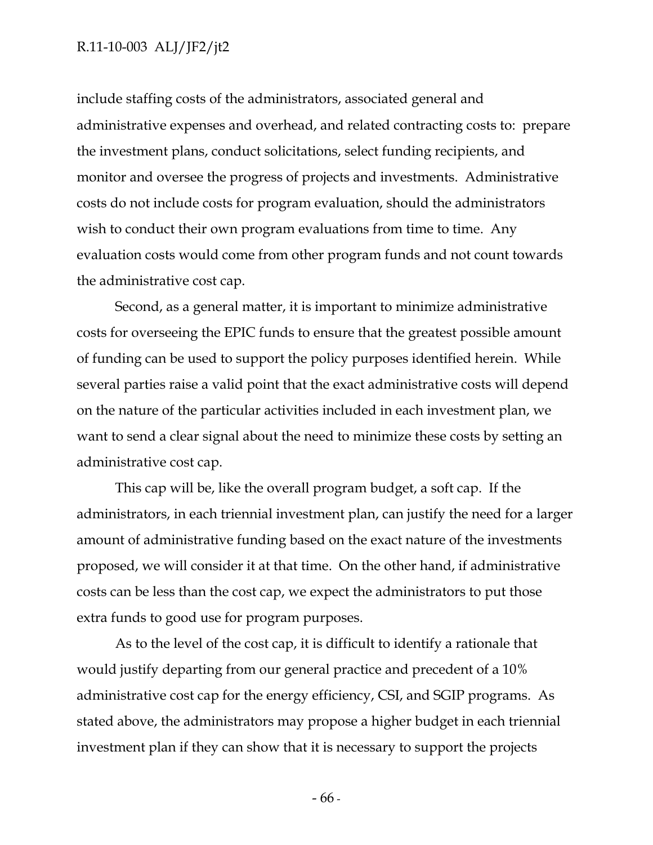include staffing costs of the administrators, associated general and administrative expenses and overhead, and related contracting costs to: prepare the investment plans, conduct solicitations, select funding recipients, and monitor and oversee the progress of projects and investments. Administrative costs do not include costs for program evaluation, should the administrators wish to conduct their own program evaluations from time to time. Any evaluation costs would come from other program funds and not count towards the administrative cost cap.

Second, as a general matter, it is important to minimize administrative costs for overseeing the EPIC funds to ensure that the greatest possible amount of funding can be used to support the policy purposes identified herein. While several parties raise a valid point that the exact administrative costs will depend on the nature of the particular activities included in each investment plan, we want to send a clear signal about the need to minimize these costs by setting an administrative cost cap.

This cap will be, like the overall program budget, a soft cap. If the administrators, in each triennial investment plan, can justify the need for a larger amount of administrative funding based on the exact nature of the investments proposed, we will consider it at that time. On the other hand, if administrative costs can be less than the cost cap, we expect the administrators to put those extra funds to good use for program purposes.

As to the level of the cost cap, it is difficult to identify a rationale that would justify departing from our general practice and precedent of a 10% administrative cost cap for the energy efficiency, CSI, and SGIP programs. As stated above, the administrators may propose a higher budget in each triennial investment plan if they can show that it is necessary to support the projects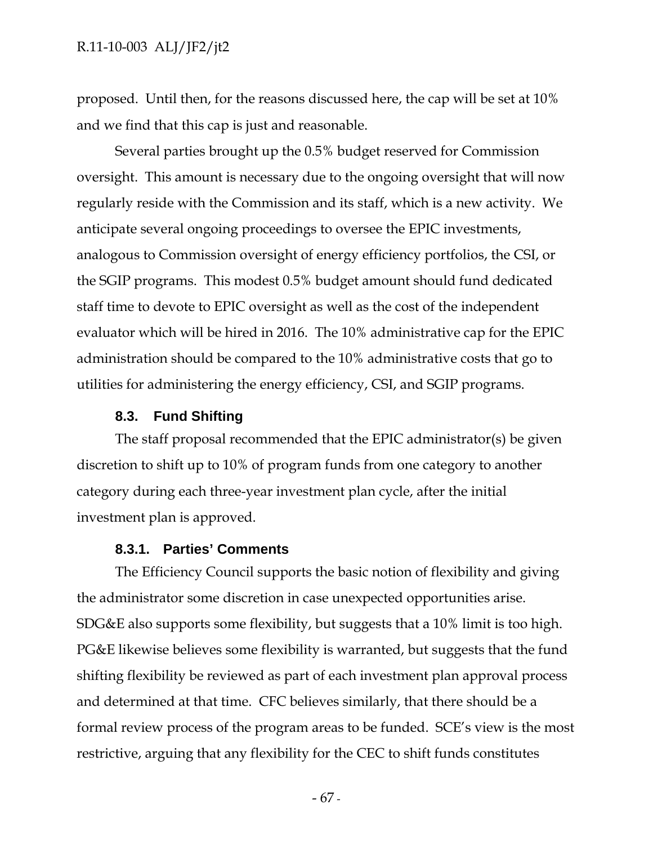proposed. Until then, for the reasons discussed here, the cap will be set at 10% and we find that this cap is just and reasonable.

Several parties brought up the 0.5% budget reserved for Commission oversight. This amount is necessary due to the ongoing oversight that will now regularly reside with the Commission and its staff, which is a new activity. We anticipate several ongoing proceedings to oversee the EPIC investments, analogous to Commission oversight of energy efficiency portfolios, the CSI, or the SGIP programs. This modest 0.5% budget amount should fund dedicated staff time to devote to EPIC oversight as well as the cost of the independent evaluator which will be hired in 2016. The 10% administrative cap for the EPIC administration should be compared to the 10% administrative costs that go to utilities for administering the energy efficiency, CSI, and SGIP programs.

### **8.3. Fund Shifting**

The staff proposal recommended that the EPIC administrator(s) be given discretion to shift up to 10% of program funds from one category to another category during each three-year investment plan cycle, after the initial investment plan is approved.

### **8.3.1. Parties' Comments**

The Efficiency Council supports the basic notion of flexibility and giving the administrator some discretion in case unexpected opportunities arise. SDG&E also supports some flexibility, but suggests that a 10% limit is too high. PG&E likewise believes some flexibility is warranted, but suggests that the fund shifting flexibility be reviewed as part of each investment plan approval process and determined at that time. CFC believes similarly, that there should be a formal review process of the program areas to be funded. SCE's view is the most restrictive, arguing that any flexibility for the CEC to shift funds constitutes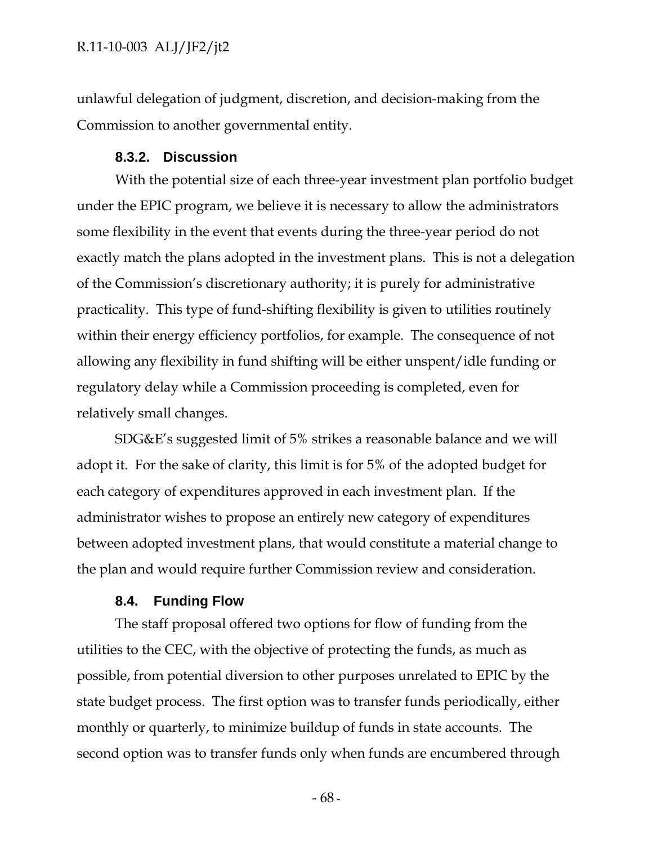unlawful delegation of judgment, discretion, and decision-making from the Commission to another governmental entity.

### **8.3.2. Discussion**

With the potential size of each three-year investment plan portfolio budget under the EPIC program, we believe it is necessary to allow the administrators some flexibility in the event that events during the three-year period do not exactly match the plans adopted in the investment plans. This is not a delegation of the Commission's discretionary authority; it is purely for administrative practicality. This type of fund-shifting flexibility is given to utilities routinely within their energy efficiency portfolios, for example. The consequence of not allowing any flexibility in fund shifting will be either unspent/idle funding or regulatory delay while a Commission proceeding is completed, even for relatively small changes.

SDG&E's suggested limit of 5% strikes a reasonable balance and we will adopt it. For the sake of clarity, this limit is for 5% of the adopted budget for each category of expenditures approved in each investment plan. If the administrator wishes to propose an entirely new category of expenditures between adopted investment plans, that would constitute a material change to the plan and would require further Commission review and consideration.

#### **8.4. Funding Flow**

The staff proposal offered two options for flow of funding from the utilities to the CEC, with the objective of protecting the funds, as much as possible, from potential diversion to other purposes unrelated to EPIC by the state budget process. The first option was to transfer funds periodically, either monthly or quarterly, to minimize buildup of funds in state accounts. The second option was to transfer funds only when funds are encumbered through

- 68 -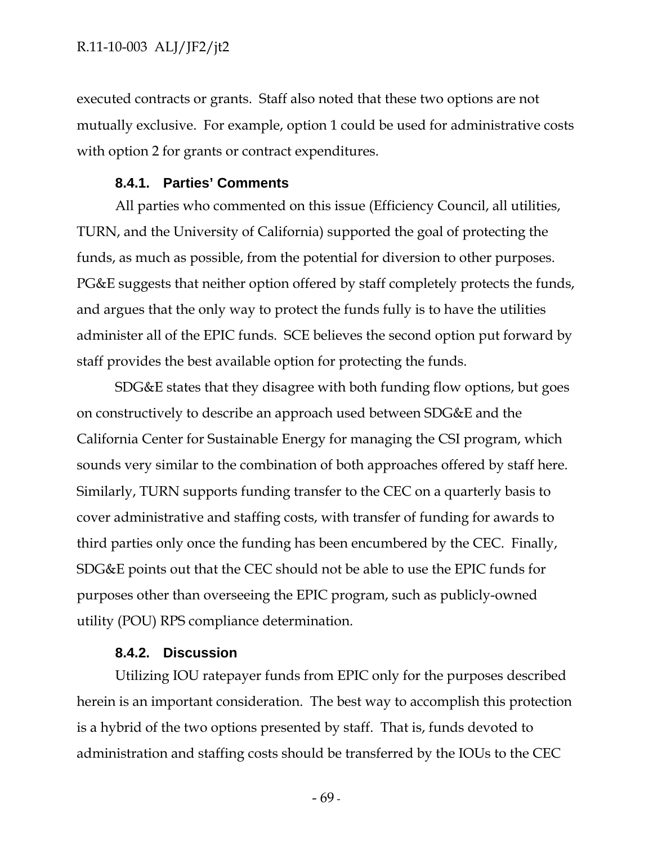executed contracts or grants. Staff also noted that these two options are not mutually exclusive. For example, option 1 could be used for administrative costs with option 2 for grants or contract expenditures.

## **8.4.1. Parties' Comments**

All parties who commented on this issue (Efficiency Council, all utilities, TURN, and the University of California) supported the goal of protecting the funds, as much as possible, from the potential for diversion to other purposes. PG&E suggests that neither option offered by staff completely protects the funds, and argues that the only way to protect the funds fully is to have the utilities administer all of the EPIC funds. SCE believes the second option put forward by staff provides the best available option for protecting the funds.

SDG&E states that they disagree with both funding flow options, but goes on constructively to describe an approach used between SDG&E and the California Center for Sustainable Energy for managing the CSI program, which sounds very similar to the combination of both approaches offered by staff here. Similarly, TURN supports funding transfer to the CEC on a quarterly basis to cover administrative and staffing costs, with transfer of funding for awards to third parties only once the funding has been encumbered by the CEC. Finally, SDG&E points out that the CEC should not be able to use the EPIC funds for purposes other than overseeing the EPIC program, such as publicly-owned utility (POU) RPS compliance determination.

### **8.4.2. Discussion**

Utilizing IOU ratepayer funds from EPIC only for the purposes described herein is an important consideration. The best way to accomplish this protection is a hybrid of the two options presented by staff. That is, funds devoted to administration and staffing costs should be transferred by the IOUs to the CEC

- 69 -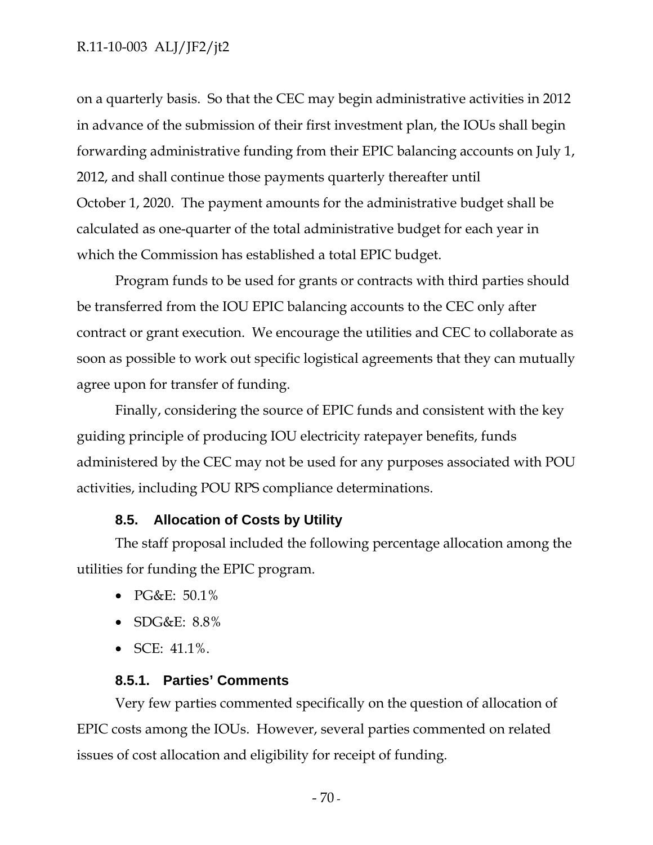on a quarterly basis. So that the CEC may begin administrative activities in 2012 in advance of the submission of their first investment plan, the IOUs shall begin forwarding administrative funding from their EPIC balancing accounts on July 1, 2012, and shall continue those payments quarterly thereafter until October 1, 2020. The payment amounts for the administrative budget shall be calculated as one-quarter of the total administrative budget for each year in which the Commission has established a total EPIC budget.

Program funds to be used for grants or contracts with third parties should be transferred from the IOU EPIC balancing accounts to the CEC only after contract or grant execution. We encourage the utilities and CEC to collaborate as soon as possible to work out specific logistical agreements that they can mutually agree upon for transfer of funding.

Finally, considering the source of EPIC funds and consistent with the key guiding principle of producing IOU electricity ratepayer benefits, funds administered by the CEC may not be used for any purposes associated with POU activities, including POU RPS compliance determinations.

### **8.5. Allocation of Costs by Utility**

The staff proposal included the following percentage allocation among the utilities for funding the EPIC program.

- PG&E: 50.1%
- SDG&E: 8.8%
- SCE:  $41.1\%$ .

### **8.5.1. Parties' Comments**

Very few parties commented specifically on the question of allocation of EPIC costs among the IOUs. However, several parties commented on related issues of cost allocation and eligibility for receipt of funding.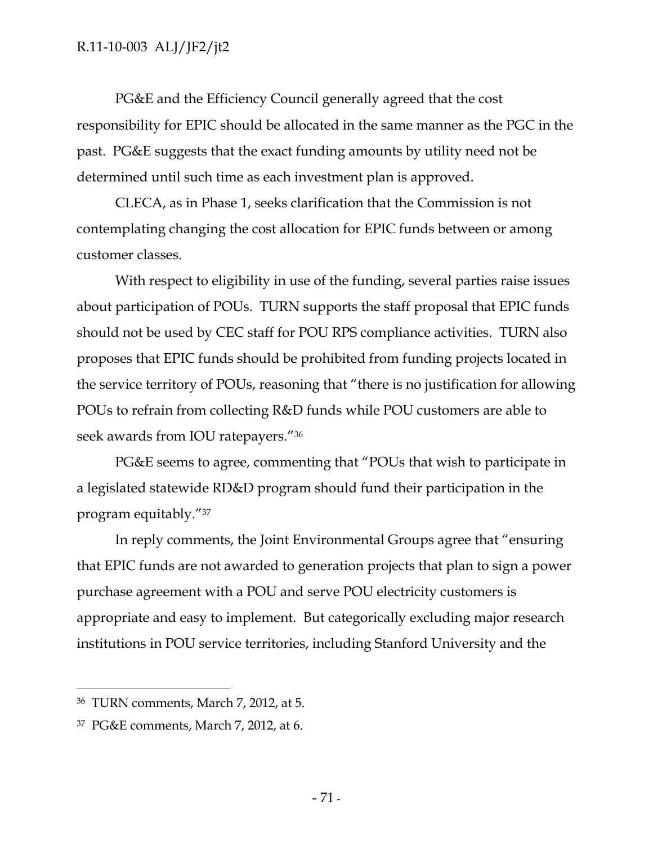PG&E and the Efficiency Council generally agreed that the cost responsibility for EPIC should be allocated in the same manner as the PGC in the past. PG&E suggests that the exact funding amounts by utility need not be determined until such time as each investment plan is approved.

CLECA, as in Phase 1, seeks clarification that the Commission is not contemplating changing the cost allocation for EPIC funds between or among customer classes.

With respect to eligibility in use of the funding, several parties raise issues about participation of POUs. TURN supports the staff proposal that EPIC funds should not be used by CEC staff for POU RPS compliance activities. TURN also proposes that EPIC funds should be prohibited from funding projects located in the service territory of POUs, reasoning that "there is no justification for allowing POUs to refrain from collecting R&D funds while POU customers are able to seek awards from IOU ratepayers."36

PG&E seems to agree, commenting that "POUs that wish to participate in a legislated statewide RD&D program should fund their participation in the program equitably."37

In reply comments, the Joint Environmental Groups agree that "ensuring that EPIC funds are not awarded to generation projects that plan to sign a power purchase agreement with a POU and serve POU electricity customers is appropriate and easy to implement. But categorically excluding major research institutions in POU service territories, including Stanford University and the

-

<sup>36</sup> TURN comments, March 7, 2012, at 5.

<sup>37</sup> PG&E comments, March 7, 2012, at 6.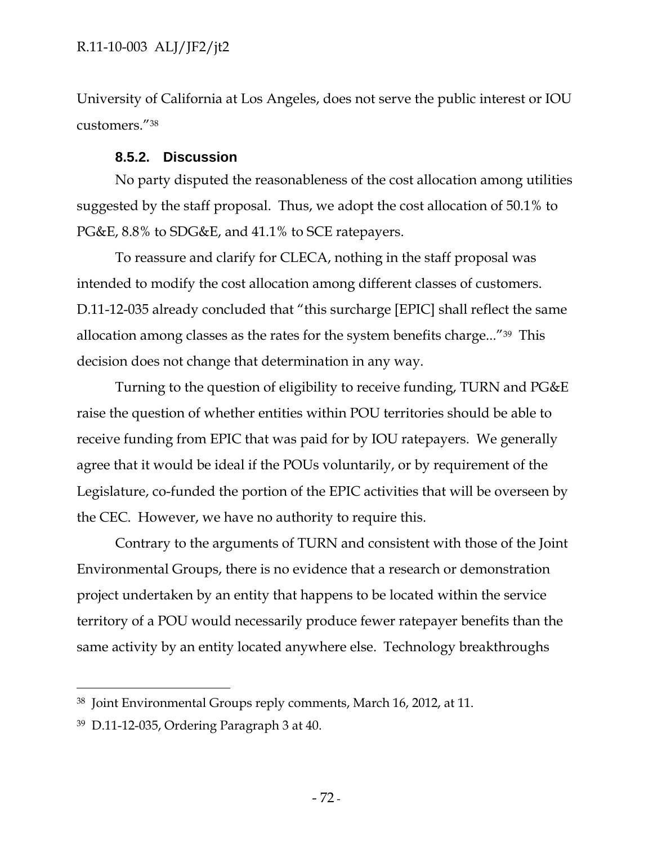University of California at Los Angeles, does not serve the public interest or IOU customers."38

### **8.5.2. Discussion**

No party disputed the reasonableness of the cost allocation among utilities suggested by the staff proposal. Thus, we adopt the cost allocation of 50.1% to PG&E, 8.8% to SDG&E, and 41.1% to SCE ratepayers.

To reassure and clarify for CLECA, nothing in the staff proposal was intended to modify the cost allocation among different classes of customers. D.11-12-035 already concluded that "this surcharge [EPIC] shall reflect the same allocation among classes as the rates for the system benefits charge..."39 This decision does not change that determination in any way.

Turning to the question of eligibility to receive funding, TURN and PG&E raise the question of whether entities within POU territories should be able to receive funding from EPIC that was paid for by IOU ratepayers. We generally agree that it would be ideal if the POUs voluntarily, or by requirement of the Legislature, co-funded the portion of the EPIC activities that will be overseen by the CEC. However, we have no authority to require this.

Contrary to the arguments of TURN and consistent with those of the Joint Environmental Groups, there is no evidence that a research or demonstration project undertaken by an entity that happens to be located within the service territory of a POU would necessarily produce fewer ratepayer benefits than the same activity by an entity located anywhere else. Technology breakthroughs

 $\overline{a}$ 

<sup>38</sup> Joint Environmental Groups reply comments, March 16, 2012, at 11.

<sup>39</sup> D.11-12-035, Ordering Paragraph 3 at 40.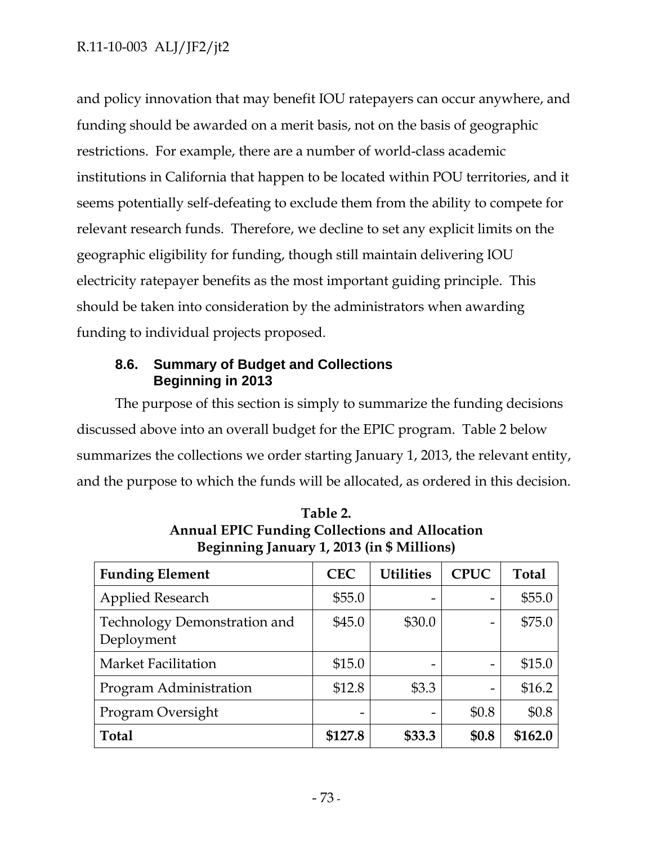and policy innovation that may benefit IOU ratepayers can occur anywhere, and funding should be awarded on a merit basis, not on the basis of geographic restrictions. For example, there are a number of world-class academic institutions in California that happen to be located within POU territories, and it seems potentially self-defeating to exclude them from the ability to compete for relevant research funds. Therefore, we decline to set any explicit limits on the geographic eligibility for funding, though still maintain delivering IOU electricity ratepayer benefits as the most important guiding principle. This should be taken into consideration by the administrators when awarding funding to individual projects proposed.

# **8.6. Summary of Budget and Collections Beginning in 2013**

The purpose of this section is simply to summarize the funding decisions discussed above into an overall budget for the EPIC program. Table 2 below summarizes the collections we order starting January 1, 2013, the relevant entity, and the purpose to which the funds will be allocated, as ordered in this decision.

| <b>Funding Element</b>                     | <b>CEC</b> | <b>Utilities</b> | <b>CPUC</b> | <b>Total</b> |
|--------------------------------------------|------------|------------------|-------------|--------------|
| <b>Applied Research</b>                    | \$55.0     |                  |             | \$55.0       |
| Technology Demonstration and<br>Deployment | \$45.0     | \$30.0           |             | \$75.0       |
| <b>Market Facilitation</b>                 | \$15.0     |                  |             | \$15.0       |
| Program Administration                     | \$12.8     | \$3.3            |             | \$16.2       |
| Program Oversight                          | -          | $\qquad \qquad$  | \$0.8       | \$0.8        |
| <b>Total</b>                               | \$127.8    | \$33.3           | \$0.8       | \$162.0      |

**Table 2. Annual EPIC Funding Collections and Allocation Beginning January 1, 2013 (in \$ Millions)**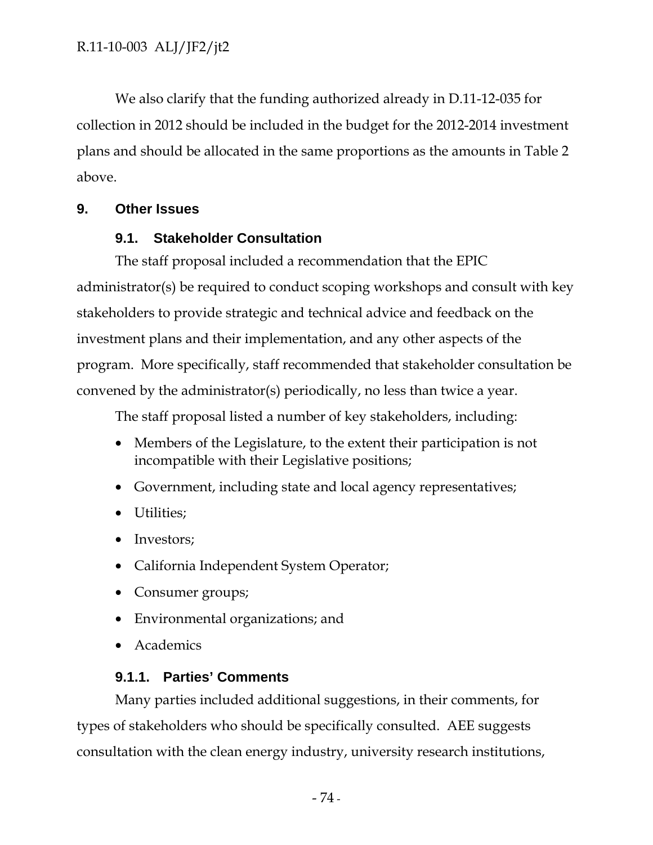We also clarify that the funding authorized already in D.11-12-035 for collection in 2012 should be included in the budget for the 2012-2014 investment plans and should be allocated in the same proportions as the amounts in Table 2 above.

## **9. Other Issues**

# **9.1. Stakeholder Consultation**

The staff proposal included a recommendation that the EPIC administrator(s) be required to conduct scoping workshops and consult with key stakeholders to provide strategic and technical advice and feedback on the investment plans and their implementation, and any other aspects of the program. More specifically, staff recommended that stakeholder consultation be convened by the administrator(s) periodically, no less than twice a year.

The staff proposal listed a number of key stakeholders, including:

- Members of the Legislature, to the extent their participation is not incompatible with their Legislative positions;
- Government, including state and local agency representatives;
- Utilities;
- Investors;
- California Independent System Operator;
- Consumer groups;
- Environmental organizations; and
- Academics

# **9.1.1. Parties' Comments**

Many parties included additional suggestions, in their comments, for types of stakeholders who should be specifically consulted. AEE suggests consultation with the clean energy industry, university research institutions,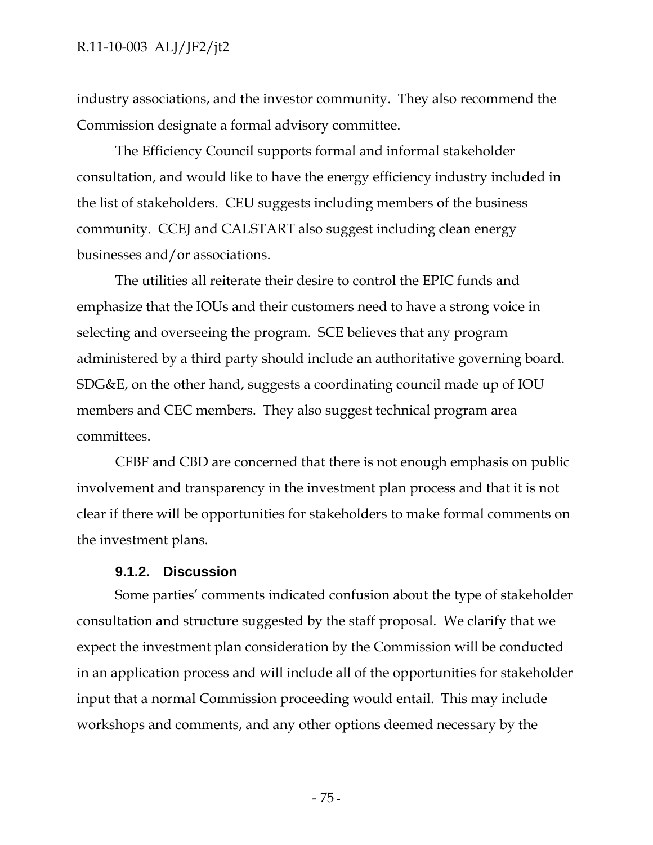industry associations, and the investor community. They also recommend the Commission designate a formal advisory committee.

The Efficiency Council supports formal and informal stakeholder consultation, and would like to have the energy efficiency industry included in the list of stakeholders. CEU suggests including members of the business community. CCEJ and CALSTART also suggest including clean energy businesses and/or associations.

The utilities all reiterate their desire to control the EPIC funds and emphasize that the IOUs and their customers need to have a strong voice in selecting and overseeing the program. SCE believes that any program administered by a third party should include an authoritative governing board. SDG&E, on the other hand, suggests a coordinating council made up of IOU members and CEC members. They also suggest technical program area committees.

CFBF and CBD are concerned that there is not enough emphasis on public involvement and transparency in the investment plan process and that it is not clear if there will be opportunities for stakeholders to make formal comments on the investment plans.

### **9.1.2. Discussion**

Some parties' comments indicated confusion about the type of stakeholder consultation and structure suggested by the staff proposal. We clarify that we expect the investment plan consideration by the Commission will be conducted in an application process and will include all of the opportunities for stakeholder input that a normal Commission proceeding would entail. This may include workshops and comments, and any other options deemed necessary by the

- 75 -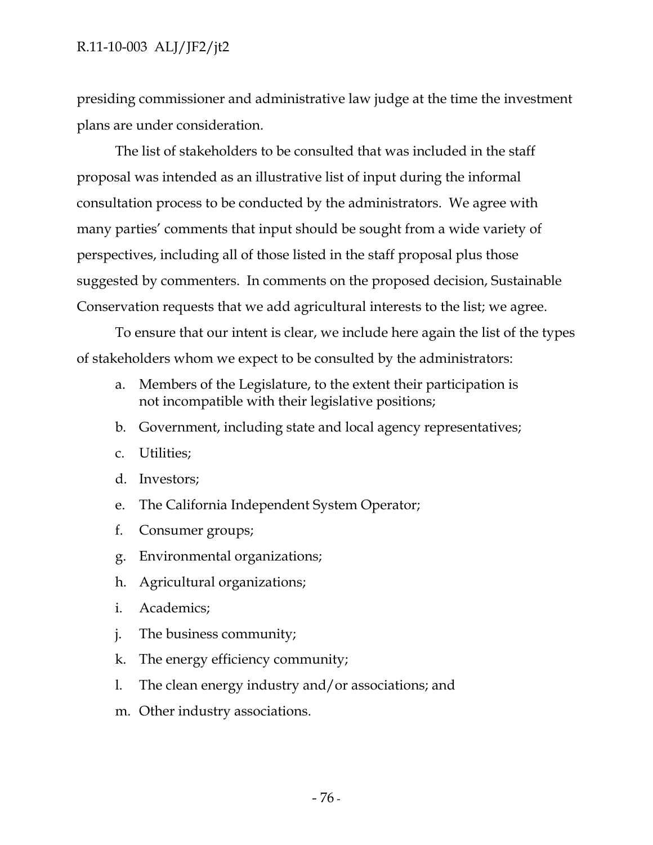presiding commissioner and administrative law judge at the time the investment plans are under consideration.

The list of stakeholders to be consulted that was included in the staff proposal was intended as an illustrative list of input during the informal consultation process to be conducted by the administrators. We agree with many parties' comments that input should be sought from a wide variety of perspectives, including all of those listed in the staff proposal plus those suggested by commenters. In comments on the proposed decision, Sustainable Conservation requests that we add agricultural interests to the list; we agree.

To ensure that our intent is clear, we include here again the list of the types of stakeholders whom we expect to be consulted by the administrators:

- a. Members of the Legislature, to the extent their participation is not incompatible with their legislative positions;
- b. Government, including state and local agency representatives;
- c. Utilities;
- d. Investors;
- e. The California Independent System Operator;
- f. Consumer groups;
- g. Environmental organizations;
- h. Agricultural organizations;
- i. Academics;
- j. The business community;
- k. The energy efficiency community;
- l. The clean energy industry and/or associations; and
- m. Other industry associations.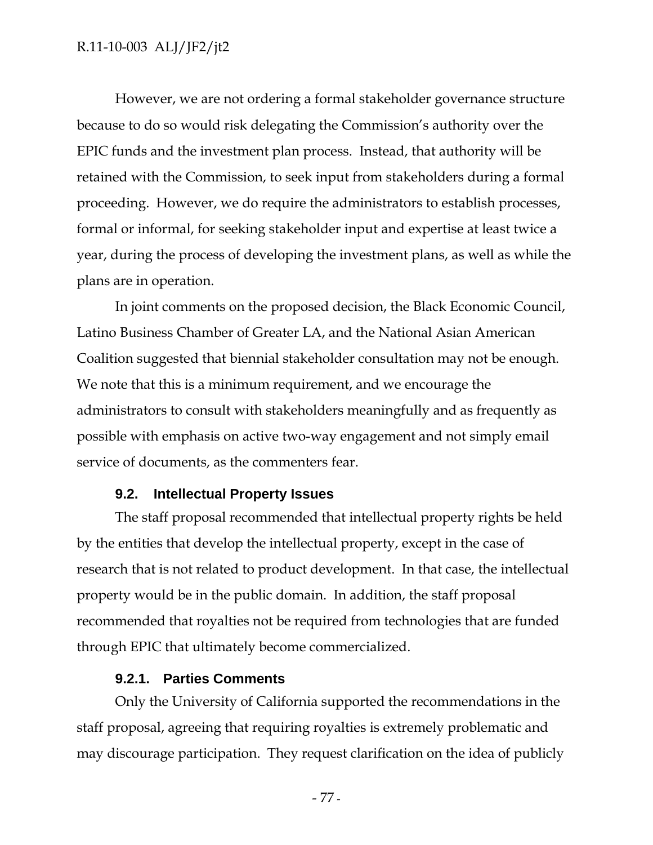However, we are not ordering a formal stakeholder governance structure because to do so would risk delegating the Commission's authority over the EPIC funds and the investment plan process. Instead, that authority will be retained with the Commission, to seek input from stakeholders during a formal proceeding. However, we do require the administrators to establish processes, formal or informal, for seeking stakeholder input and expertise at least twice a year, during the process of developing the investment plans, as well as while the plans are in operation.

In joint comments on the proposed decision, the Black Economic Council, Latino Business Chamber of Greater LA, and the National Asian American Coalition suggested that biennial stakeholder consultation may not be enough. We note that this is a minimum requirement, and we encourage the administrators to consult with stakeholders meaningfully and as frequently as possible with emphasis on active two-way engagement and not simply email service of documents, as the commenters fear.

#### **9.2. Intellectual Property Issues**

The staff proposal recommended that intellectual property rights be held by the entities that develop the intellectual property, except in the case of research that is not related to product development. In that case, the intellectual property would be in the public domain. In addition, the staff proposal recommended that royalties not be required from technologies that are funded through EPIC that ultimately become commercialized.

### **9.2.1. Parties Comments**

Only the University of California supported the recommendations in the staff proposal, agreeing that requiring royalties is extremely problematic and may discourage participation. They request clarification on the idea of publicly

- 77 -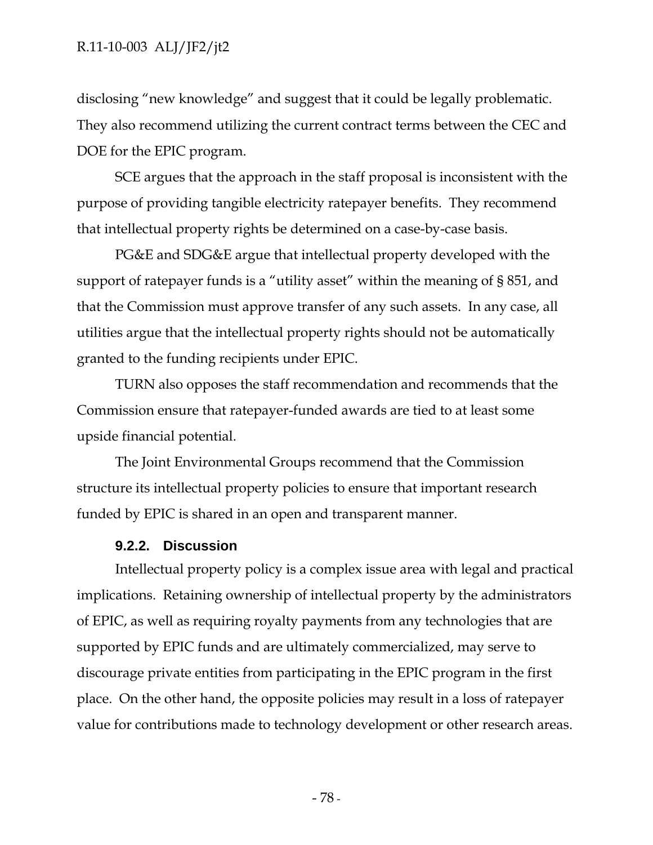disclosing "new knowledge" and suggest that it could be legally problematic. They also recommend utilizing the current contract terms between the CEC and DOE for the EPIC program.

SCE argues that the approach in the staff proposal is inconsistent with the purpose of providing tangible electricity ratepayer benefits. They recommend that intellectual property rights be determined on a case-by-case basis.

PG&E and SDG&E argue that intellectual property developed with the support of ratepayer funds is a "utility asset" within the meaning of § 851, and that the Commission must approve transfer of any such assets. In any case, all utilities argue that the intellectual property rights should not be automatically granted to the funding recipients under EPIC.

TURN also opposes the staff recommendation and recommends that the Commission ensure that ratepayer-funded awards are tied to at least some upside financial potential.

The Joint Environmental Groups recommend that the Commission structure its intellectual property policies to ensure that important research funded by EPIC is shared in an open and transparent manner.

#### **9.2.2. Discussion**

Intellectual property policy is a complex issue area with legal and practical implications. Retaining ownership of intellectual property by the administrators of EPIC, as well as requiring royalty payments from any technologies that are supported by EPIC funds and are ultimately commercialized, may serve to discourage private entities from participating in the EPIC program in the first place. On the other hand, the opposite policies may result in a loss of ratepayer value for contributions made to technology development or other research areas.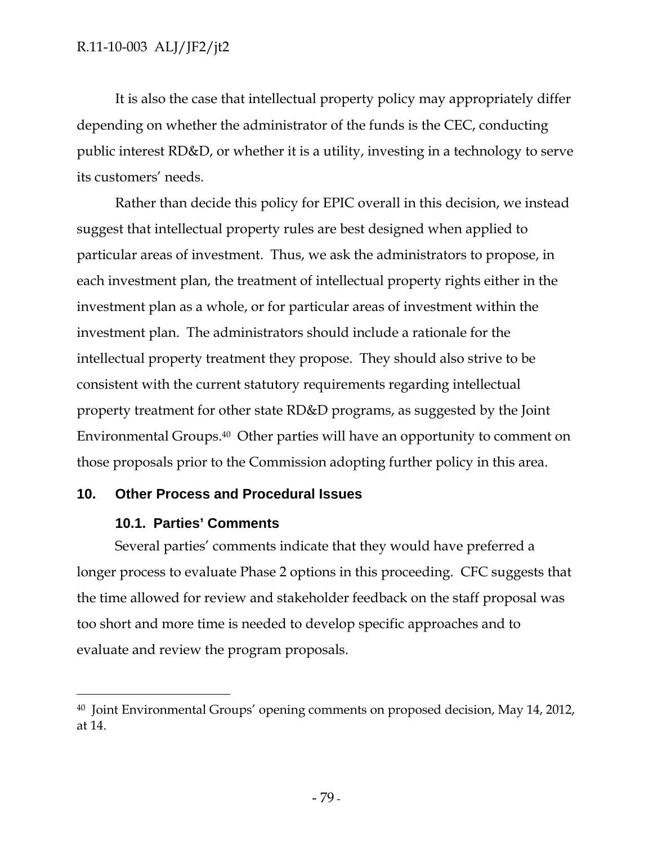It is also the case that intellectual property policy may appropriately differ depending on whether the administrator of the funds is the CEC, conducting public interest RD&D, or whether it is a utility, investing in a technology to serve its customers' needs.

Rather than decide this policy for EPIC overall in this decision, we instead suggest that intellectual property rules are best designed when applied to particular areas of investment. Thus, we ask the administrators to propose, in each investment plan, the treatment of intellectual property rights either in the investment plan as a whole, or for particular areas of investment within the investment plan. The administrators should include a rationale for the intellectual property treatment they propose. They should also strive to be consistent with the current statutory requirements regarding intellectual property treatment for other state RD&D programs, as suggested by the Joint Environmental Groups.40 Other parties will have an opportunity to comment on those proposals prior to the Commission adopting further policy in this area.

## **10. Other Process and Procedural Issues**

## **10.1. Parties' Comments**

 $\overline{a}$ 

Several parties' comments indicate that they would have preferred a longer process to evaluate Phase 2 options in this proceeding. CFC suggests that the time allowed for review and stakeholder feedback on the staff proposal was too short and more time is needed to develop specific approaches and to evaluate and review the program proposals.

<sup>40</sup> Joint Environmental Groups' opening comments on proposed decision, May 14, 2012, at 14.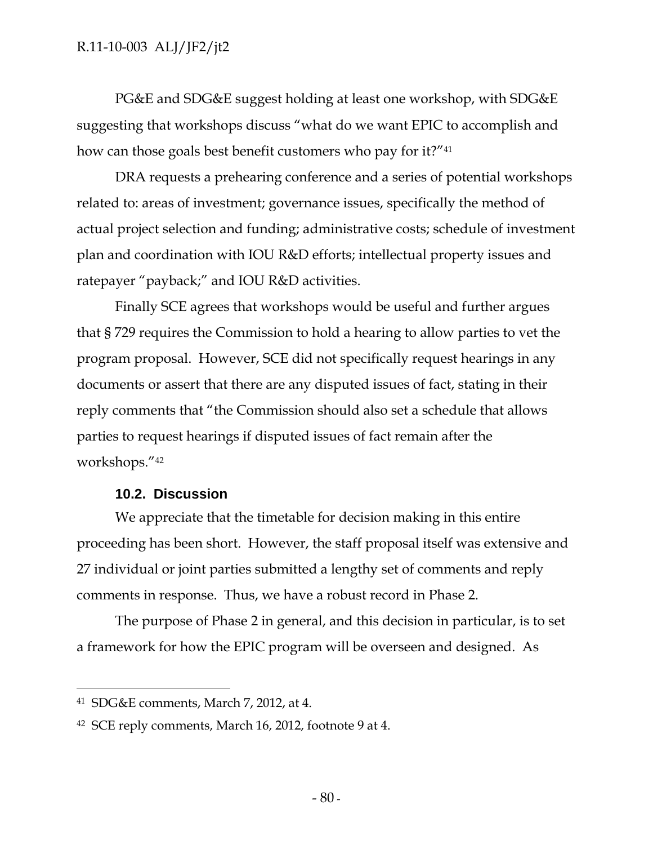PG&E and SDG&E suggest holding at least one workshop, with SDG&E suggesting that workshops discuss "what do we want EPIC to accomplish and how can those goals best benefit customers who pay for it?"41

DRA requests a prehearing conference and a series of potential workshops related to: areas of investment; governance issues, specifically the method of actual project selection and funding; administrative costs; schedule of investment plan and coordination with IOU R&D efforts; intellectual property issues and ratepayer "payback;" and IOU R&D activities.

Finally SCE agrees that workshops would be useful and further argues that § 729 requires the Commission to hold a hearing to allow parties to vet the program proposal. However, SCE did not specifically request hearings in any documents or assert that there are any disputed issues of fact, stating in their reply comments that "the Commission should also set a schedule that allows parties to request hearings if disputed issues of fact remain after the workshops."42

## **10.2. Discussion**

We appreciate that the timetable for decision making in this entire proceeding has been short. However, the staff proposal itself was extensive and 27 individual or joint parties submitted a lengthy set of comments and reply comments in response. Thus, we have a robust record in Phase 2.

The purpose of Phase 2 in general, and this decision in particular, is to set a framework for how the EPIC program will be overseen and designed. As

-

<sup>41</sup> SDG&E comments, March 7, 2012, at 4.

<sup>42</sup> SCE reply comments, March 16, 2012, footnote 9 at 4.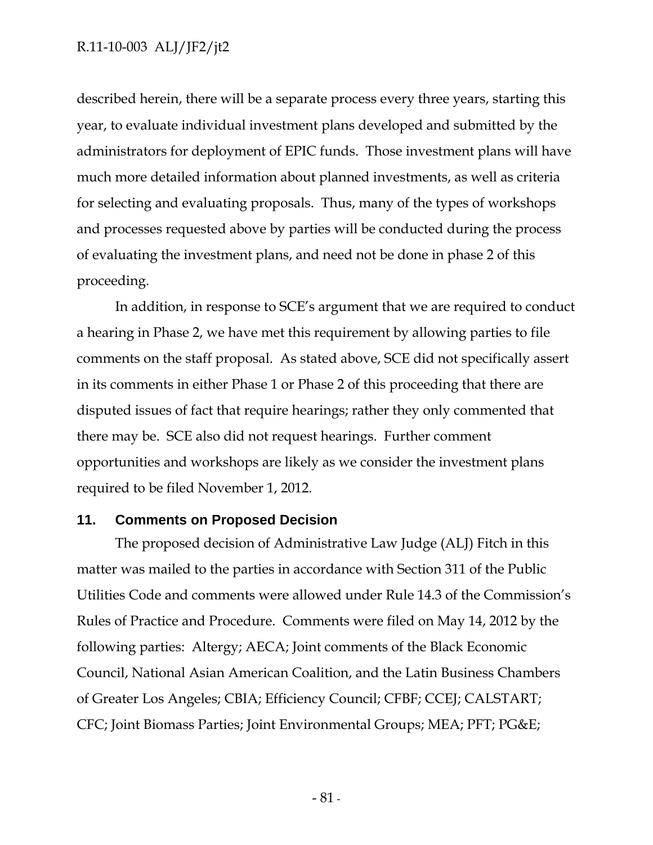described herein, there will be a separate process every three years, starting this year, to evaluate individual investment plans developed and submitted by the administrators for deployment of EPIC funds. Those investment plans will have much more detailed information about planned investments, as well as criteria for selecting and evaluating proposals. Thus, many of the types of workshops and processes requested above by parties will be conducted during the process of evaluating the investment plans, and need not be done in phase 2 of this proceeding.

In addition, in response to SCE's argument that we are required to conduct a hearing in Phase 2, we have met this requirement by allowing parties to file comments on the staff proposal. As stated above, SCE did not specifically assert in its comments in either Phase 1 or Phase 2 of this proceeding that there are disputed issues of fact that require hearings; rather they only commented that there may be. SCE also did not request hearings. Further comment opportunities and workshops are likely as we consider the investment plans required to be filed November 1, 2012.

#### **11. Comments on Proposed Decision**

The proposed decision of Administrative Law Judge (ALJ) Fitch in this matter was mailed to the parties in accordance with Section 311 of the Public Utilities Code and comments were allowed under Rule 14.3 of the Commission's Rules of Practice and Procedure. Comments were filed on May 14, 2012 by the following parties: Altergy; AECA; Joint comments of the Black Economic Council, National Asian American Coalition, and the Latin Business Chambers of Greater Los Angeles; CBIA; Efficiency Council; CFBF; CCEJ; CALSTART; CFC; Joint Biomass Parties; Joint Environmental Groups; MEA; PFT; PG&E;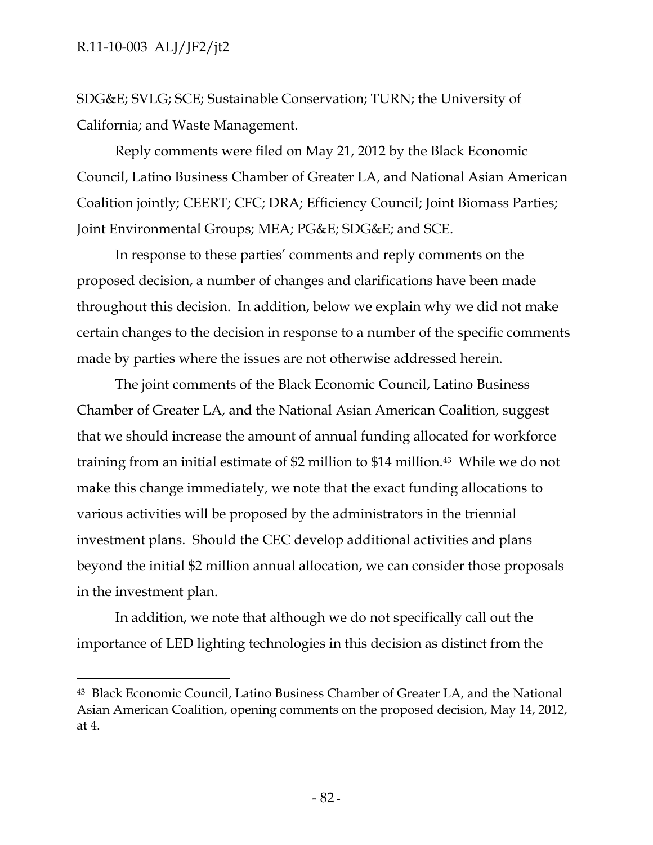$\overline{a}$ 

SDG&E; SVLG; SCE; Sustainable Conservation; TURN; the University of California; and Waste Management.

Reply comments were filed on May 21, 2012 by the Black Economic Council, Latino Business Chamber of Greater LA, and National Asian American Coalition jointly; CEERT; CFC; DRA; Efficiency Council; Joint Biomass Parties; Joint Environmental Groups; MEA; PG&E; SDG&E; and SCE.

In response to these parties' comments and reply comments on the proposed decision, a number of changes and clarifications have been made throughout this decision. In addition, below we explain why we did not make certain changes to the decision in response to a number of the specific comments made by parties where the issues are not otherwise addressed herein.

The joint comments of the Black Economic Council, Latino Business Chamber of Greater LA, and the National Asian American Coalition, suggest that we should increase the amount of annual funding allocated for workforce training from an initial estimate of \$2 million to \$14 million.43 While we do not make this change immediately, we note that the exact funding allocations to various activities will be proposed by the administrators in the triennial investment plans. Should the CEC develop additional activities and plans beyond the initial \$2 million annual allocation, we can consider those proposals in the investment plan.

In addition, we note that although we do not specifically call out the importance of LED lighting technologies in this decision as distinct from the

<sup>43</sup> Black Economic Council, Latino Business Chamber of Greater LA, and the National Asian American Coalition, opening comments on the proposed decision, May 14, 2012, at 4.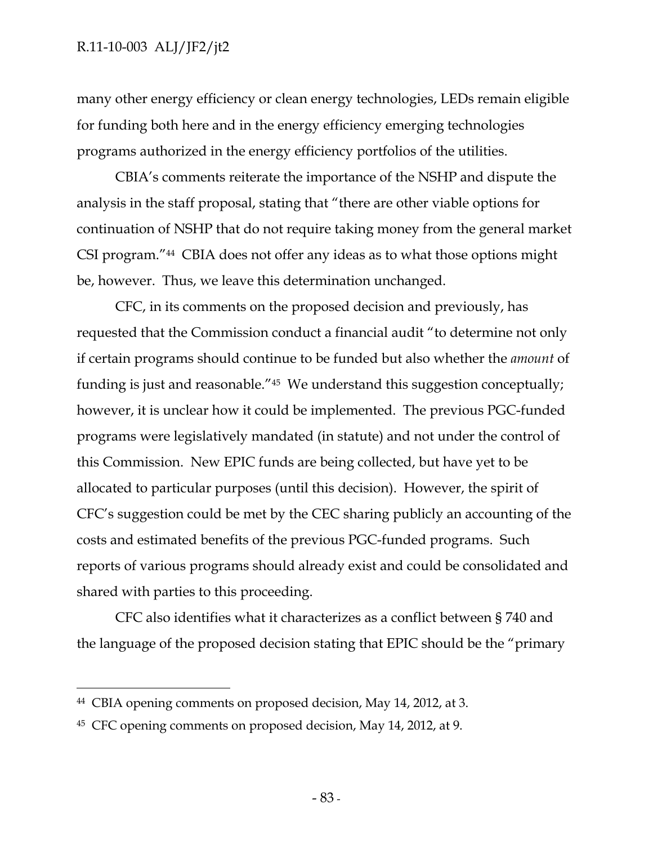many other energy efficiency or clean energy technologies, LEDs remain eligible for funding both here and in the energy efficiency emerging technologies programs authorized in the energy efficiency portfolios of the utilities.

CBIA's comments reiterate the importance of the NSHP and dispute the analysis in the staff proposal, stating that "there are other viable options for continuation of NSHP that do not require taking money from the general market CSI program."44 CBIA does not offer any ideas as to what those options might be, however. Thus, we leave this determination unchanged.

CFC, in its comments on the proposed decision and previously, has requested that the Commission conduct a financial audit "to determine not only if certain programs should continue to be funded but also whether the *amount* of funding is just and reasonable."45 We understand this suggestion conceptually; however, it is unclear how it could be implemented. The previous PGC-funded programs were legislatively mandated (in statute) and not under the control of this Commission. New EPIC funds are being collected, but have yet to be allocated to particular purposes (until this decision). However, the spirit of CFC's suggestion could be met by the CEC sharing publicly an accounting of the costs and estimated benefits of the previous PGC-funded programs. Such reports of various programs should already exist and could be consolidated and shared with parties to this proceeding.

CFC also identifies what it characterizes as a conflict between § 740 and the language of the proposed decision stating that EPIC should be the "primary

 $\overline{a}$ 

<sup>44</sup> CBIA opening comments on proposed decision, May 14, 2012, at 3.

<sup>45</sup> CFC opening comments on proposed decision, May 14, 2012, at 9.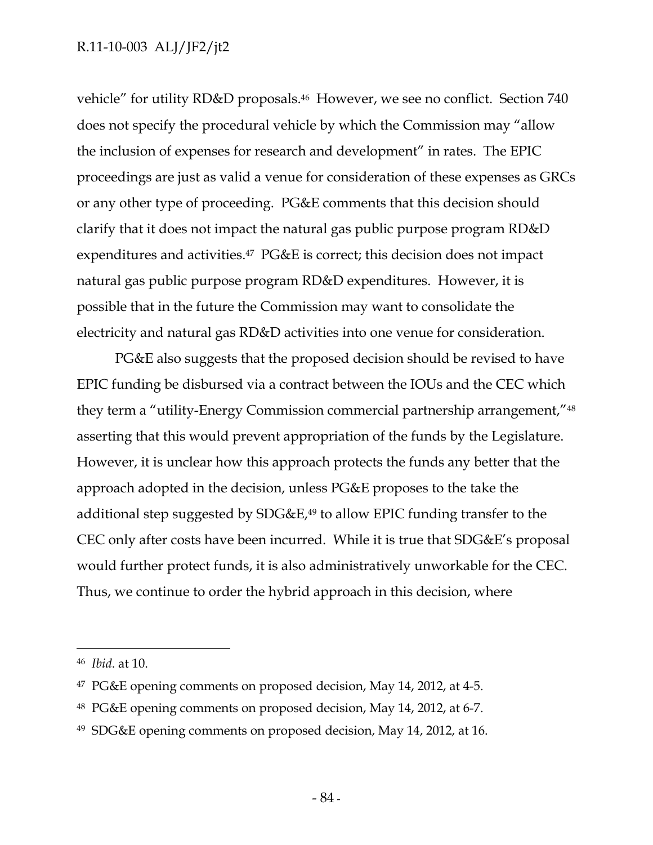vehicle" for utility RD&D proposals.46 However, we see no conflict. Section 740 does not specify the procedural vehicle by which the Commission may "allow the inclusion of expenses for research and development" in rates. The EPIC proceedings are just as valid a venue for consideration of these expenses as GRCs or any other type of proceeding. PG&E comments that this decision should clarify that it does not impact the natural gas public purpose program RD&D expenditures and activities.<sup>47</sup> PG&E is correct; this decision does not impact natural gas public purpose program RD&D expenditures. However, it is possible that in the future the Commission may want to consolidate the electricity and natural gas RD&D activities into one venue for consideration.

PG&E also suggests that the proposed decision should be revised to have EPIC funding be disbursed via a contract between the IOUs and the CEC which they term a "utility-Energy Commission commercial partnership arrangement,"48 asserting that this would prevent appropriation of the funds by the Legislature. However, it is unclear how this approach protects the funds any better that the approach adopted in the decision, unless PG&E proposes to the take the additional step suggested by  $SDG\&E,49$  to allow EPIC funding transfer to the CEC only after costs have been incurred. While it is true that SDG&E's proposal would further protect funds, it is also administratively unworkable for the CEC. Thus, we continue to order the hybrid approach in this decision, where

-

<sup>46</sup> *Ibid*. at 10.

<sup>47</sup> PG&E opening comments on proposed decision, May 14, 2012, at 4-5.

<sup>48</sup> PG&E opening comments on proposed decision, May 14, 2012, at 6-7.

<sup>49</sup> SDG&E opening comments on proposed decision, May 14, 2012, at 16.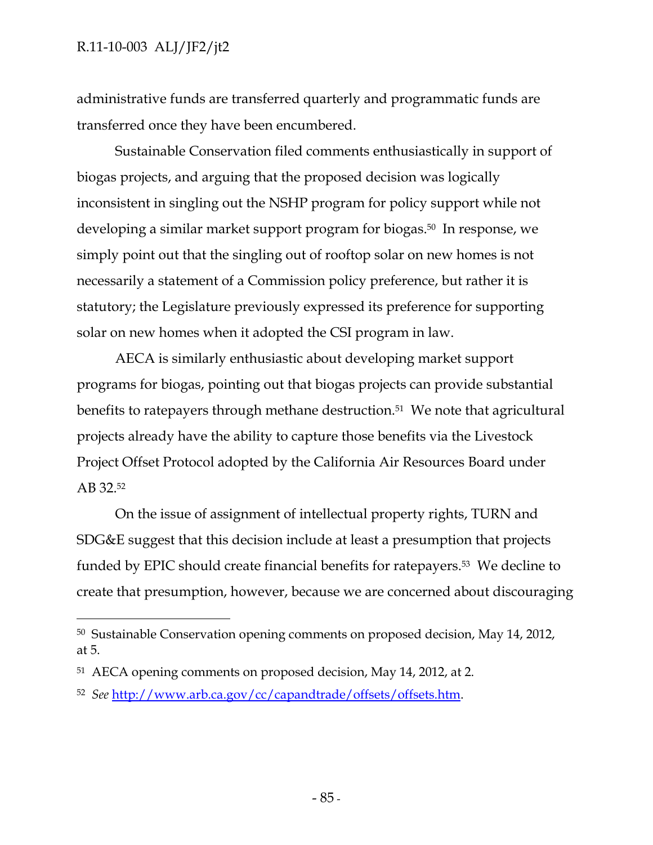$\overline{a}$ 

administrative funds are transferred quarterly and programmatic funds are transferred once they have been encumbered.

Sustainable Conservation filed comments enthusiastically in support of biogas projects, and arguing that the proposed decision was logically inconsistent in singling out the NSHP program for policy support while not developing a similar market support program for biogas.50 In response, we simply point out that the singling out of rooftop solar on new homes is not necessarily a statement of a Commission policy preference, but rather it is statutory; the Legislature previously expressed its preference for supporting solar on new homes when it adopted the CSI program in law.

AECA is similarly enthusiastic about developing market support programs for biogas, pointing out that biogas projects can provide substantial benefits to ratepayers through methane destruction.<sup>51</sup> We note that agricultural projects already have the ability to capture those benefits via the Livestock Project Offset Protocol adopted by the California Air Resources Board under AB 32.52

On the issue of assignment of intellectual property rights, TURN and SDG&E suggest that this decision include at least a presumption that projects funded by EPIC should create financial benefits for ratepayers.53 We decline to create that presumption, however, because we are concerned about discouraging

<sup>50</sup> Sustainable Conservation opening comments on proposed decision, May 14, 2012, at 5.

<sup>51</sup> AECA opening comments on proposed decision, May 14, 2012, at 2.

<sup>52</sup> *See* http://www.arb.ca.gov/cc/capandtrade/offsets/offsets.htm.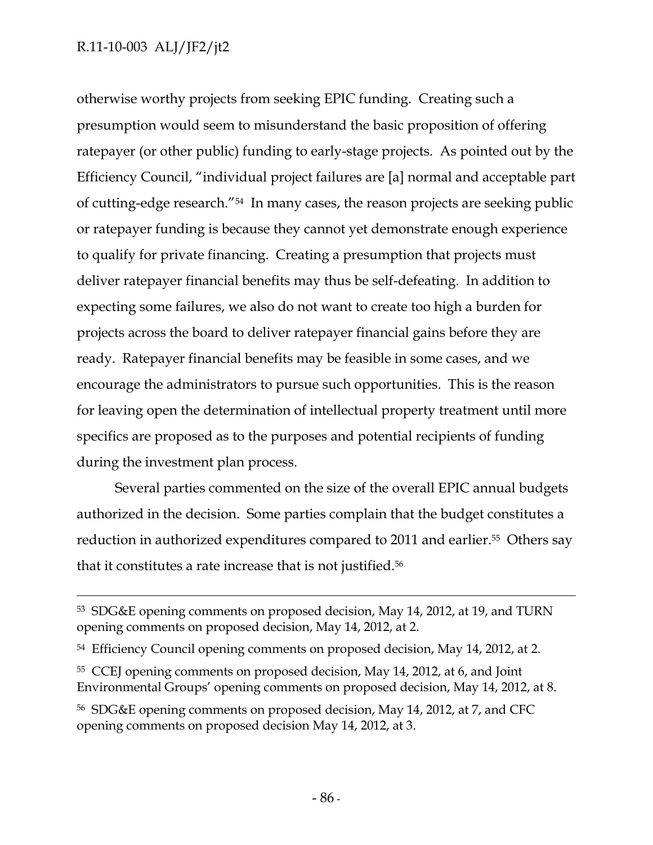otherwise worthy projects from seeking EPIC funding. Creating such a presumption would seem to misunderstand the basic proposition of offering ratepayer (or other public) funding to early-stage projects. As pointed out by the Efficiency Council, "individual project failures are [a] normal and acceptable part of cutting-edge research."54 In many cases, the reason projects are seeking public or ratepayer funding is because they cannot yet demonstrate enough experience to qualify for private financing. Creating a presumption that projects must deliver ratepayer financial benefits may thus be self-defeating. In addition to expecting some failures, we also do not want to create too high a burden for projects across the board to deliver ratepayer financial gains before they are ready. Ratepayer financial benefits may be feasible in some cases, and we encourage the administrators to pursue such opportunities. This is the reason for leaving open the determination of intellectual property treatment until more specifics are proposed as to the purposes and potential recipients of funding during the investment plan process.

Several parties commented on the size of the overall EPIC annual budgets authorized in the decision. Some parties complain that the budget constitutes a reduction in authorized expenditures compared to 2011 and earlier.<sup>55</sup> Others say that it constitutes a rate increase that is not justified.56

 <sup>53</sup> SDG&E opening comments on proposed decision, May 14, 2012, at 19, and TURN opening comments on proposed decision, May 14, 2012, at 2.

<sup>&</sup>lt;sup>54</sup> Efficiency Council opening comments on proposed decision, May 14, 2012, at 2.

<sup>55</sup> CCEJ opening comments on proposed decision, May 14, 2012, at 6, and Joint Environmental Groups' opening comments on proposed decision, May 14, 2012, at 8.

<sup>56</sup> SDG&E opening comments on proposed decision, May 14, 2012, at 7, and CFC opening comments on proposed decision May 14, 2012, at 3.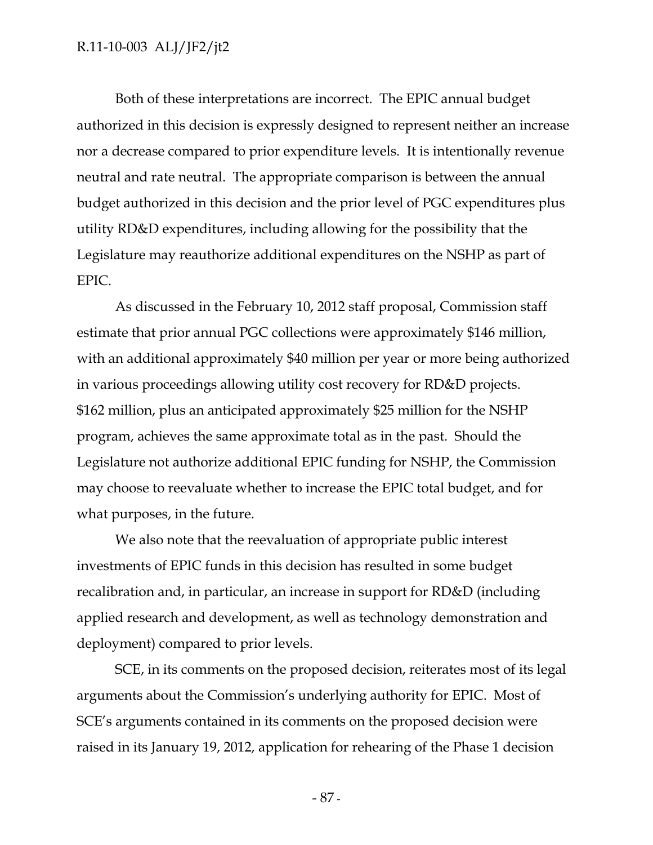Both of these interpretations are incorrect. The EPIC annual budget authorized in this decision is expressly designed to represent neither an increase nor a decrease compared to prior expenditure levels. It is intentionally revenue neutral and rate neutral. The appropriate comparison is between the annual budget authorized in this decision and the prior level of PGC expenditures plus utility RD&D expenditures, including allowing for the possibility that the Legislature may reauthorize additional expenditures on the NSHP as part of EPIC.

As discussed in the February 10, 2012 staff proposal, Commission staff estimate that prior annual PGC collections were approximately \$146 million, with an additional approximately \$40 million per year or more being authorized in various proceedings allowing utility cost recovery for RD&D projects. \$162 million, plus an anticipated approximately \$25 million for the NSHP program, achieves the same approximate total as in the past. Should the Legislature not authorize additional EPIC funding for NSHP, the Commission may choose to reevaluate whether to increase the EPIC total budget, and for what purposes, in the future.

We also note that the reevaluation of appropriate public interest investments of EPIC funds in this decision has resulted in some budget recalibration and, in particular, an increase in support for RD&D (including applied research and development, as well as technology demonstration and deployment) compared to prior levels.

SCE, in its comments on the proposed decision, reiterates most of its legal arguments about the Commission's underlying authority for EPIC. Most of SCE's arguments contained in its comments on the proposed decision were raised in its January 19, 2012, application for rehearing of the Phase 1 decision

- 87 -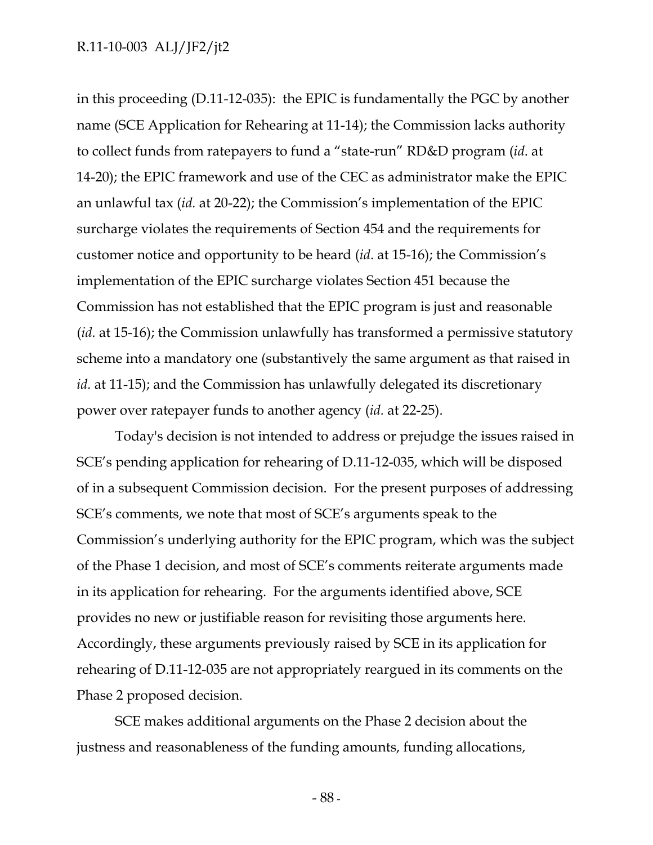in this proceeding (D.11-12-035): the EPIC is fundamentally the PGC by another name (SCE Application for Rehearing at 11-14); the Commission lacks authority to collect funds from ratepayers to fund a "state-run" RD&D program (*id*. at 14-20); the EPIC framework and use of the CEC as administrator make the EPIC an unlawful tax (*id.* at 20-22); the Commission's implementation of the EPIC surcharge violates the requirements of Section 454 and the requirements for customer notice and opportunity to be heard (*id*. at 15-16); the Commission's implementation of the EPIC surcharge violates Section 451 because the Commission has not established that the EPIC program is just and reasonable (*id.* at 15-16); the Commission unlawfully has transformed a permissive statutory scheme into a mandatory one (substantively the same argument as that raised in *id.* at 11-15); and the Commission has unlawfully delegated its discretionary power over ratepayer funds to another agency (*id.* at 22-25).

Today's decision is not intended to address or prejudge the issues raised in SCE's pending application for rehearing of D.11-12-035, which will be disposed of in a subsequent Commission decision. For the present purposes of addressing SCE's comments, we note that most of SCE's arguments speak to the Commission's underlying authority for the EPIC program, which was the subject of the Phase 1 decision, and most of SCE's comments reiterate arguments made in its application for rehearing. For the arguments identified above, SCE provides no new or justifiable reason for revisiting those arguments here. Accordingly, these arguments previously raised by SCE in its application for rehearing of D.11-12-035 are not appropriately reargued in its comments on the Phase 2 proposed decision.

SCE makes additional arguments on the Phase 2 decision about the justness and reasonableness of the funding amounts, funding allocations,

- 88 -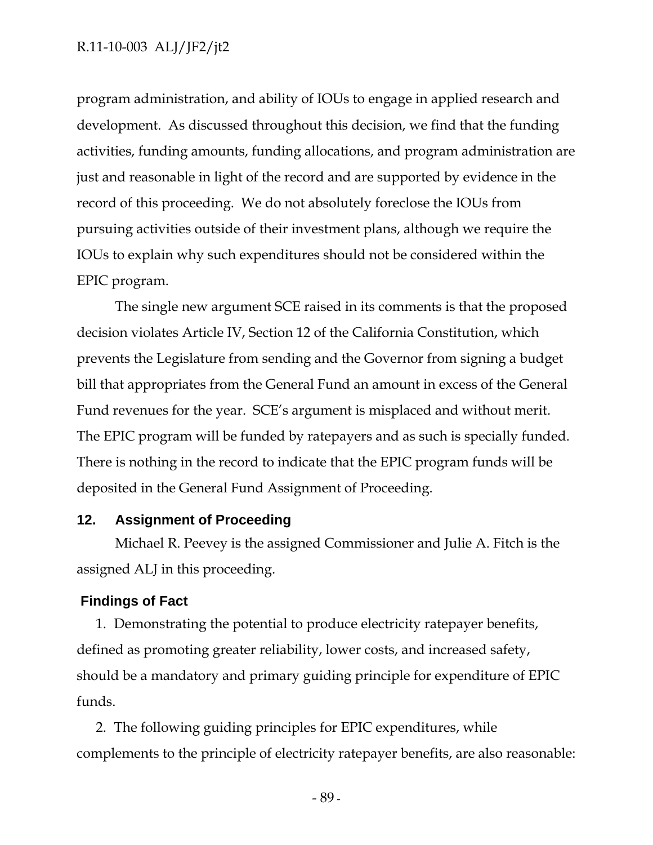program administration, and ability of IOUs to engage in applied research and development. As discussed throughout this decision, we find that the funding activities, funding amounts, funding allocations, and program administration are just and reasonable in light of the record and are supported by evidence in the record of this proceeding. We do not absolutely foreclose the IOUs from pursuing activities outside of their investment plans, although we require the IOUs to explain why such expenditures should not be considered within the EPIC program.

The single new argument SCE raised in its comments is that the proposed decision violates Article IV, Section 12 of the California Constitution, which prevents the Legislature from sending and the Governor from signing a budget bill that appropriates from the General Fund an amount in excess of the General Fund revenues for the year. SCE's argument is misplaced and without merit. The EPIC program will be funded by ratepayers and as such is specially funded. There is nothing in the record to indicate that the EPIC program funds will be deposited in the General Fund Assignment of Proceeding.

#### **12. Assignment of Proceeding**

Michael R. Peevey is the assigned Commissioner and Julie A. Fitch is the assigned ALJ in this proceeding.

#### **Findings of Fact**

1. Demonstrating the potential to produce electricity ratepayer benefits, defined as promoting greater reliability, lower costs, and increased safety, should be a mandatory and primary guiding principle for expenditure of EPIC funds.

2. The following guiding principles for EPIC expenditures, while complements to the principle of electricity ratepayer benefits, are also reasonable:

- 89 -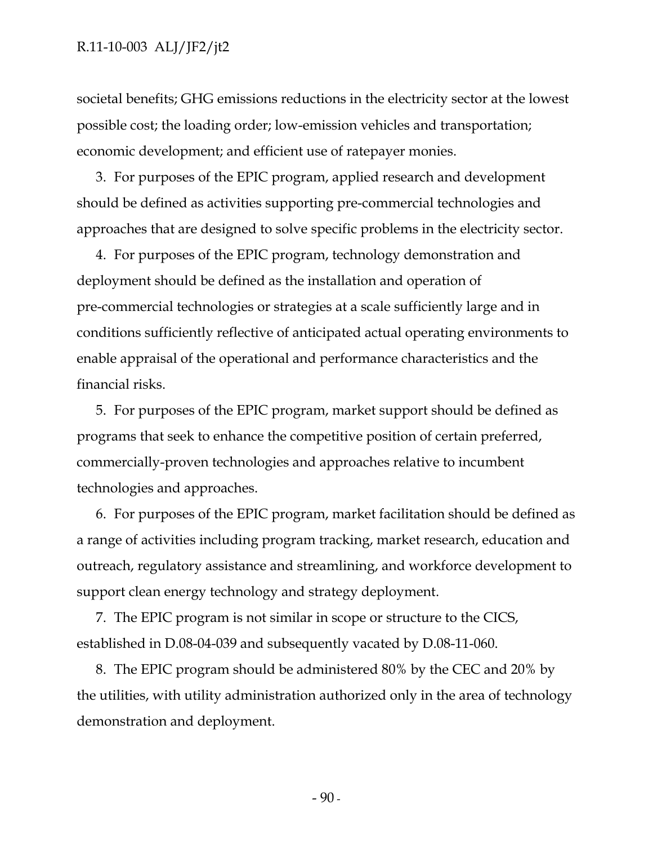societal benefits; GHG emissions reductions in the electricity sector at the lowest possible cost; the loading order; low-emission vehicles and transportation; economic development; and efficient use of ratepayer monies.

3. For purposes of the EPIC program, applied research and development should be defined as activities supporting pre-commercial technologies and approaches that are designed to solve specific problems in the electricity sector.

4. For purposes of the EPIC program, technology demonstration and deployment should be defined as the installation and operation of pre-commercial technologies or strategies at a scale sufficiently large and in conditions sufficiently reflective of anticipated actual operating environments to enable appraisal of the operational and performance characteristics and the financial risks.

5. For purposes of the EPIC program, market support should be defined as programs that seek to enhance the competitive position of certain preferred, commercially-proven technologies and approaches relative to incumbent technologies and approaches.

6. For purposes of the EPIC program, market facilitation should be defined as a range of activities including program tracking, market research, education and outreach, regulatory assistance and streamlining, and workforce development to support clean energy technology and strategy deployment.

7. The EPIC program is not similar in scope or structure to the CICS, established in D.08-04-039 and subsequently vacated by D.08-11-060.

8. The EPIC program should be administered 80% by the CEC and 20% by the utilities, with utility administration authorized only in the area of technology demonstration and deployment.

 $-90-$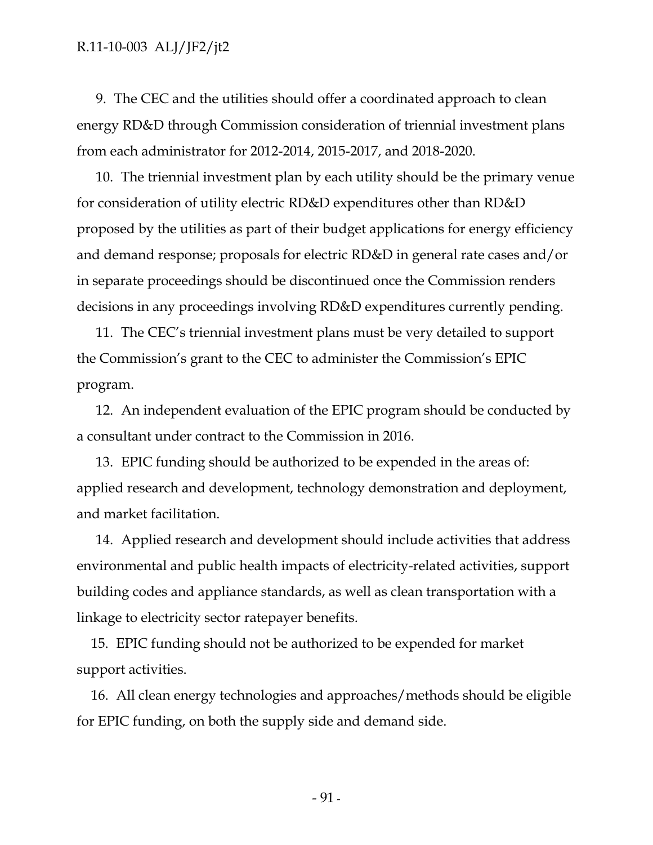9. The CEC and the utilities should offer a coordinated approach to clean energy RD&D through Commission consideration of triennial investment plans from each administrator for 2012-2014, 2015-2017, and 2018-2020.

10. The triennial investment plan by each utility should be the primary venue for consideration of utility electric RD&D expenditures other than RD&D proposed by the utilities as part of their budget applications for energy efficiency and demand response; proposals for electric RD&D in general rate cases and/or in separate proceedings should be discontinued once the Commission renders decisions in any proceedings involving RD&D expenditures currently pending.

11. The CEC's triennial investment plans must be very detailed to support the Commission's grant to the CEC to administer the Commission's EPIC program.

12. An independent evaluation of the EPIC program should be conducted by a consultant under contract to the Commission in 2016.

13. EPIC funding should be authorized to be expended in the areas of: applied research and development, technology demonstration and deployment, and market facilitation.

14. Applied research and development should include activities that address environmental and public health impacts of electricity-related activities, support building codes and appliance standards, as well as clean transportation with a linkage to electricity sector ratepayer benefits.

15. EPIC funding should not be authorized to be expended for market support activities.

16. All clean energy technologies and approaches/methods should be eligible for EPIC funding, on both the supply side and demand side.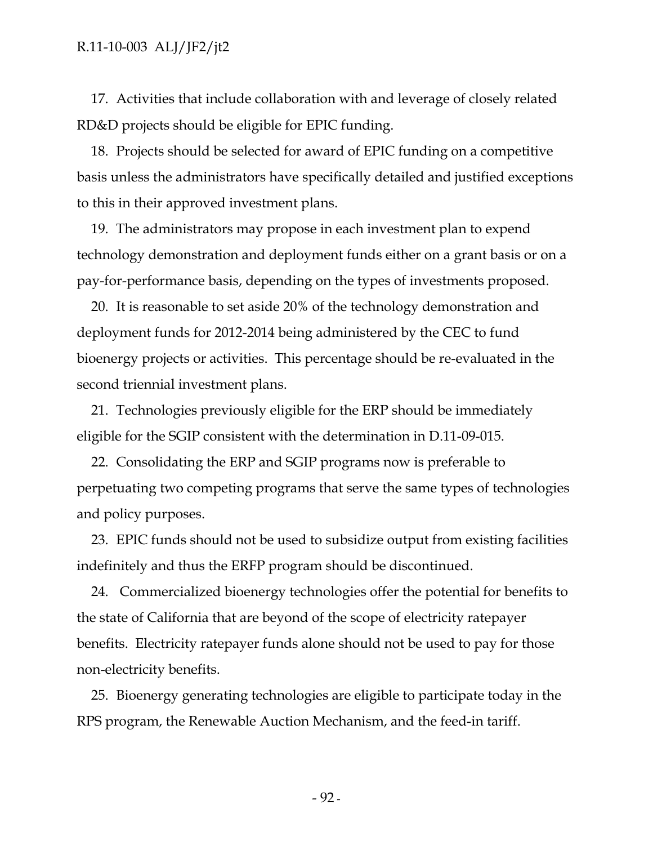17. Activities that include collaboration with and leverage of closely related RD&D projects should be eligible for EPIC funding.

18. Projects should be selected for award of EPIC funding on a competitive basis unless the administrators have specifically detailed and justified exceptions to this in their approved investment plans.

19. The administrators may propose in each investment plan to expend technology demonstration and deployment funds either on a grant basis or on a pay-for-performance basis, depending on the types of investments proposed.

20. It is reasonable to set aside 20% of the technology demonstration and deployment funds for 2012-2014 being administered by the CEC to fund bioenergy projects or activities. This percentage should be re-evaluated in the second triennial investment plans.

21. Technologies previously eligible for the ERP should be immediately eligible for the SGIP consistent with the determination in D.11-09-015.

22. Consolidating the ERP and SGIP programs now is preferable to perpetuating two competing programs that serve the same types of technologies and policy purposes.

23. EPIC funds should not be used to subsidize output from existing facilities indefinitely and thus the ERFP program should be discontinued.

24. Commercialized bioenergy technologies offer the potential for benefits to the state of California that are beyond of the scope of electricity ratepayer benefits. Electricity ratepayer funds alone should not be used to pay for those non-electricity benefits.

25. Bioenergy generating technologies are eligible to participate today in the RPS program, the Renewable Auction Mechanism, and the feed-in tariff.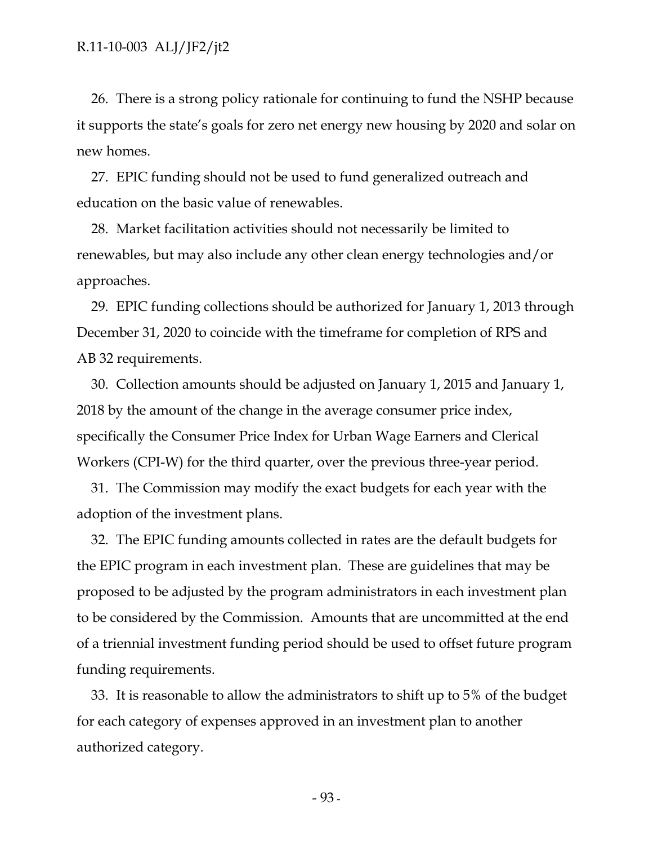26. There is a strong policy rationale for continuing to fund the NSHP because it supports the state's goals for zero net energy new housing by 2020 and solar on new homes.

27. EPIC funding should not be used to fund generalized outreach and education on the basic value of renewables.

28. Market facilitation activities should not necessarily be limited to renewables, but may also include any other clean energy technologies and/or approaches.

29. EPIC funding collections should be authorized for January 1, 2013 through December 31, 2020 to coincide with the timeframe for completion of RPS and AB 32 requirements.

30. Collection amounts should be adjusted on January 1, 2015 and January 1, 2018 by the amount of the change in the average consumer price index, specifically the Consumer Price Index for Urban Wage Earners and Clerical Workers (CPI-W) for the third quarter, over the previous three-year period.

31. The Commission may modify the exact budgets for each year with the adoption of the investment plans.

32. The EPIC funding amounts collected in rates are the default budgets for the EPIC program in each investment plan. These are guidelines that may be proposed to be adjusted by the program administrators in each investment plan to be considered by the Commission. Amounts that are uncommitted at the end of a triennial investment funding period should be used to offset future program funding requirements.

33. It is reasonable to allow the administrators to shift up to 5% of the budget for each category of expenses approved in an investment plan to another authorized category.

- 93 -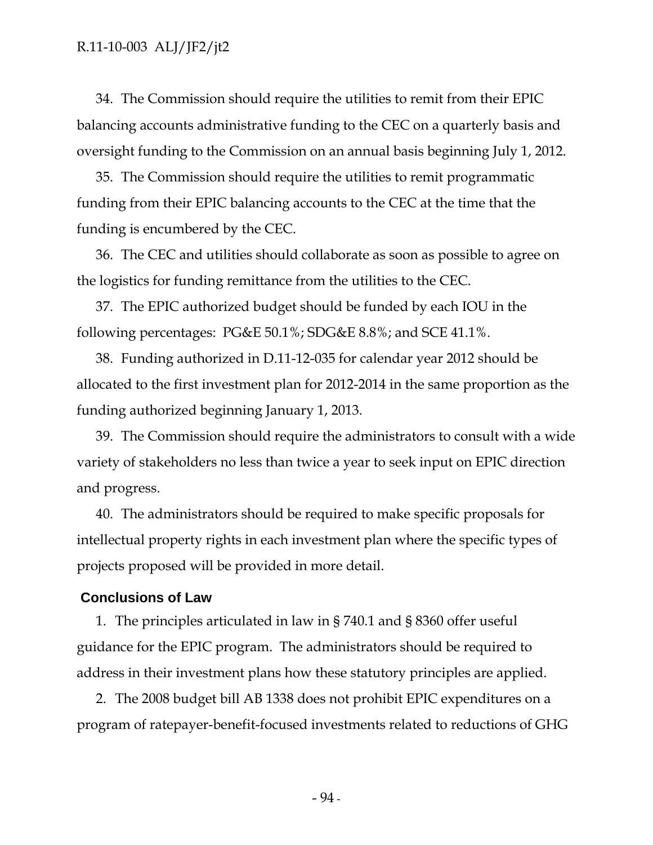34. The Commission should require the utilities to remit from their EPIC balancing accounts administrative funding to the CEC on a quarterly basis and oversight funding to the Commission on an annual basis beginning July 1, 2012.

35. The Commission should require the utilities to remit programmatic funding from their EPIC balancing accounts to the CEC at the time that the funding is encumbered by the CEC.

36. The CEC and utilities should collaborate as soon as possible to agree on the logistics for funding remittance from the utilities to the CEC.

37. The EPIC authorized budget should be funded by each IOU in the following percentages: PG&E 50.1%; SDG&E 8.8%; and SCE 41.1%.

38. Funding authorized in D.11-12-035 for calendar year 2012 should be allocated to the first investment plan for 2012-2014 in the same proportion as the funding authorized beginning January 1, 2013.

39. The Commission should require the administrators to consult with a wide variety of stakeholders no less than twice a year to seek input on EPIC direction and progress.

40. The administrators should be required to make specific proposals for intellectual property rights in each investment plan where the specific types of projects proposed will be provided in more detail.

## **Conclusions of Law**

1. The principles articulated in law in § 740.1 and § 8360 offer useful guidance for the EPIC program. The administrators should be required to address in their investment plans how these statutory principles are applied.

2. The 2008 budget bill AB 1338 does not prohibit EPIC expenditures on a program of ratepayer-benefit-focused investments related to reductions of GHG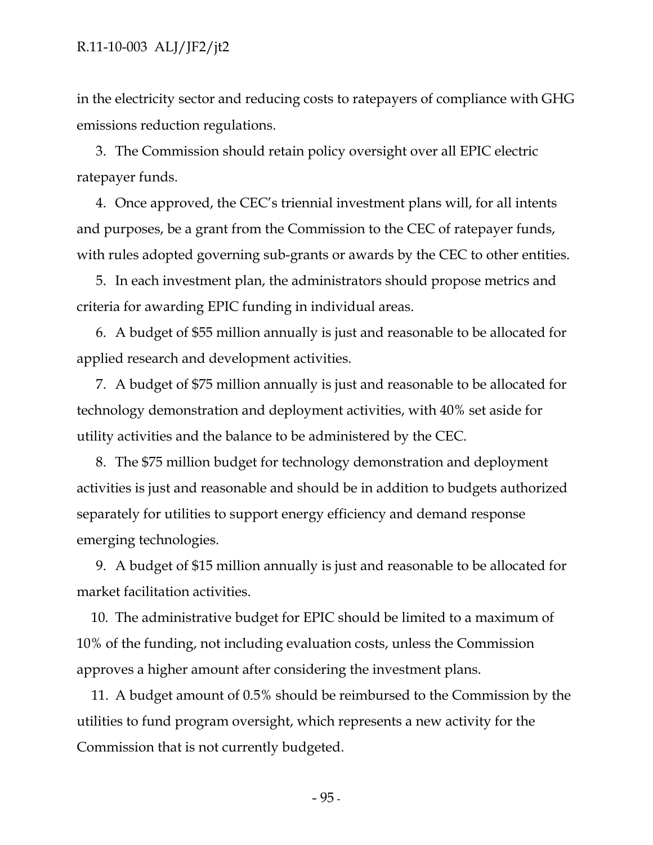in the electricity sector and reducing costs to ratepayers of compliance with GHG emissions reduction regulations.

3. The Commission should retain policy oversight over all EPIC electric ratepayer funds.

4. Once approved, the CEC's triennial investment plans will, for all intents and purposes, be a grant from the Commission to the CEC of ratepayer funds, with rules adopted governing sub-grants or awards by the CEC to other entities.

5. In each investment plan, the administrators should propose metrics and criteria for awarding EPIC funding in individual areas.

6. A budget of \$55 million annually is just and reasonable to be allocated for applied research and development activities.

7. A budget of \$75 million annually is just and reasonable to be allocated for technology demonstration and deployment activities, with 40% set aside for utility activities and the balance to be administered by the CEC.

8. The \$75 million budget for technology demonstration and deployment activities is just and reasonable and should be in addition to budgets authorized separately for utilities to support energy efficiency and demand response emerging technologies.

9. A budget of \$15 million annually is just and reasonable to be allocated for market facilitation activities.

10. The administrative budget for EPIC should be limited to a maximum of 10% of the funding, not including evaluation costs, unless the Commission approves a higher amount after considering the investment plans.

11. A budget amount of 0.5% should be reimbursed to the Commission by the utilities to fund program oversight, which represents a new activity for the Commission that is not currently budgeted.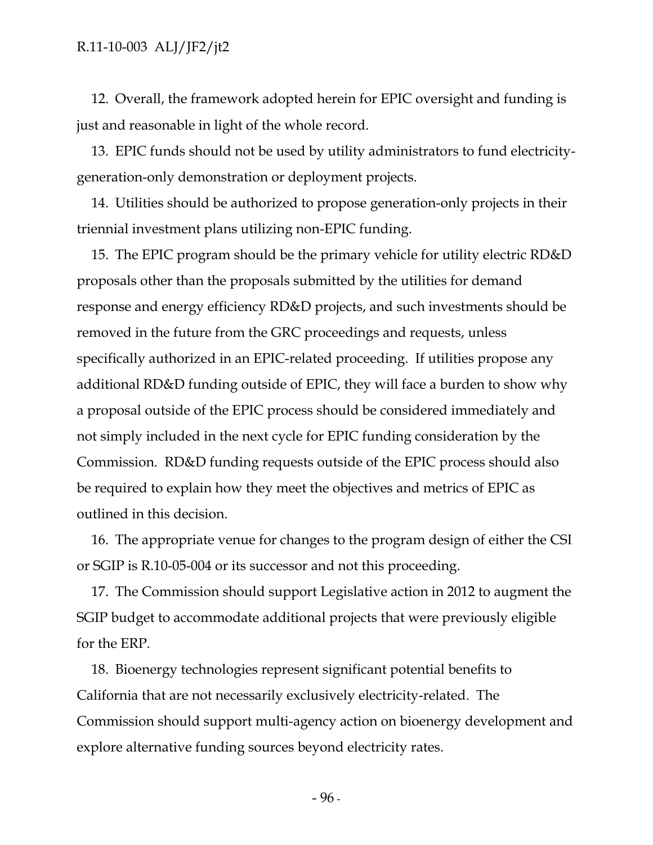12. Overall, the framework adopted herein for EPIC oversight and funding is just and reasonable in light of the whole record.

13. EPIC funds should not be used by utility administrators to fund electricitygeneration-only demonstration or deployment projects.

14. Utilities should be authorized to propose generation-only projects in their triennial investment plans utilizing non-EPIC funding.

15. The EPIC program should be the primary vehicle for utility electric RD&D proposals other than the proposals submitted by the utilities for demand response and energy efficiency RD&D projects, and such investments should be removed in the future from the GRC proceedings and requests, unless specifically authorized in an EPIC-related proceeding. If utilities propose any additional RD&D funding outside of EPIC, they will face a burden to show why a proposal outside of the EPIC process should be considered immediately and not simply included in the next cycle for EPIC funding consideration by the Commission. RD&D funding requests outside of the EPIC process should also be required to explain how they meet the objectives and metrics of EPIC as outlined in this decision.

16. The appropriate venue for changes to the program design of either the CSI or SGIP is R.10-05-004 or its successor and not this proceeding.

17. The Commission should support Legislative action in 2012 to augment the SGIP budget to accommodate additional projects that were previously eligible for the ERP.

18. Bioenergy technologies represent significant potential benefits to California that are not necessarily exclusively electricity-related. The Commission should support multi-agency action on bioenergy development and explore alternative funding sources beyond electricity rates.

 $-96$  -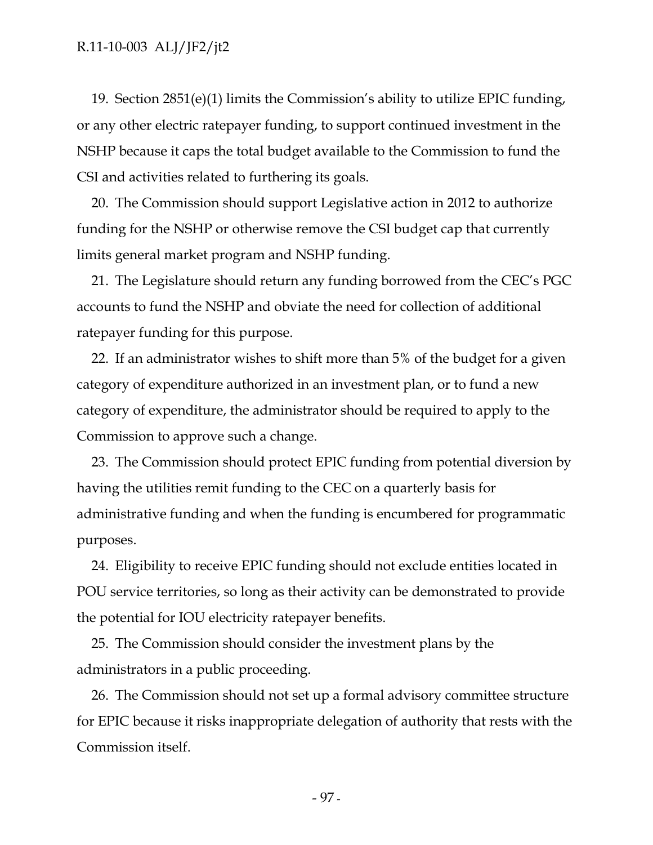19. Section 2851(e)(1) limits the Commission's ability to utilize EPIC funding, or any other electric ratepayer funding, to support continued investment in the NSHP because it caps the total budget available to the Commission to fund the CSI and activities related to furthering its goals.

20. The Commission should support Legislative action in 2012 to authorize funding for the NSHP or otherwise remove the CSI budget cap that currently limits general market program and NSHP funding.

21. The Legislature should return any funding borrowed from the CEC's PGC accounts to fund the NSHP and obviate the need for collection of additional ratepayer funding for this purpose.

22. If an administrator wishes to shift more than 5% of the budget for a given category of expenditure authorized in an investment plan, or to fund a new category of expenditure, the administrator should be required to apply to the Commission to approve such a change.

23. The Commission should protect EPIC funding from potential diversion by having the utilities remit funding to the CEC on a quarterly basis for administrative funding and when the funding is encumbered for programmatic purposes.

24. Eligibility to receive EPIC funding should not exclude entities located in POU service territories, so long as their activity can be demonstrated to provide the potential for IOU electricity ratepayer benefits.

25. The Commission should consider the investment plans by the administrators in a public proceeding.

26. The Commission should not set up a formal advisory committee structure for EPIC because it risks inappropriate delegation of authority that rests with the Commission itself.

- 97 -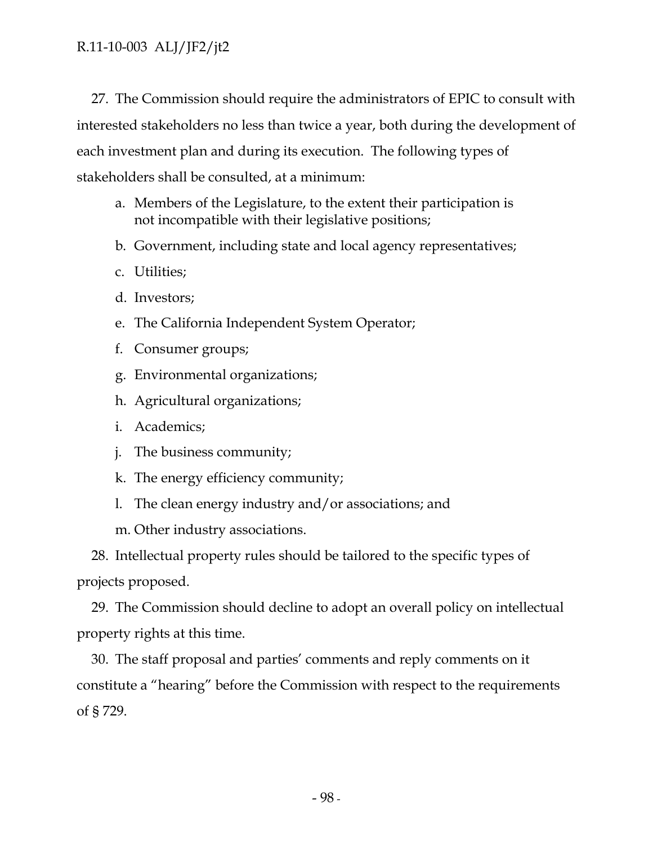27. The Commission should require the administrators of EPIC to consult with interested stakeholders no less than twice a year, both during the development of each investment plan and during its execution. The following types of stakeholders shall be consulted, at a minimum:

- a. Members of the Legislature, to the extent their participation is not incompatible with their legislative positions;
- b. Government, including state and local agency representatives;
- c. Utilities;
- d. Investors;
- e. The California Independent System Operator;
- f. Consumer groups;
- g. Environmental organizations;
- h. Agricultural organizations;
- i. Academics;
- j. The business community;
- k. The energy efficiency community;
- l. The clean energy industry and/or associations; and

m. Other industry associations.

28. Intellectual property rules should be tailored to the specific types of projects proposed.

29. The Commission should decline to adopt an overall policy on intellectual property rights at this time.

30. The staff proposal and parties' comments and reply comments on it constitute a "hearing" before the Commission with respect to the requirements of § 729.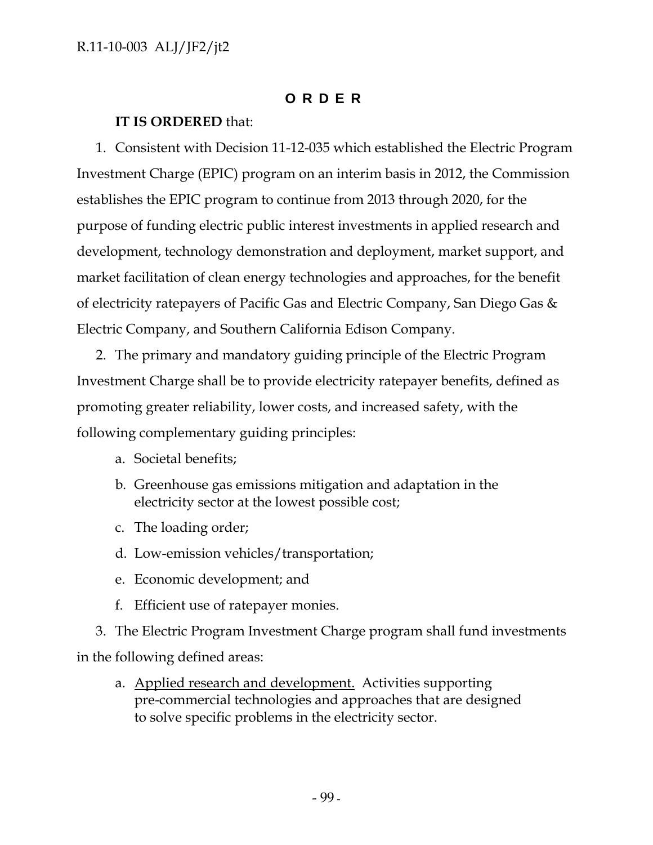# **ORDER**

# **IT IS ORDERED** that:

1. Consistent with Decision 11-12-035 which established the Electric Program Investment Charge (EPIC) program on an interim basis in 2012, the Commission establishes the EPIC program to continue from 2013 through 2020, for the purpose of funding electric public interest investments in applied research and development, technology demonstration and deployment, market support, and market facilitation of clean energy technologies and approaches, for the benefit of electricity ratepayers of Pacific Gas and Electric Company, San Diego Gas & Electric Company, and Southern California Edison Company.

2. The primary and mandatory guiding principle of the Electric Program Investment Charge shall be to provide electricity ratepayer benefits, defined as promoting greater reliability, lower costs, and increased safety, with the following complementary guiding principles:

- a. Societal benefits;
- b. Greenhouse gas emissions mitigation and adaptation in the electricity sector at the lowest possible cost;
- c. The loading order;
- d. Low-emission vehicles/transportation;
- e. Economic development; and
- f. Efficient use of ratepayer monies.

3. The Electric Program Investment Charge program shall fund investments in the following defined areas:

a. Applied research and development. Activities supporting pre-commercial technologies and approaches that are designed to solve specific problems in the electricity sector.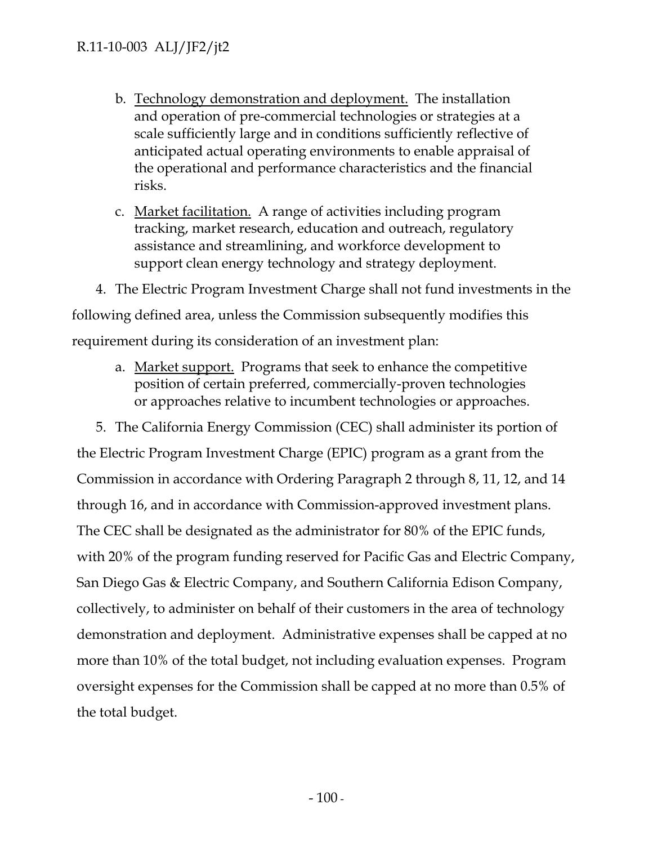- b. Technology demonstration and deployment. The installation and operation of pre-commercial technologies or strategies at a scale sufficiently large and in conditions sufficiently reflective of anticipated actual operating environments to enable appraisal of the operational and performance characteristics and the financial risks.
- c. Market facilitation. A range of activities including program tracking, market research, education and outreach, regulatory assistance and streamlining, and workforce development to support clean energy technology and strategy deployment.

4. The Electric Program Investment Charge shall not fund investments in the following defined area, unless the Commission subsequently modifies this requirement during its consideration of an investment plan:

a. Market support. Programs that seek to enhance the competitive position of certain preferred, commercially-proven technologies or approaches relative to incumbent technologies or approaches.

5. The California Energy Commission (CEC) shall administer its portion of the Electric Program Investment Charge (EPIC) program as a grant from the Commission in accordance with Ordering Paragraph 2 through 8, 11, 12, and 14 through 16, and in accordance with Commission-approved investment plans. The CEC shall be designated as the administrator for 80% of the EPIC funds, with 20% of the program funding reserved for Pacific Gas and Electric Company, San Diego Gas & Electric Company, and Southern California Edison Company, collectively, to administer on behalf of their customers in the area of technology demonstration and deployment. Administrative expenses shall be capped at no more than 10% of the total budget, not including evaluation expenses. Program oversight expenses for the Commission shall be capped at no more than 0.5% of the total budget.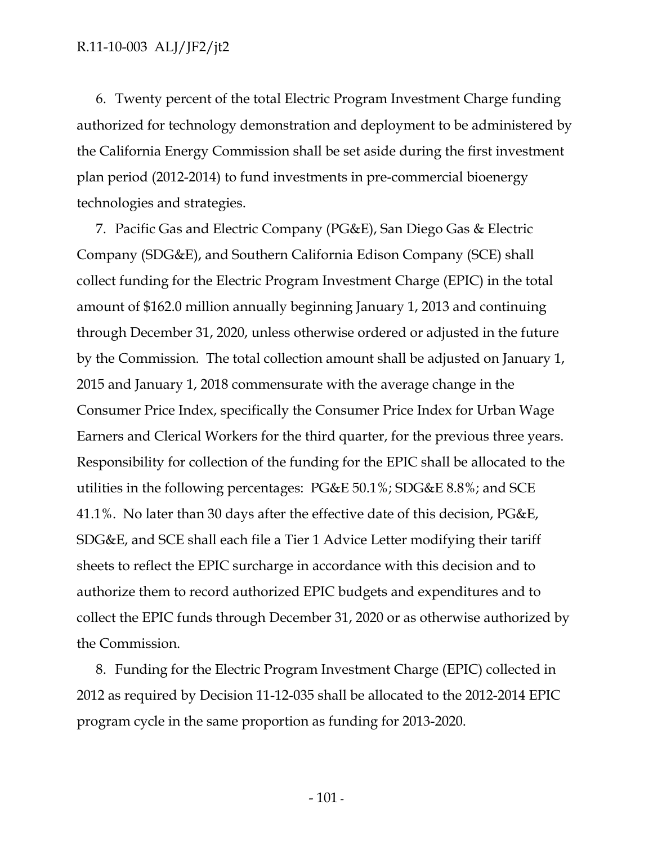6. Twenty percent of the total Electric Program Investment Charge funding authorized for technology demonstration and deployment to be administered by the California Energy Commission shall be set aside during the first investment plan period (2012-2014) to fund investments in pre-commercial bioenergy technologies and strategies.

7. Pacific Gas and Electric Company (PG&E), San Diego Gas & Electric Company (SDG&E), and Southern California Edison Company (SCE) shall collect funding for the Electric Program Investment Charge (EPIC) in the total amount of \$162.0 million annually beginning January 1, 2013 and continuing through December 31, 2020, unless otherwise ordered or adjusted in the future by the Commission. The total collection amount shall be adjusted on January 1, 2015 and January 1, 2018 commensurate with the average change in the Consumer Price Index, specifically the Consumer Price Index for Urban Wage Earners and Clerical Workers for the third quarter, for the previous three years. Responsibility for collection of the funding for the EPIC shall be allocated to the utilities in the following percentages: PG&E 50.1%; SDG&E 8.8%; and SCE 41.1%. No later than 30 days after the effective date of this decision, PG&E, SDG&E, and SCE shall each file a Tier 1 Advice Letter modifying their tariff sheets to reflect the EPIC surcharge in accordance with this decision and to authorize them to record authorized EPIC budgets and expenditures and to collect the EPIC funds through December 31, 2020 or as otherwise authorized by the Commission.

8. Funding for the Electric Program Investment Charge (EPIC) collected in 2012 as required by Decision 11-12-035 shall be allocated to the 2012-2014 EPIC program cycle in the same proportion as funding for 2013-2020.

- 101 -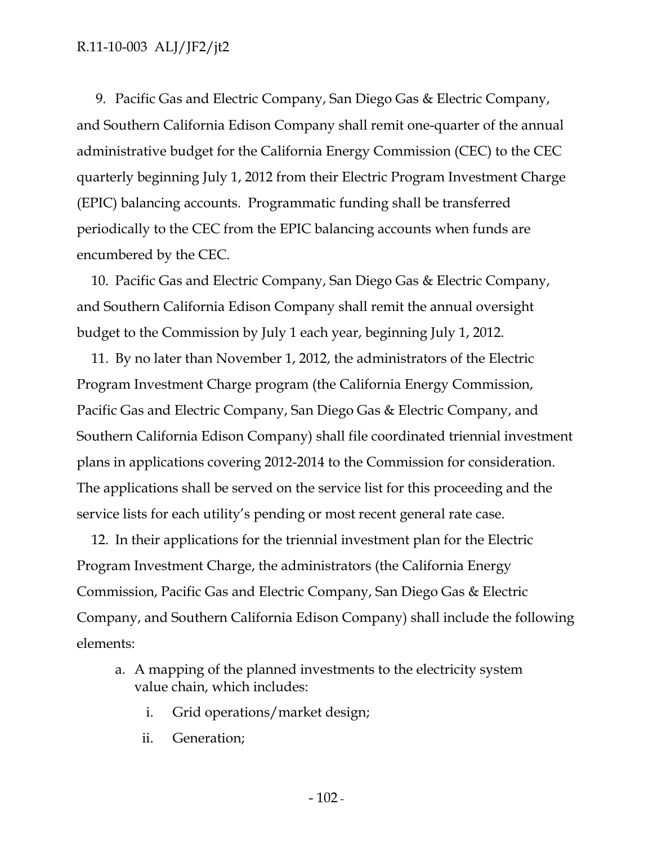9. Pacific Gas and Electric Company, San Diego Gas & Electric Company, and Southern California Edison Company shall remit one-quarter of the annual administrative budget for the California Energy Commission (CEC) to the CEC quarterly beginning July 1, 2012 from their Electric Program Investment Charge (EPIC) balancing accounts. Programmatic funding shall be transferred periodically to the CEC from the EPIC balancing accounts when funds are encumbered by the CEC.

10. Pacific Gas and Electric Company, San Diego Gas & Electric Company, and Southern California Edison Company shall remit the annual oversight budget to the Commission by July 1 each year, beginning July 1, 2012.

11. By no later than November 1, 2012, the administrators of the Electric Program Investment Charge program (the California Energy Commission, Pacific Gas and Electric Company, San Diego Gas & Electric Company, and Southern California Edison Company) shall file coordinated triennial investment plans in applications covering 2012-2014 to the Commission for consideration. The applications shall be served on the service list for this proceeding and the service lists for each utility's pending or most recent general rate case.

12. In their applications for the triennial investment plan for the Electric Program Investment Charge, the administrators (the California Energy Commission, Pacific Gas and Electric Company, San Diego Gas & Electric Company, and Southern California Edison Company) shall include the following elements:

- a. A mapping of the planned investments to the electricity system value chain, which includes:
	- i. Grid operations/market design;
	- ii. Generation;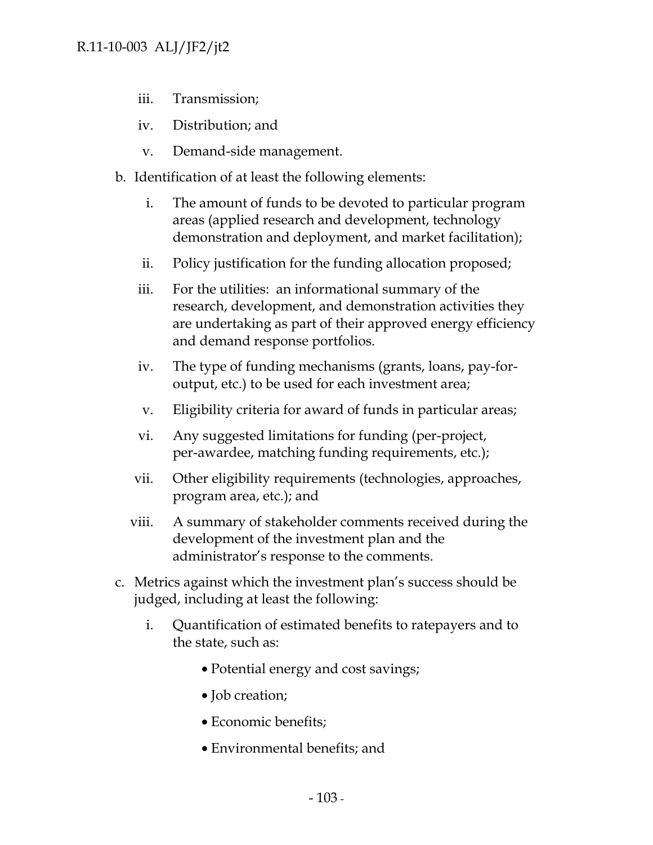- iii. Transmission;
- iv. Distribution; and
- v. Demand-side management.
- b. Identification of at least the following elements:
	- i. The amount of funds to be devoted to particular program areas (applied research and development, technology demonstration and deployment, and market facilitation);
	- ii. Policy justification for the funding allocation proposed;
	- iii. For the utilities: an informational summary of the research, development, and demonstration activities they are undertaking as part of their approved energy efficiency and demand response portfolios.
	- iv. The type of funding mechanisms (grants, loans, pay-foroutput, etc.) to be used for each investment area;
	- v. Eligibility criteria for award of funds in particular areas;
	- vi. Any suggested limitations for funding (per-project, per-awardee, matching funding requirements, etc.);
	- vii. Other eligibility requirements (technologies, approaches, program area, etc.); and
	- viii. A summary of stakeholder comments received during the development of the investment plan and the administrator's response to the comments.
- c. Metrics against which the investment plan's success should be judged, including at least the following:
	- i. Quantification of estimated benefits to ratepayers and to the state, such as:
		- Potential energy and cost savings;
		- Job creation;
		- Economic benefits;
		- Environmental benefits; and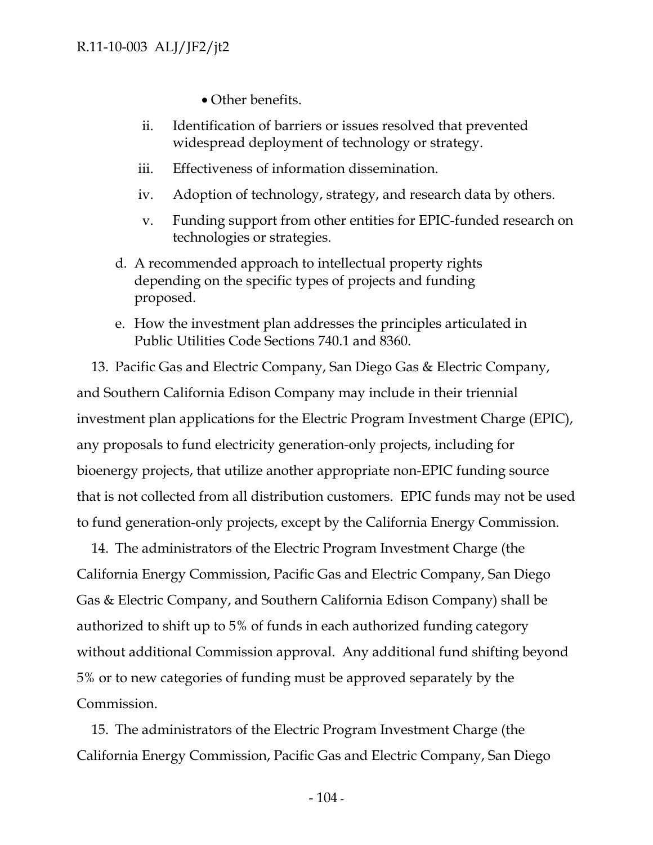• Other benefits.

- ii. Identification of barriers or issues resolved that prevented widespread deployment of technology or strategy.
- iii. Effectiveness of information dissemination.
- iv. Adoption of technology, strategy, and research data by others.
- v. Funding support from other entities for EPIC-funded research on technologies or strategies.
- d. A recommended approach to intellectual property rights depending on the specific types of projects and funding proposed.
- e. How the investment plan addresses the principles articulated in Public Utilities Code Sections 740.1 and 8360.

13. Pacific Gas and Electric Company, San Diego Gas & Electric Company, and Southern California Edison Company may include in their triennial investment plan applications for the Electric Program Investment Charge (EPIC), any proposals to fund electricity generation-only projects, including for bioenergy projects, that utilize another appropriate non-EPIC funding source that is not collected from all distribution customers. EPIC funds may not be used to fund generation-only projects, except by the California Energy Commission.

14. The administrators of the Electric Program Investment Charge (the California Energy Commission, Pacific Gas and Electric Company, San Diego Gas & Electric Company, and Southern California Edison Company) shall be authorized to shift up to 5% of funds in each authorized funding category without additional Commission approval. Any additional fund shifting beyond 5% or to new categories of funding must be approved separately by the Commission.

15. The administrators of the Electric Program Investment Charge (the California Energy Commission, Pacific Gas and Electric Company, San Diego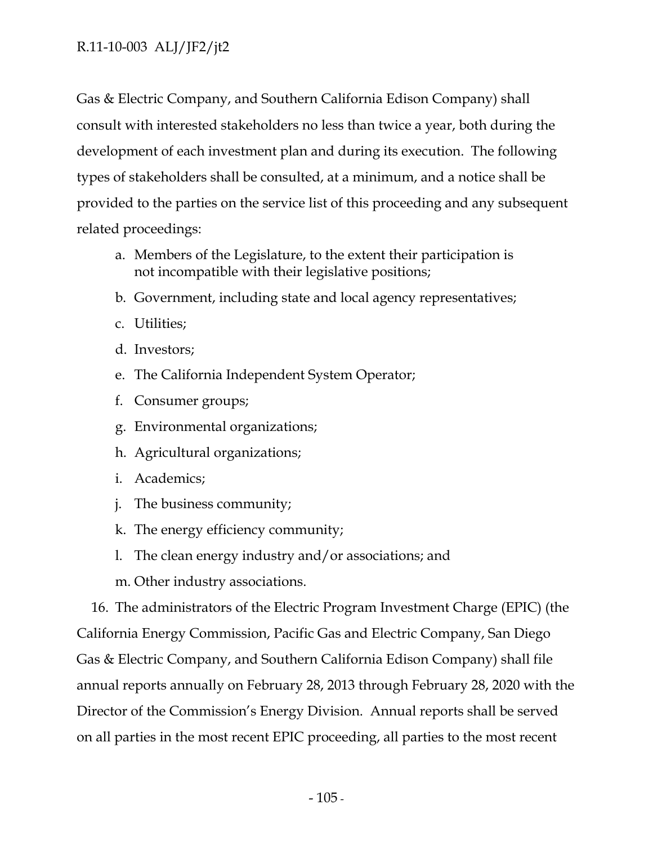Gas & Electric Company, and Southern California Edison Company) shall consult with interested stakeholders no less than twice a year, both during the development of each investment plan and during its execution. The following types of stakeholders shall be consulted, at a minimum, and a notice shall be provided to the parties on the service list of this proceeding and any subsequent related proceedings:

- a. Members of the Legislature, to the extent their participation is not incompatible with their legislative positions;
- b. Government, including state and local agency representatives;
- c. Utilities;
- d. Investors;
- e. The California Independent System Operator;
- f. Consumer groups;
- g. Environmental organizations;
- h. Agricultural organizations;
- i. Academics;
- j. The business community;
- k. The energy efficiency community;
- l. The clean energy industry and/or associations; and
- m. Other industry associations.

16. The administrators of the Electric Program Investment Charge (EPIC) (the California Energy Commission, Pacific Gas and Electric Company, San Diego Gas & Electric Company, and Southern California Edison Company) shall file annual reports annually on February 28, 2013 through February 28, 2020 with the Director of the Commission's Energy Division. Annual reports shall be served on all parties in the most recent EPIC proceeding, all parties to the most recent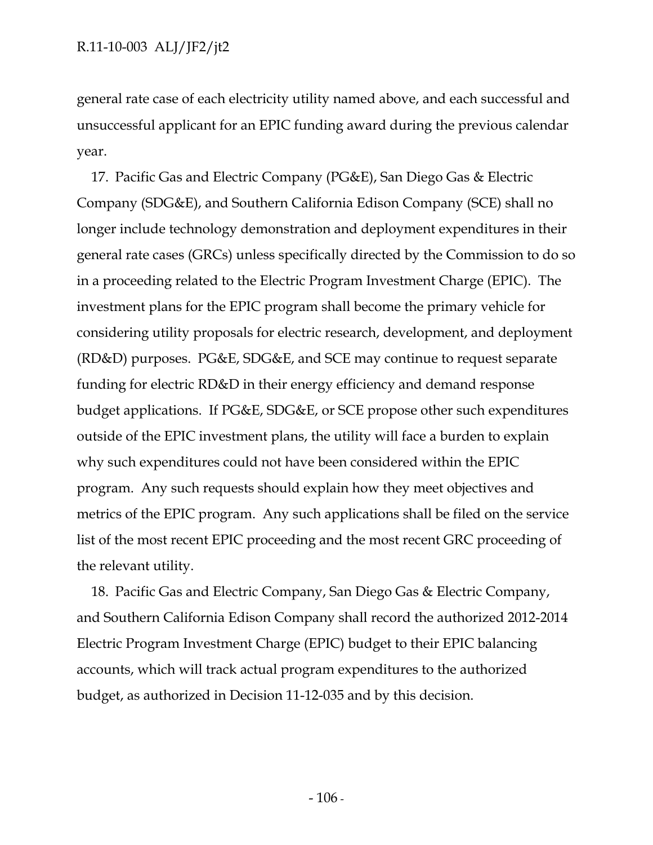general rate case of each electricity utility named above, and each successful and unsuccessful applicant for an EPIC funding award during the previous calendar year.

17. Pacific Gas and Electric Company (PG&E), San Diego Gas & Electric Company (SDG&E), and Southern California Edison Company (SCE) shall no longer include technology demonstration and deployment expenditures in their general rate cases (GRCs) unless specifically directed by the Commission to do so in a proceeding related to the Electric Program Investment Charge (EPIC). The investment plans for the EPIC program shall become the primary vehicle for considering utility proposals for electric research, development, and deployment (RD&D) purposes. PG&E, SDG&E, and SCE may continue to request separate funding for electric RD&D in their energy efficiency and demand response budget applications. If PG&E, SDG&E, or SCE propose other such expenditures outside of the EPIC investment plans, the utility will face a burden to explain why such expenditures could not have been considered within the EPIC program. Any such requests should explain how they meet objectives and metrics of the EPIC program. Any such applications shall be filed on the service list of the most recent EPIC proceeding and the most recent GRC proceeding of the relevant utility.

18. Pacific Gas and Electric Company, San Diego Gas & Electric Company, and Southern California Edison Company shall record the authorized 2012-2014 Electric Program Investment Charge (EPIC) budget to their EPIC balancing accounts, which will track actual program expenditures to the authorized budget, as authorized in Decision 11-12-035 and by this decision.